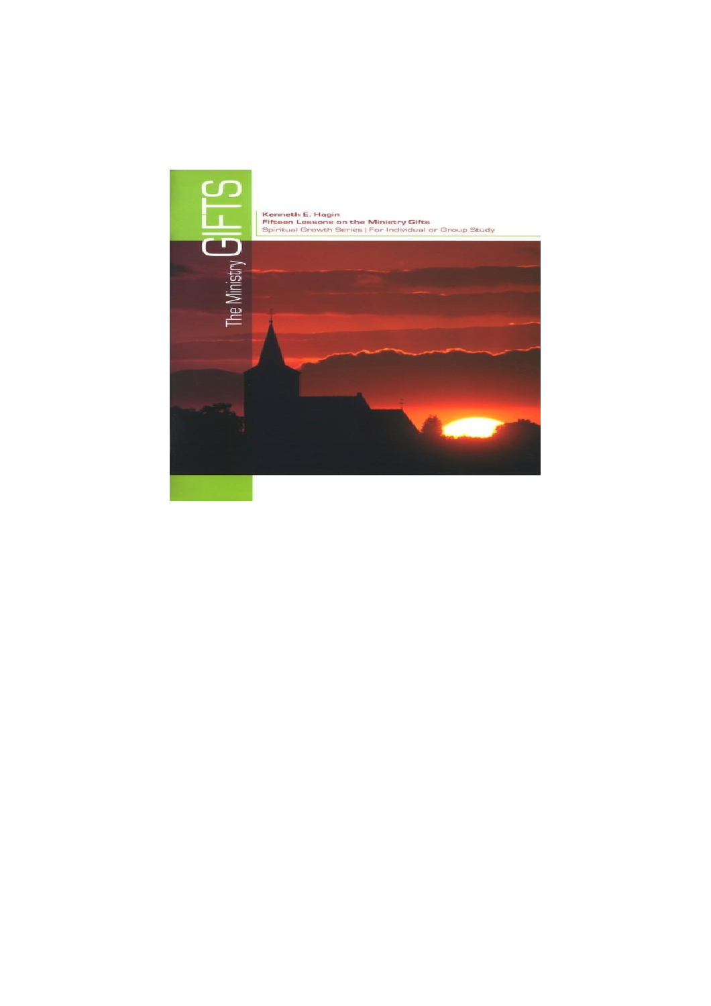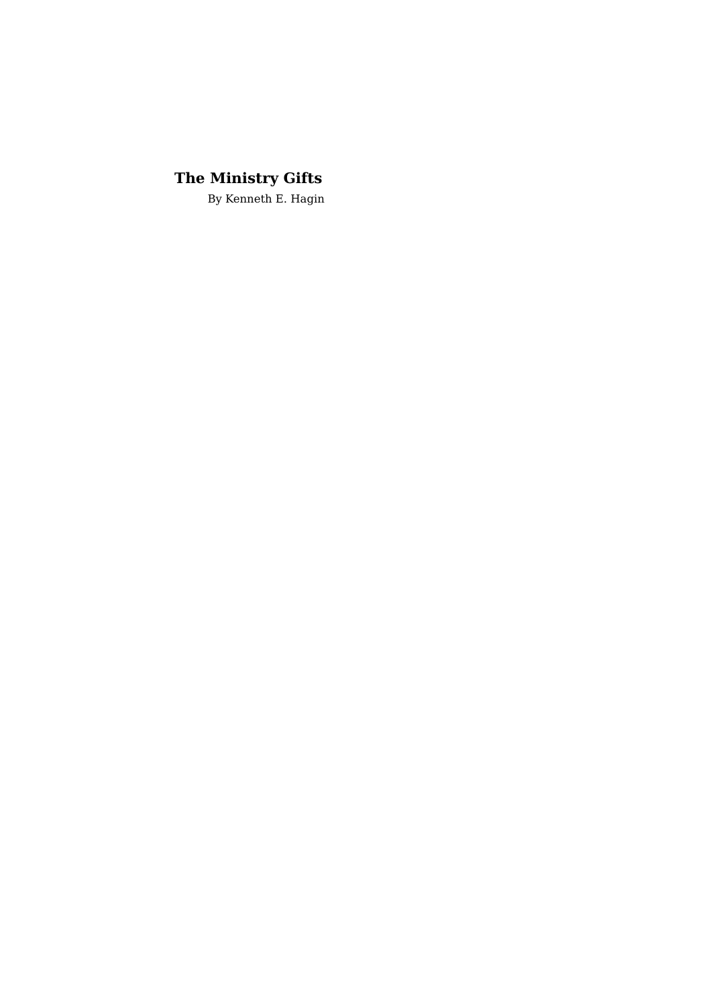# **The Ministry Gifts**

By Kenneth E. Hagin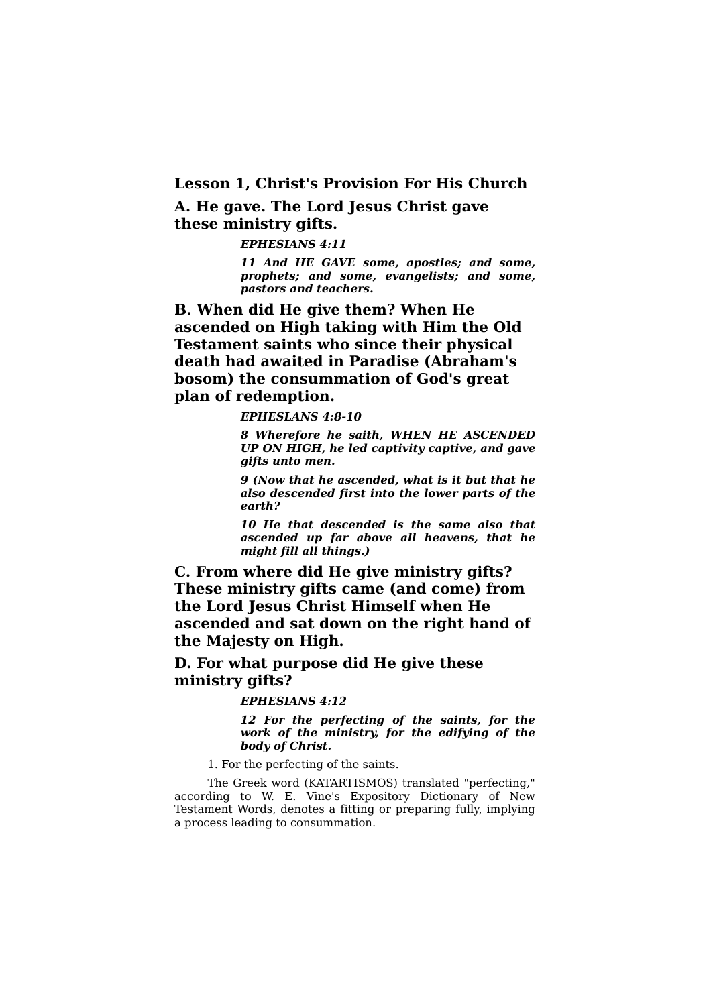#### **Lesson 1, Christ's Provision For His Church**

**A. He gave. The Lord Jesus Christ gave these ministry gifts.**

#### *EPHESIANS 4:11*

*11 And HE GAVE some, apostles; and some, prophets; and some, evangelists; and some, pastors and teachers.*

**B. When did He give them? When He ascended on High taking with Him the Old Testament saints who since their physical death had awaited in Paradise (Abraham's bosom) the consummation of God's great plan of redemption.**

*EPHESLANS 4:8-10*

*8 Wherefore he saith, WHEN HE ASCENDED UP ON HIGH, he led captivity captive, and gave gifts unto men.*

*9 (Now that he ascended, what is it but that he also descended first into the lower parts of the earth?*

*10 He that descended is the same also that ascended up far above all heavens, that he might fill all things.)*

**C. From where did He give ministry gifts? These ministry gifts came (and come) from the Lord Jesus Christ Himself when He ascended and sat down on the right hand of the Majesty on High.**

**D. For what purpose did He give these ministry gifts?**

#### *EPHESIANS 4:12*

*12 For the perfecting of the saints, for the work of the ministry, for the edifying of the body of Christ.*

1. For the perfecting of the saints.

The Greek word (KATARTISMOS) translated "perfecting," according to W. E. Vine's Expository Dictionary of New Testament Words, denotes a fitting or preparing fully, implying a process leading to consummation.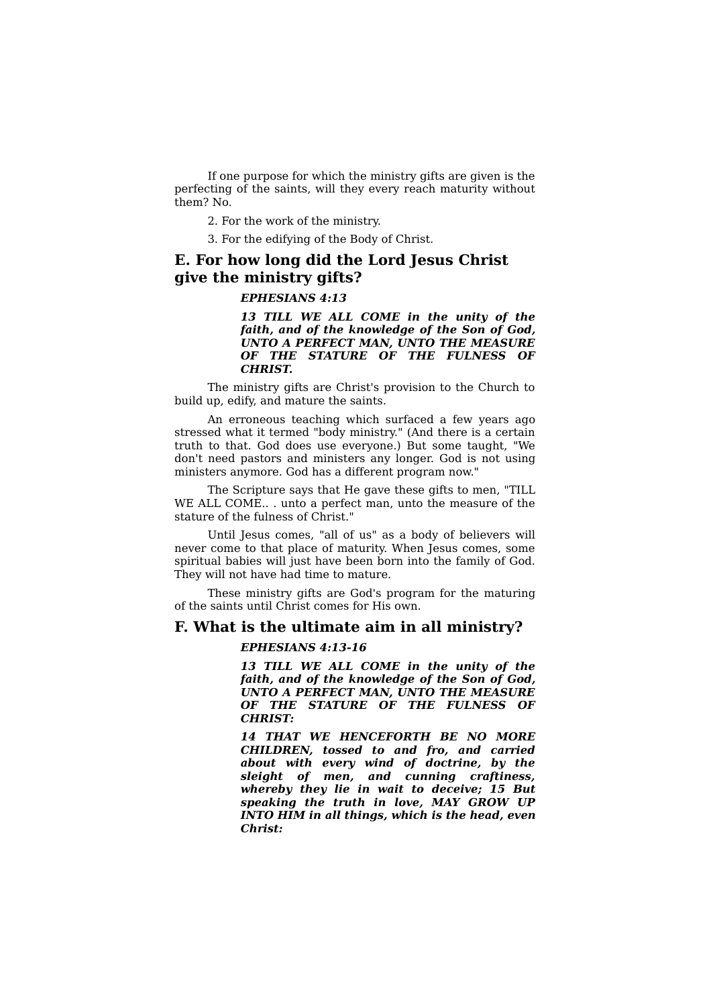If one purpose for which the ministry gifts are given is the perfecting of the saints, will they every reach maturity without them? No.

2. For the work of the ministry.

3. For the edifying of the Body of Christ.

# **E. For how long did the Lord Jesus Christ give the ministry gifts?**

#### *EPHESIANS 4:13*

*13 TILL WE ALL COME in the unity of the faith, and of the knowledge of the Son of God, UNTO A PERFECT MAN, UNTO THE MEASURE OF THE STATURE OF THE FULNESS OF CHRIST.*

The ministry gifts are Christ's provision to the Church to build up, edify, and mature the saints.

An erroneous teaching which surfaced a few years ago stressed what it termed "body ministry." (And there is a certain truth to that. God does use everyone.) But some taught, "We don't need pastors and ministers any longer. God is not using ministers anymore. God has a different program now."

The Scripture says that He gave these gifts to men, "TILL WE ALL COME.. . unto a perfect man, unto the measure of the stature of the fulness of Christ."

Until Jesus comes, "all of us" as a body of believers will never come to that place of maturity. When Jesus comes, some spiritual babies will just have been born into the family of God. They will not have had time to mature.

These ministry gifts are God's program for the maturing of the saints until Christ comes for His own.

### **F. What is the ultimate aim in all ministry?**

*EPHESIANS 4:13-16*

*13 TILL WE ALL COME in the unity of the faith, and of the knowledge of the Son of God, UNTO A PERFECT MAN, UNTO THE MEASURE OF THE STATURE OF THE FULNESS OF CHRIST:*

*14 THAT WE HENCEFORTH BE NO MORE CHILDREN, tossed to and fro, and carried about with every wind of doctrine, by the sleight of men, and cunning craftiness, whereby they lie in wait to deceive; 15 But speaking the truth in love, MAY GROW UP INTO HIM in all things, which is the head, even Christ:*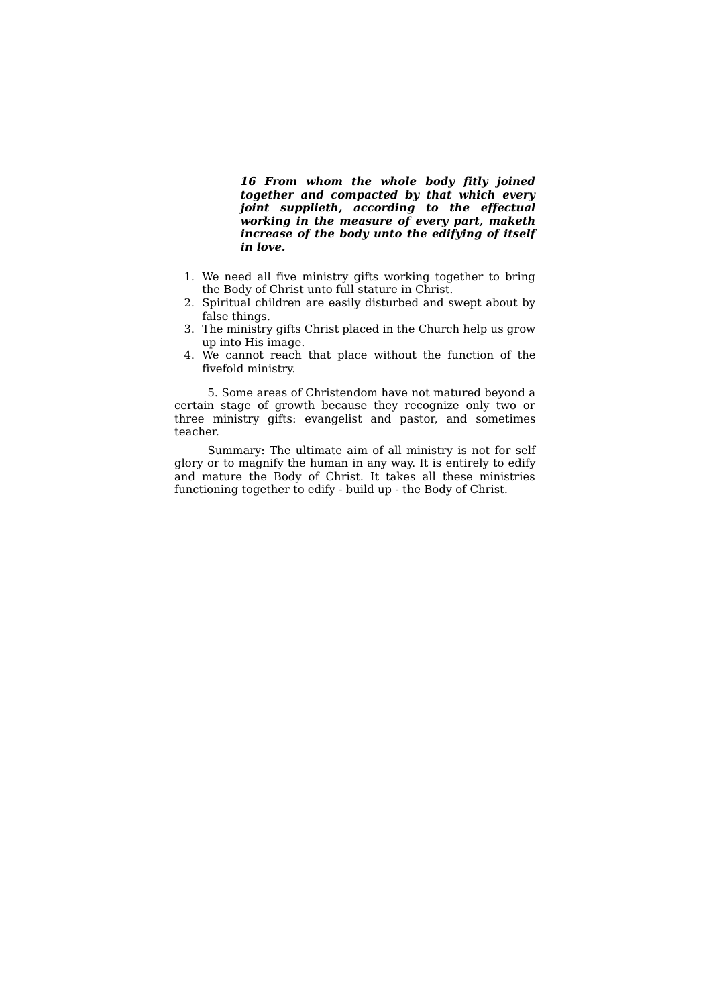*16 From whom the whole body fitly joined together and compacted by that which every joint supplieth, according to the effectual working in the measure of every part, maketh increase of the body unto the edifying of itself in love.*

- 1. We need all five ministry gifts working together to bring the Body of Christ unto full stature in Christ.
- 2. Spiritual children are easily disturbed and swept about by false things.
- 3. The ministry gifts Christ placed in the Church help us grow up into His image.
- 4. We cannot reach that place without the function of the fivefold ministry.

5. Some areas of Christendom have not matured beyond a certain stage of growth because they recognize only two or three ministry gifts: evangelist and pastor, and sometimes teacher.

Summary: The ultimate aim of all ministry is not for self glory or to magnify the human in any way. It is entirely to edify and mature the Body of Christ. It takes all these ministries functioning together to edify - build up - the Body of Christ.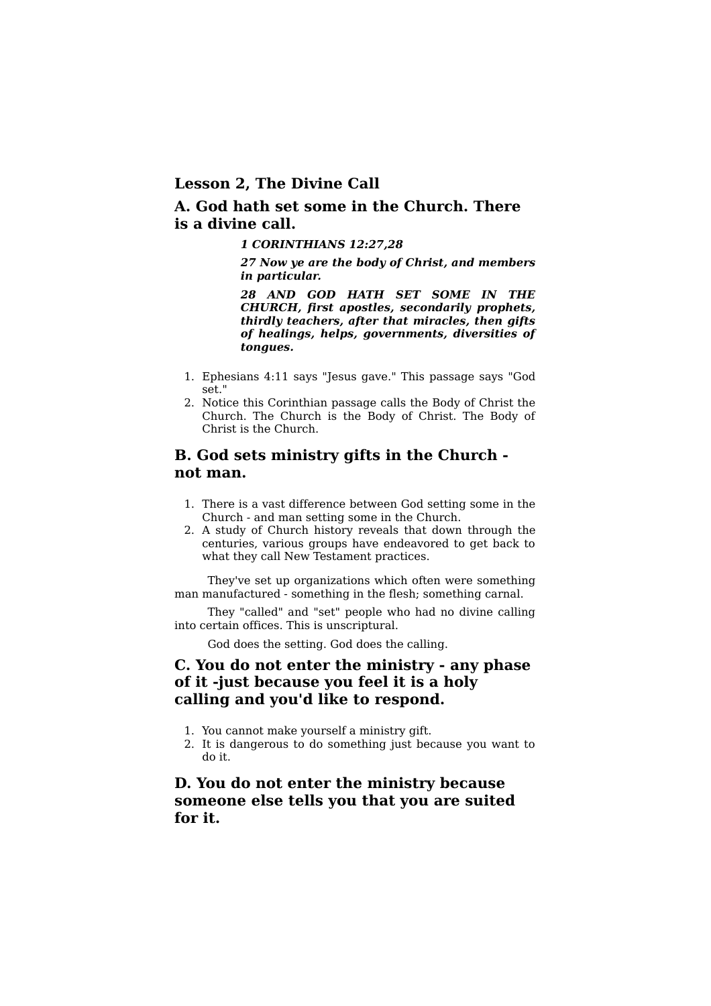### **Lesson 2, The Divine Call**

# **A. God hath set some in the Church. There is a divine call.**

#### *1 CORINTHIANS 12:27,28*

*27 Now ye are the body of Christ, and members in particular.*

*28 AND GOD HATH SET SOME IN THE CHURCH, first apostles, secondarily prophets, thirdly teachers, after that miracles, then gifts of healings, helps, governments, diversities of tongues.*

- 1. Ephesians 4:11 says "Jesus gave." This passage says "God set."
- 2. Notice this Corinthian passage calls the Body of Christ the Church. The Church is the Body of Christ. The Body of Christ is the Church.

### **B. God sets ministry gifts in the Church not man.**

- 1. There is a vast difference between God setting some in the Church - and man setting some in the Church.
- 2. A study of Church history reveals that down through the centuries, various groups have endeavored to get back to what they call New Testament practices.

They've set up organizations which often were something man manufactured - something in the flesh; something carnal.

They "called" and "set" people who had no divine calling into certain offices. This is unscriptural.

God does the setting. God does the calling.

# **C. You do not enter the ministry - any phase of it -just because you feel it is a holy calling and you'd like to respond.**

- 1. You cannot make yourself a ministry gift.
- 2. It is dangerous to do something just because you want to do it.

# **D. You do not enter the ministry because someone else tells you that you are suited for it.**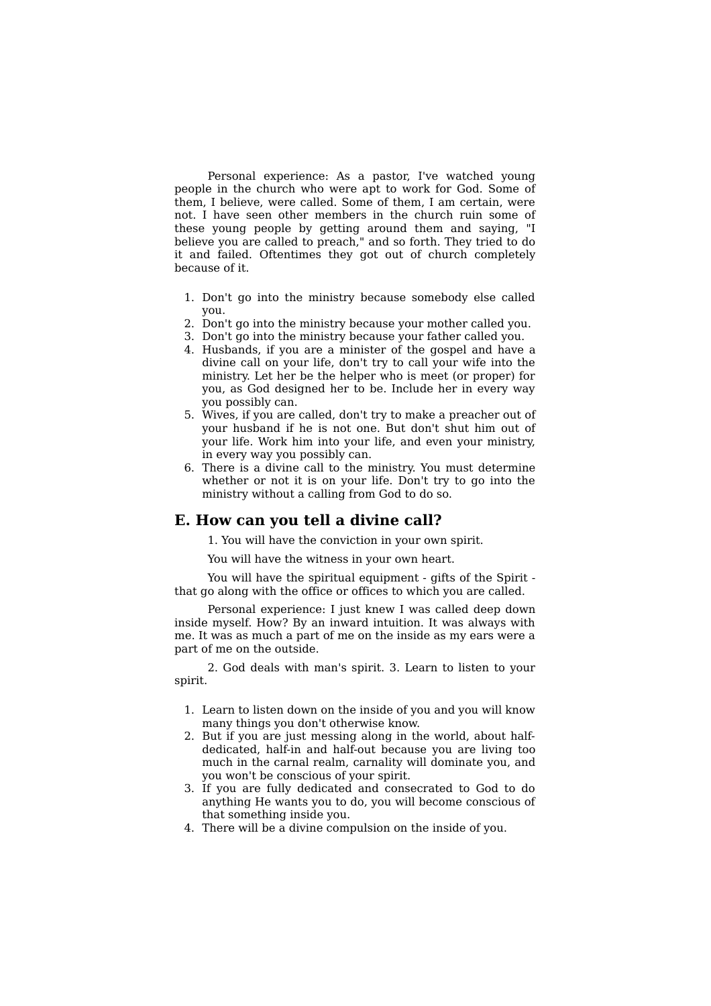Personal experience: As a pastor, I've watched young people in the church who were apt to work for God. Some of them, I believe, were called. Some of them, I am certain, were not. I have seen other members in the church ruin some of these young people by getting around them and saying, "I believe you are called to preach," and so forth. They tried to do it and failed. Oftentimes they got out of church completely because of it.

- 1. Don't go into the ministry because somebody else called you.
- 2. Don't go into the ministry because your mother called you.
- 3. Don't go into the ministry because your father called you.
- 4. Husbands, if you are a minister of the gospel and have a divine call on your life, don't try to call your wife into the ministry. Let her be the helper who is meet (or proper) for you, as God designed her to be. Include her in every way you possibly can.
- 5. Wives, if you are called, don't try to make a preacher out of your husband if he is not one. But don't shut him out of your life. Work him into your life, and even your ministry, in every way you possibly can.
- 6. There is a divine call to the ministry. You must determine whether or not it is on your life. Don't try to go into the ministry without a calling from God to do so.

### **E. How can you tell a divine call?**

1. You will have the conviction in your own spirit.

You will have the witness in your own heart.

You will have the spiritual equipment - gifts of the Spirit that go along with the office or offices to which you are called.

Personal experience: I just knew I was called deep down inside myself. How? By an inward intuition. It was always with me. It was as much a part of me on the inside as my ears were a part of me on the outside.

2. God deals with man's spirit. 3. Learn to listen to your spirit.

- 1. Learn to listen down on the inside of you and you will know many things you don't otherwise know.
- 2. But if you are just messing along in the world, about halfdedicated, half-in and half-out because you are living too much in the carnal realm, carnality will dominate you, and you won't be conscious of your spirit.
- 3. If you are fully dedicated and consecrated to God to do anything He wants you to do, you will become conscious of that something inside you.
- 4. There will be a divine compulsion on the inside of you.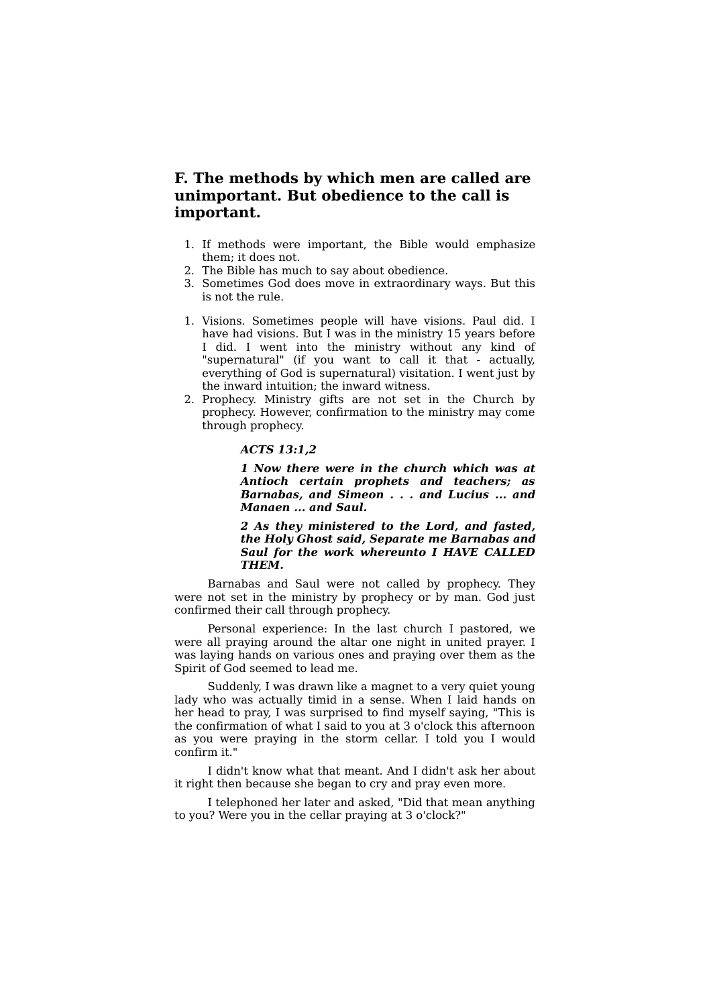# **F. The methods by which men are called are unimportant. But obedience to the call is important.**

- 1. If methods were important, the Bible would emphasize them; it does not.
- 2. The Bible has much to say about obedience.
- 3. Sometimes God does move in extraordinary ways. But this is not the rule.
- 1. Visions. Sometimes people will have visions. Paul did. I have had visions. But I was in the ministry 15 years before I did. I went into the ministry without any kind of "supernatural" (if you want to call it that - actually, everything of God is supernatural) visitation. I went just by the inward intuition; the inward witness.
- 2. Prophecy. Ministry gifts are not set in the Church by prophecy. However, confirmation to the ministry may come through prophecy.

#### *ACTS 13:1,2*

*1 Now there were in the church which was at Antioch certain prophets and teachers; as Barnabas, and Simeon . . . and Lucius ... and Manaen ... and Saul.*

*2 As they ministered to the Lord, and fasted, the Holy Ghost said, Separate me Barnabas and Saul for the work whereunto I HAVE CALLED THEM.*

Barnabas and Saul were not called by prophecy. They were not set in the ministry by prophecy or by man. God just confirmed their call through prophecy.

Personal experience: In the last church I pastored, we were all praying around the altar one night in united prayer. I was laying hands on various ones and praying over them as the Spirit of God seemed to lead me.

Suddenly, I was drawn like a magnet to a very quiet young lady who was actually timid in a sense. When I laid hands on her head to pray, I was surprised to find myself saying, "This is the confirmation of what I said to you at 3 o'clock this afternoon as you were praying in the storm cellar. I told you I would confirm it."

I didn't know what that meant. And I didn't ask her about it right then because she began to cry and pray even more.

I telephoned her later and asked, "Did that mean anything to you? Were you in the cellar praying at 3 o'clock?"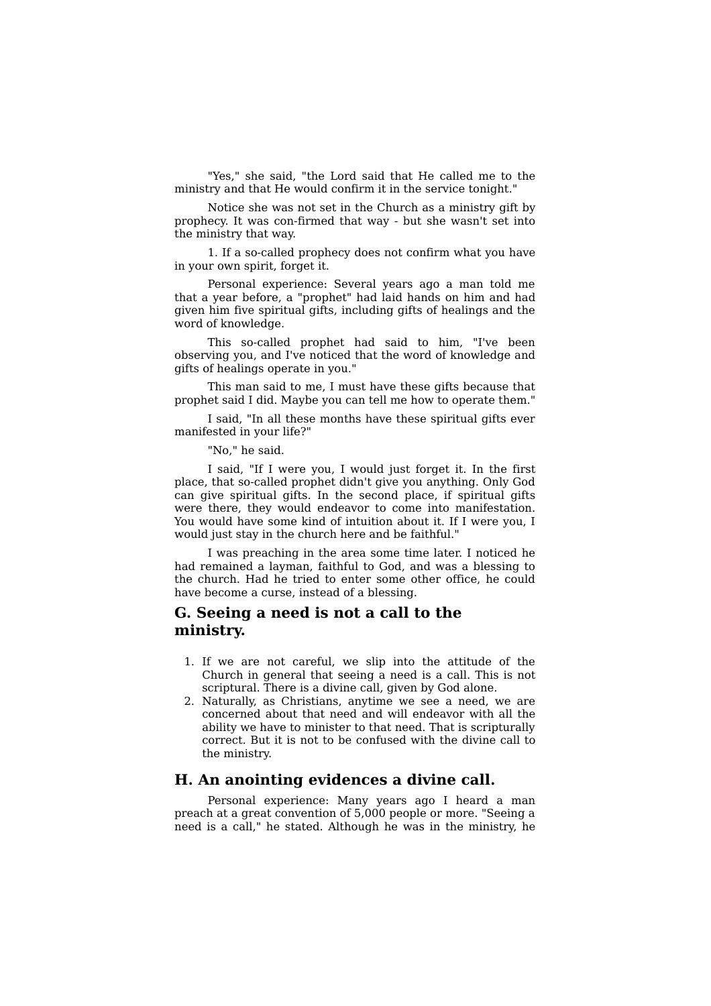"Yes," she said, "the Lord said that He called me to the ministry and that He would confirm it in the service tonight."

Notice she was not set in the Church as a ministry gift by prophecy. It was con-firmed that way - but she wasn't set into the ministry that way.

1. If a so-called prophecy does not confirm what you have in your own spirit, forget it.

Personal experience: Several years ago a man told me that a year before, a "prophet" had laid hands on him and had given him five spiritual gifts, including gifts of healings and the word of knowledge.

This so-called prophet had said to him, "I've been observing you, and I've noticed that the word of knowledge and gifts of healings operate in you."

This man said to me, I must have these gifts because that prophet said I did. Maybe you can tell me how to operate them."

I said, "In all these months have these spiritual gifts ever manifested in your life?"

"No," he said.

I said, "If I were you, I would just forget it. In the first place, that so-called prophet didn't give you anything. Only God can give spiritual gifts. In the second place, if spiritual gifts were there, they would endeavor to come into manifestation. You would have some kind of intuition about it. If I were you, I would just stay in the church here and be faithful."

I was preaching in the area some time later. I noticed he had remained a layman, faithful to God, and was a blessing to the church. Had he tried to enter some other office, he could have become a curse, instead of a blessing.

### **G. Seeing a need is not a call to the ministry.**

- 1. If we are not careful, we slip into the attitude of the Church in general that seeing a need is a call. This is not scriptural. There is a divine call, given by God alone.
- 2. Naturally, as Christians, anytime we see a need, we are concerned about that need and will endeavor with all the ability we have to minister to that need. That is scripturally correct. But it is not to be confused with the divine call to the ministry.

### **H. An anointing evidences a divine call.**

Personal experience: Many years ago I heard a man preach at a great convention of 5,000 people or more. "Seeing a need is a call," he stated. Although he was in the ministry, he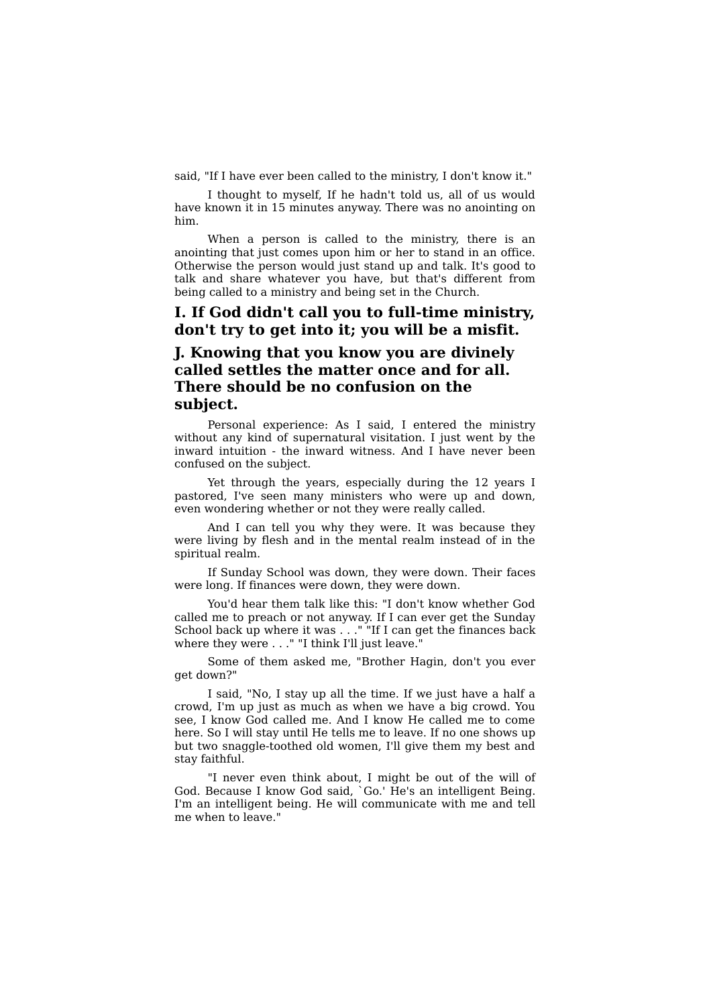said, "If I have ever been called to the ministry, I don't know it."

I thought to myself, If he hadn't told us, all of us would have known it in 15 minutes anyway. There was no anointing on him.

When a person is called to the ministry, there is an anointing that just comes upon him or her to stand in an office. Otherwise the person would just stand up and talk. It's good to talk and share whatever you have, but that's different from being called to a ministry and being set in the Church.

### **I. If God didn't call you to full-time ministry, don't try to get into it; you will be a misfit.**

# **J. Knowing that you know you are divinely called settles the matter once and for all. There should be no confusion on the subject.**

Personal experience: As I said, I entered the ministry without any kind of supernatural visitation. I just went by the inward intuition - the inward witness. And I have never been confused on the subject.

Yet through the years, especially during the 12 years I pastored, I've seen many ministers who were up and down, even wondering whether or not they were really called.

And I can tell you why they were. It was because they were living by flesh and in the mental realm instead of in the spiritual realm.

If Sunday School was down, they were down. Their faces were long. If finances were down, they were down.

You'd hear them talk like this: "I don't know whether God called me to preach or not anyway. If I can ever get the Sunday School back up where it was . . ." "If I can get the finances back where they were . . . " "I think I'll just leave."

Some of them asked me, "Brother Hagin, don't you ever get down?"

I said, "No, I stay up all the time. If we just have a half a crowd, I'm up just as much as when we have a big crowd. You see, I know God called me. And I know He called me to come here. So I will stay until He tells me to leave. If no one shows up but two snaggle-toothed old women, I'll give them my best and stay faithful.

"I never even think about, I might be out of the will of God. Because I know God said, `Go.' He's an intelligent Being. I'm an intelligent being. He will communicate with me and tell me when to leave."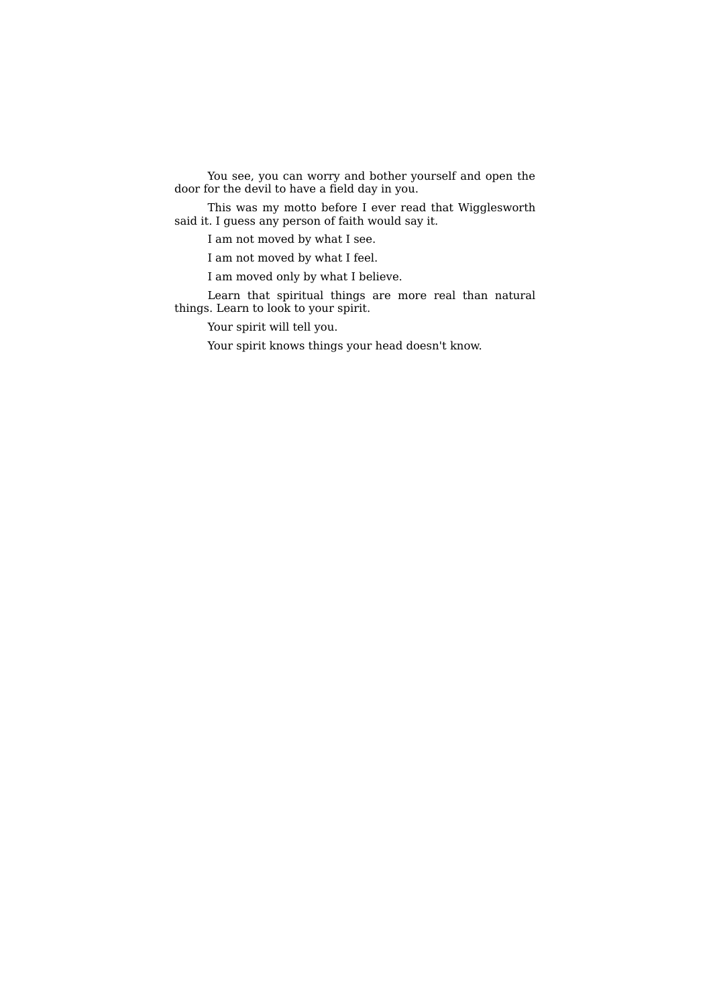You see, you can worry and bother yourself and open the door for the devil to have a field day in you.

This was my motto before I ever read that Wigglesworth said it. I guess any person of faith would say it.

I am not moved by what I see.

I am not moved by what I feel.

I am moved only by what I believe.

Learn that spiritual things are more real than natural things. Learn to look to your spirit.

Your spirit will tell you.

Your spirit knows things your head doesn't know.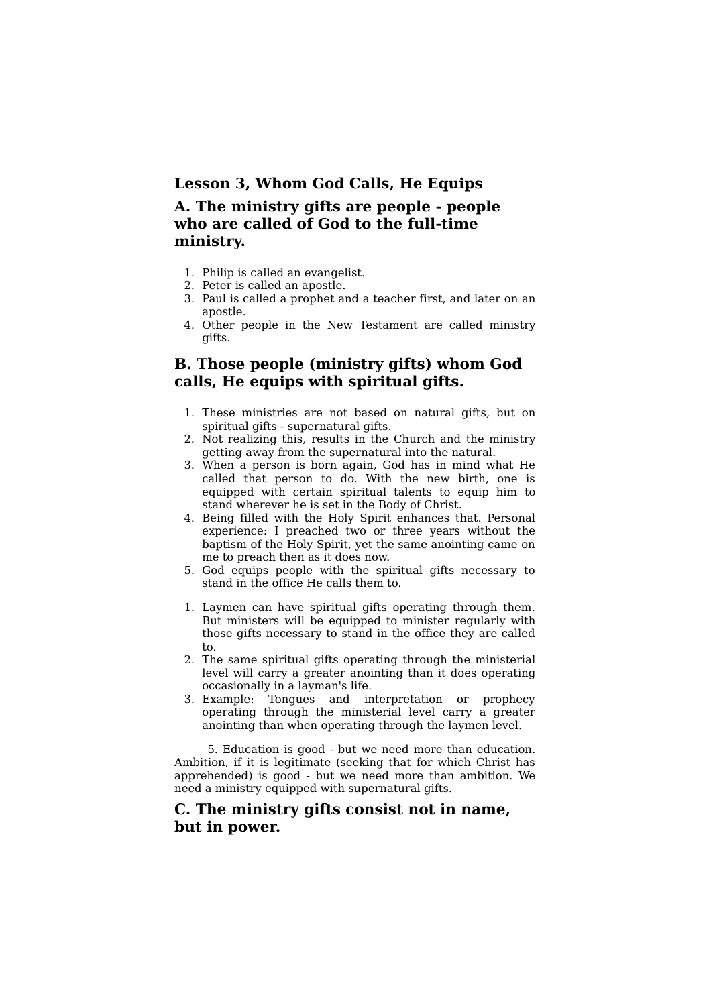# **Lesson 3, Whom God Calls, He Equips**

# **A. The ministry gifts are people - people who are called of God to the full-time ministry.**

- 1. Philip is called an evangelist.
- 2. Peter is called an apostle.
- 3. Paul is called a prophet and a teacher first, and later on an apostle.
- 4. Other people in the New Testament are called ministry gifts.

# **B. Those people (ministry gifts) whom God calls, He equips with spiritual gifts.**

- 1. These ministries are not based on natural gifts, but on spiritual gifts - supernatural gifts.
- 2. Not realizing this, results in the Church and the ministry getting away from the supernatural into the natural.
- 3. When a person is born again, God has in mind what He called that person to do. With the new birth, one is equipped with certain spiritual talents to equip him to stand wherever he is set in the Body of Christ.
- 4. Being filled with the Holy Spirit enhances that. Personal experience: I preached two or three years without the baptism of the Holy Spirit, yet the same anointing came on me to preach then as it does now.
- 5. God equips people with the spiritual gifts necessary to stand in the office He calls them to.
- 1. Laymen can have spiritual gifts operating through them. But ministers will be equipped to minister regularly with those gifts necessary to stand in the office they are called to.
- 2. The same spiritual gifts operating through the ministerial level will carry a greater anointing than it does operating occasionally in a layman's life.
- 3. Example: Tongues and interpretation or prophecy operating through the ministerial level carry a greater anointing than when operating through the laymen level.

5. Education is good - but we need more than education. Ambition, if it is legitimate (seeking that for which Christ has apprehended) is good - but we need more than ambition. We need a ministry equipped with supernatural gifts.

### **C. The ministry gifts consist not in name, but in power.**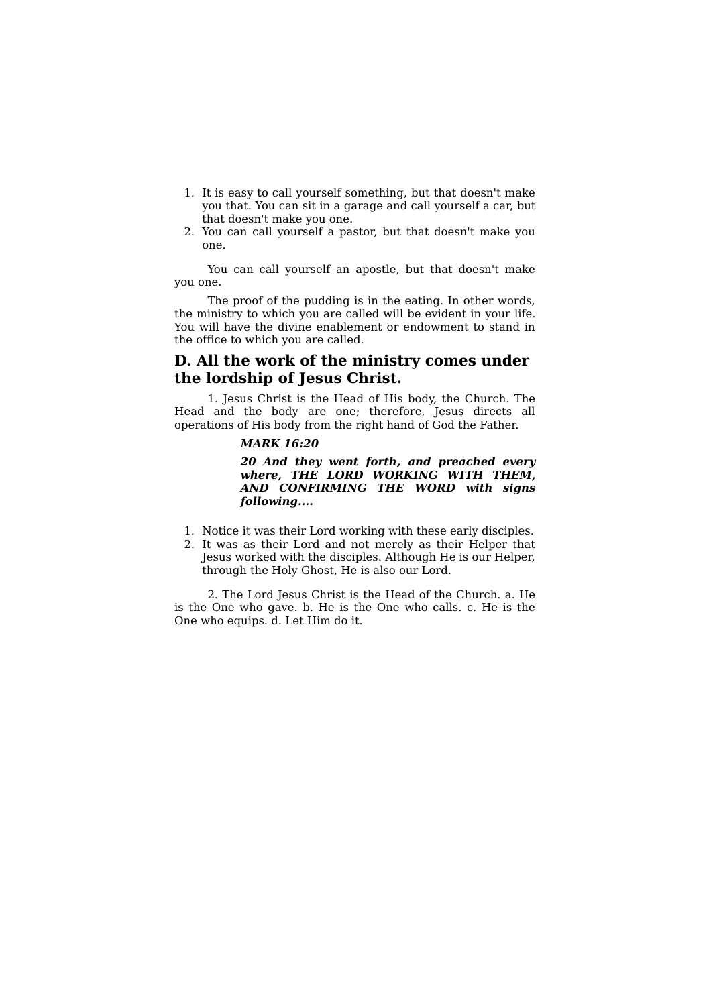- 1. It is easy to call yourself something, but that doesn't make you that. You can sit in a garage and call yourself a car, but that doesn't make you one.
- 2. You can call yourself a pastor, but that doesn't make you one.

You can call yourself an apostle, but that doesn't make you one.

The proof of the pudding is in the eating. In other words, the ministry to which you are called will be evident in your life. You will have the divine enablement or endowment to stand in the office to which you are called.

### **D. All the work of the ministry comes under the lordship of Jesus Christ.**

1. Jesus Christ is the Head of His body, the Church. The Head and the body are one; therefore, Jesus directs all operations of His body from the right hand of God the Father.

#### *MARK 16:20*

*20 And they went forth, and preached every where, THE LORD WORKING WITH THEM, AND CONFIRMING THE WORD with signs following....*

- 1. Notice it was their Lord working with these early disciples.
- 2. It was as their Lord and not merely as their Helper that Jesus worked with the disciples. Although He is our Helper, through the Holy Ghost, He is also our Lord.

2. The Lord Jesus Christ is the Head of the Church. a. He is the One who gave. b. He is the One who calls. c. He is the One who equips. d. Let Him do it.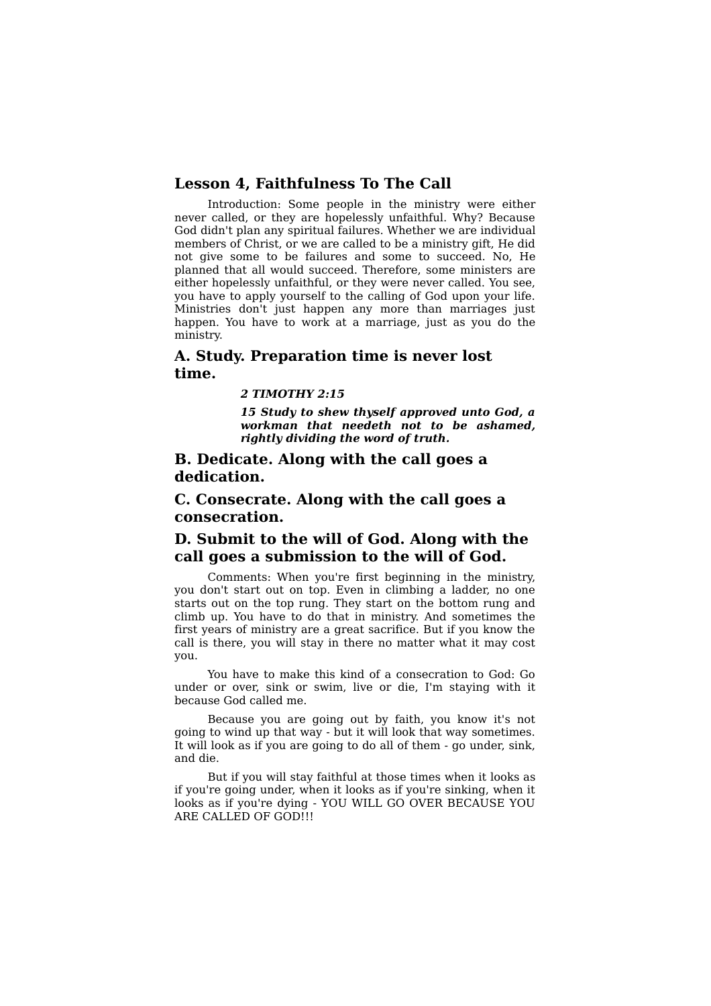### **Lesson 4, Faithfulness To The Call**

Introduction: Some people in the ministry were either never called, or they are hopelessly unfaithful. Why? Because God didn't plan any spiritual failures. Whether we are individual members of Christ, or we are called to be a ministry gift, He did not give some to be failures and some to succeed. No, He planned that all would succeed. Therefore, some ministers are either hopelessly unfaithful, or they were never called. You see, you have to apply yourself to the calling of God upon your life. Ministries don't just happen any more than marriages just happen. You have to work at a marriage, just as you do the ministry.

### **A. Study. Preparation time is never lost time.**

#### *2 TIMOTHY 2:15*

*15 Study to shew thyself approved unto God, a workman that needeth not to be ashamed, rightly dividing the word of truth.*

### **B. Dedicate. Along with the call goes a dedication.**

### **C. Consecrate. Along with the call goes a consecration.**

### **D. Submit to the will of God. Along with the call goes a submission to the will of God.**

Comments: When you're first beginning in the ministry, you don't start out on top. Even in climbing a ladder, no one starts out on the top rung. They start on the bottom rung and climb up. You have to do that in ministry. And sometimes the first years of ministry are a great sacrifice. But if you know the call is there, you will stay in there no matter what it may cost you.

You have to make this kind of a consecration to God: Go under or over, sink or swim, live or die, I'm staying with it because God called me.

Because you are going out by faith, you know it's not going to wind up that way - but it will look that way sometimes. It will look as if you are going to do all of them - go under, sink, and die.

But if you will stay faithful at those times when it looks as if you're going under, when it looks as if you're sinking, when it looks as if you're dying - YOU WILL GO OVER BECAUSE YOU ARE CALLED OF GOD!!!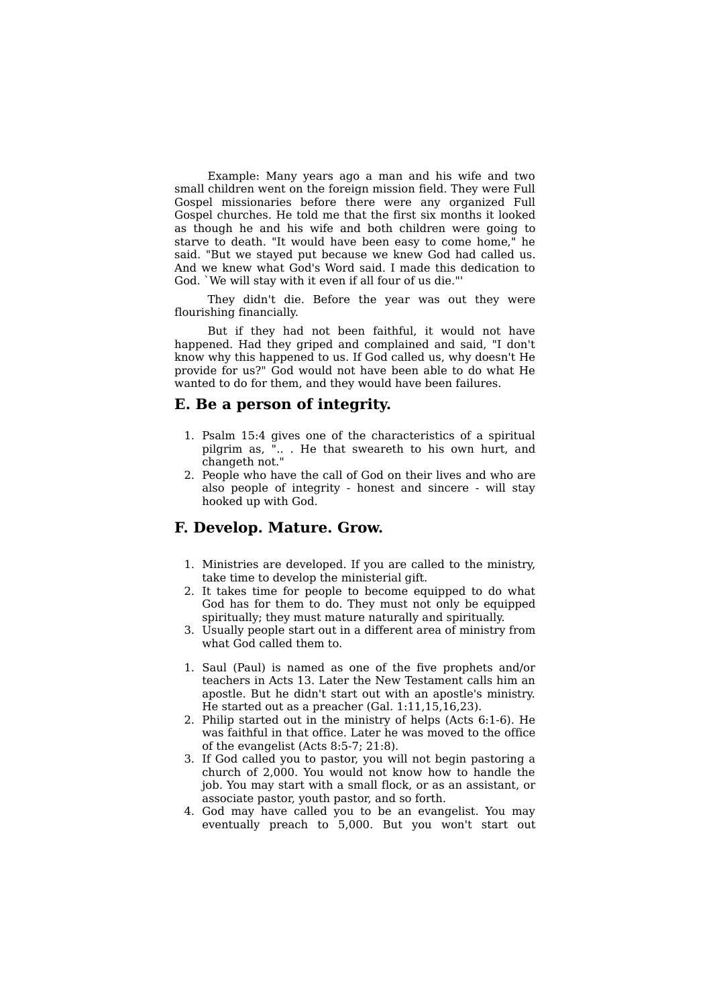Example: Many years ago a man and his wife and two small children went on the foreign mission field. They were Full Gospel missionaries before there were any organized Full Gospel churches. He told me that the first six months it looked as though he and his wife and both children were going to starve to death. "It would have been easy to come home," he said. "But we stayed put because we knew God had called us. And we knew what God's Word said. I made this dedication to God. `We will stay with it even if all four of us die."'

They didn't die. Before the year was out they were flourishing financially.

But if they had not been faithful, it would not have happened. Had they griped and complained and said, "I don't know why this happened to us. If God called us, why doesn't He provide for us?" God would not have been able to do what He wanted to do for them, and they would have been failures.

### **E. Be a person of integrity.**

- 1. Psalm 15:4 gives one of the characteristics of a spiritual pilgrim as, ".. . He that sweareth to his own hurt, and changeth not."
- 2. People who have the call of God on their lives and who are also people of integrity - honest and sincere - will stay hooked up with God.

### **F. Develop. Mature. Grow.**

- 1. Ministries are developed. If you are called to the ministry, take time to develop the ministerial gift.
- 2. It takes time for people to become equipped to do what God has for them to do. They must not only be equipped spiritually; they must mature naturally and spiritually.
- 3. Usually people start out in a different area of ministry from what God called them to.
- 1. Saul (Paul) is named as one of the five prophets and/or teachers in Acts 13. Later the New Testament calls him an apostle. But he didn't start out with an apostle's ministry. He started out as a preacher (Gal. 1:11,15,16,23).
- 2. Philip started out in the ministry of helps (Acts 6:1-6). He was faithful in that office. Later he was moved to the office of the evangelist (Acts 8:5-7; 21:8).
- 3. If God called you to pastor, you will not begin pastoring a church of 2,000. You would not know how to handle the job. You may start with a small flock, or as an assistant, or associate pastor, youth pastor, and so forth.
- 4. God may have called you to be an evangelist. You may eventually preach to 5,000. But you won't start out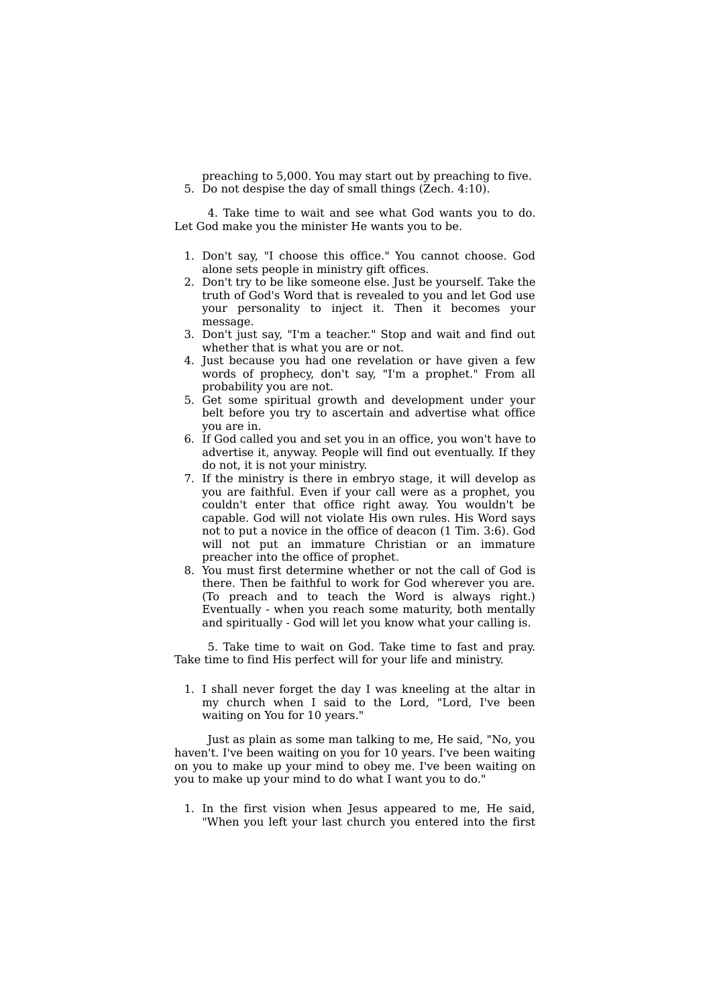preaching to 5,000. You may start out by preaching to five. 5. Do not despise the day of small things (Zech. 4:10).

4. Take time to wait and see what God wants you to do. Let God make you the minister He wants you to be.

- 1. Don't say, "I choose this office." You cannot choose. God alone sets people in ministry gift offices.
- 2. Don't try to be like someone else. Just be yourself. Take the truth of God's Word that is revealed to you and let God use your personality to inject it. Then it becomes your message.
- 3. Don't just say, "I'm a teacher." Stop and wait and find out whether that is what you are or not.
- 4. Just because you had one revelation or have given a few words of prophecy, don't say, "I'm a prophet." From all probability you are not.
- 5. Get some spiritual growth and development under your belt before you try to ascertain and advertise what office you are in.
- 6. If God called you and set you in an office, you won't have to advertise it, anyway. People will find out eventually. If they do not, it is not your ministry.
- 7. If the ministry is there in embryo stage, it will develop as you are faithful. Even if your call were as a prophet, you couldn't enter that office right away. You wouldn't be capable. God will not violate His own rules. His Word says not to put a novice in the office of deacon (1 Tim. 3:6). God will not put an immature Christian or an immature preacher into the office of prophet.
- 8. You must first determine whether or not the call of God is there. Then be faithful to work for God wherever you are. (To preach and to teach the Word is always right.) Eventually - when you reach some maturity, both mentally and spiritually - God will let you know what your calling is.

5. Take time to wait on God. Take time to fast and pray. Take time to find His perfect will for your life and ministry.

1. I shall never forget the day I was kneeling at the altar in my church when I said to the Lord, "Lord, I've been waiting on You for 10 years."

Just as plain as some man talking to me, He said, "No, you haven't. I've been waiting on you for 10 years. I've been waiting on you to make up your mind to obey me. I've been waiting on you to make up your mind to do what I want you to do."

1. In the first vision when Jesus appeared to me, He said, "When you left your last church you entered into the first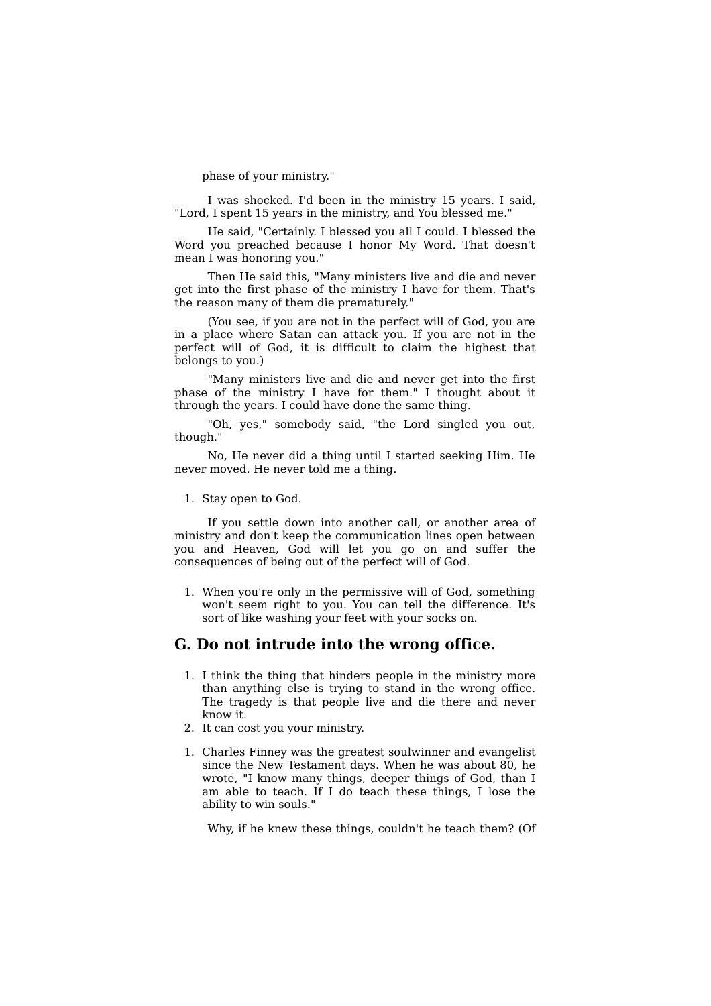phase of your ministry."

I was shocked. I'd been in the ministry 15 years. I said, "Lord, I spent 15 years in the ministry, and You blessed me."

He said, "Certainly. I blessed you all I could. I blessed the Word you preached because I honor My Word. That doesn't mean I was honoring you."

Then He said this, "Many ministers live and die and never get into the first phase of the ministry I have for them. That's the reason many of them die prematurely."

(You see, if you are not in the perfect will of God, you are in a place where Satan can attack you. If you are not in the perfect will of God, it is difficult to claim the highest that belongs to you.)

"Many ministers live and die and never get into the first phase of the ministry I have for them." I thought about it through the years. I could have done the same thing.

"Oh, yes," somebody said, "the Lord singled you out, though."

No, He never did a thing until I started seeking Him. He never moved. He never told me a thing.

1. Stay open to God.

If you settle down into another call, or another area of ministry and don't keep the communication lines open between you and Heaven, God will let you go on and suffer the consequences of being out of the perfect will of God.

1. When you're only in the permissive will of God, something won't seem right to you. You can tell the difference. It's sort of like washing your feet with your socks on.

### **G. Do not intrude into the wrong office.**

- 1. I think the thing that hinders people in the ministry more than anything else is trying to stand in the wrong office. The tragedy is that people live and die there and never know it.
- 2. It can cost you your ministry.
- 1. Charles Finney was the greatest soulwinner and evangelist since the New Testament days. When he was about 80, he wrote, "I know many things, deeper things of God, than I am able to teach. If I do teach these things, I lose the ability to win souls."

Why, if he knew these things, couldn't he teach them? (Of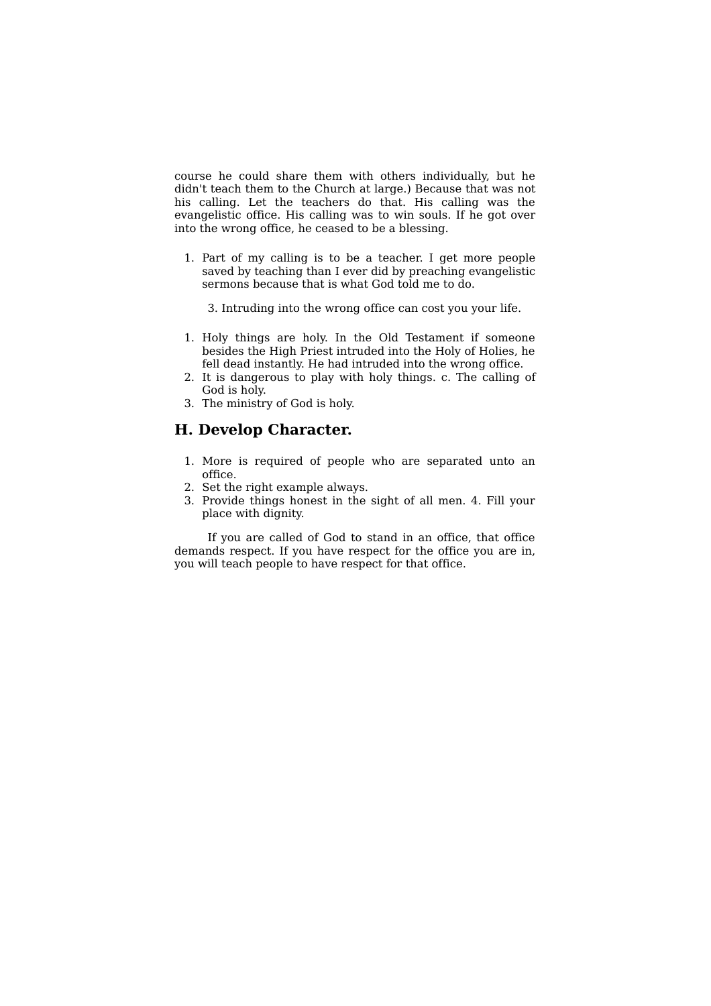course he could share them with others individually, but he didn't teach them to the Church at large.) Because that was not his calling. Let the teachers do that. His calling was the evangelistic office. His calling was to win souls. If he got over into the wrong office, he ceased to be a blessing.

- 1. Part of my calling is to be a teacher. I get more people saved by teaching than I ever did by preaching evangelistic sermons because that is what God told me to do.
	- 3. Intruding into the wrong office can cost you your life.
- 1. Holy things are holy. In the Old Testament if someone besides the High Priest intruded into the Holy of Holies, he fell dead instantly. He had intruded into the wrong office.
- 2. It is dangerous to play with holy things. c. The calling of God is holy.
- 3. The ministry of God is holy.

# **H. Develop Character.**

- 1. More is required of people who are separated unto an office.
- 2. Set the right example always.
- 3. Provide things honest in the sight of all men. 4. Fill your place with dignity.

If you are called of God to stand in an office, that office demands respect. If you have respect for the office you are in, you will teach people to have respect for that office.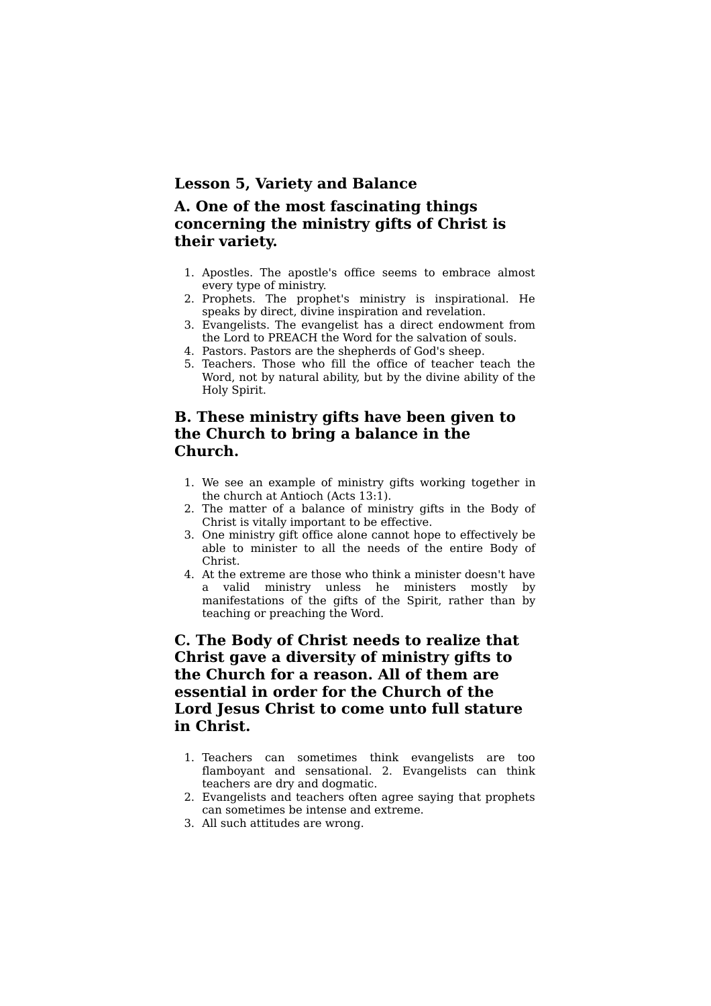### **Lesson 5, Variety and Balance**

# **A. One of the most fascinating things concerning the ministry gifts of Christ is their variety.**

- 1. Apostles. The apostle's office seems to embrace almost every type of ministry.
- 2. Prophets. The prophet's ministry is inspirational. He speaks by direct, divine inspiration and revelation.
- 3. Evangelists. The evangelist has a direct endowment from the Lord to PREACH the Word for the salvation of souls.
- 4. Pastors. Pastors are the shepherds of God's sheep.
- 5. Teachers. Those who fill the office of teacher teach the Word, not by natural ability, but by the divine ability of the Holy Spirit.

# **B. These ministry gifts have been given to the Church to bring a balance in the Church.**

- 1. We see an example of ministry gifts working together in the church at Antioch (Acts 13:1).
- 2. The matter of a balance of ministry gifts in the Body of Christ is vitally important to be effective.
- 3. One ministry gift office alone cannot hope to effectively be able to minister to all the needs of the entire Body of Christ.
- 4. At the extreme are those who think a minister doesn't have a valid ministry unless he ministers mostly by manifestations of the gifts of the Spirit, rather than by teaching or preaching the Word.

# **C. The Body of Christ needs to realize that Christ gave a diversity of ministry gifts to the Church for a reason. All of them are essential in order for the Church of the Lord Jesus Christ to come unto full stature in Christ.**

- 1. Teachers can sometimes think evangelists are too flamboyant and sensational. 2. Evangelists can think teachers are dry and dogmatic.
- 2. Evangelists and teachers often agree saying that prophets can sometimes be intense and extreme.
- 3. All such attitudes are wrong.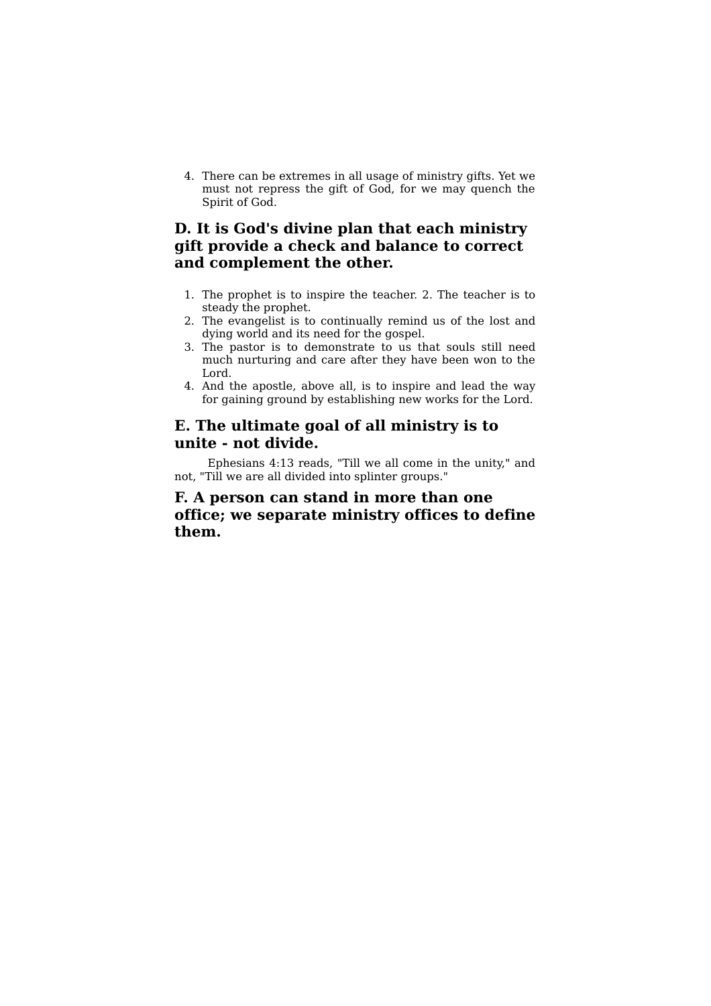4. There can be extremes in all usage of ministry gifts. Yet we must not repress the gift of God, for we may quench the Spirit of God.

# **D. It is God's divine plan that each ministry gift provide a check and balance to correct and complement the other.**

- 1. The prophet is to inspire the teacher. 2. The teacher is to steady the prophet.
- 2. The evangelist is to continually remind us of the lost and dying world and its need for the gospel.
- 3. The pastor is to demonstrate to us that souls still need much nurturing and care after they have been won to the Lord.
- 4. And the apostle, above all, is to inspire and lead the way for gaining ground by establishing new works for the Lord.

# **E. The ultimate goal of all ministry is to unite - not divide.**

Ephesians 4:13 reads, "Till we all come in the unity," and not, "Till we are all divided into splinter groups."

# **F. A person can stand in more than one office; we separate ministry offices to define them.**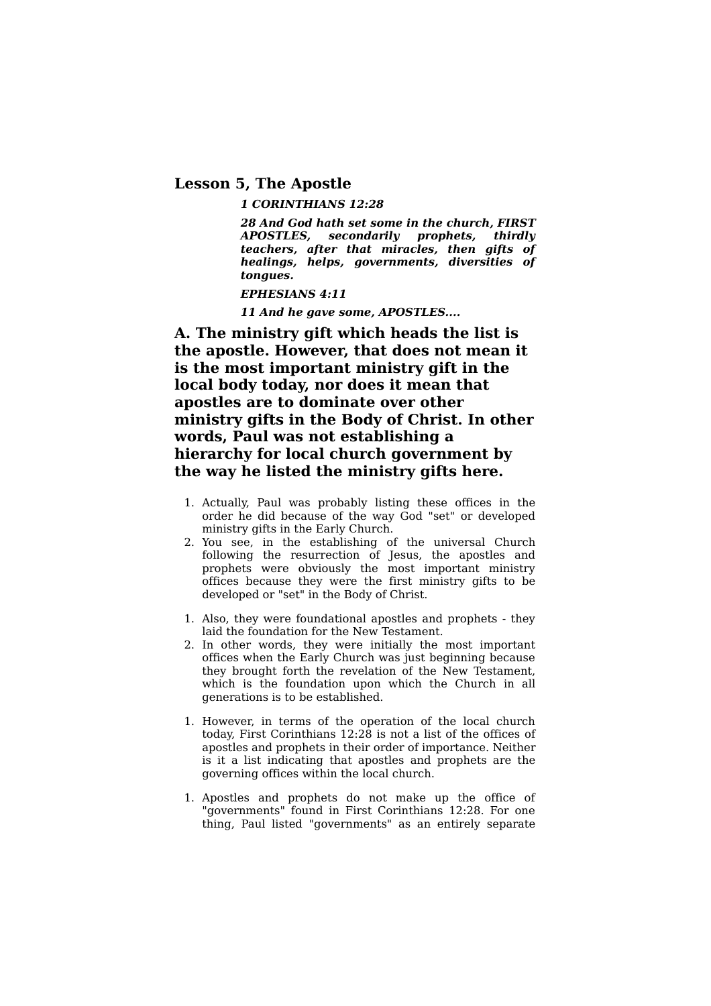### **Lesson 5, The Apostle**

#### *1 CORINTHIANS 12:28*

*28 And God hath set some in the church, FIRST APOSTLES, secondarily prophets, thirdly teachers, after that miracles, then gifts of healings, helps, governments, diversities of tongues.*

#### *EPHESIANS 4:11*

*11 And he gave some, APOSTLES....*

**A. The ministry gift which heads the list is the apostle. However, that does not mean it is the most important ministry gift in the local body today, nor does it mean that apostles are to dominate over other ministry gifts in the Body of Christ. In other words, Paul was not establishing a hierarchy for local church government by the way he listed the ministry gifts here.**

- 1. Actually, Paul was probably listing these offices in the order he did because of the way God "set" or developed ministry gifts in the Early Church.
- 2. You see, in the establishing of the universal Church following the resurrection of Jesus, the apostles and prophets were obviously the most important ministry offices because they were the first ministry gifts to be developed or "set" in the Body of Christ.
- 1. Also, they were foundational apostles and prophets they laid the foundation for the New Testament.
- 2. In other words, they were initially the most important offices when the Early Church was just beginning because they brought forth the revelation of the New Testament, which is the foundation upon which the Church in all generations is to be established.
- 1. However, in terms of the operation of the local church today, First Corinthians 12:28 is not a list of the offices of apostles and prophets in their order of importance. Neither is it a list indicating that apostles and prophets are the governing offices within the local church.
- 1. Apostles and prophets do not make up the office of "governments" found in First Corinthians 12:28. For one thing, Paul listed "governments" as an entirely separate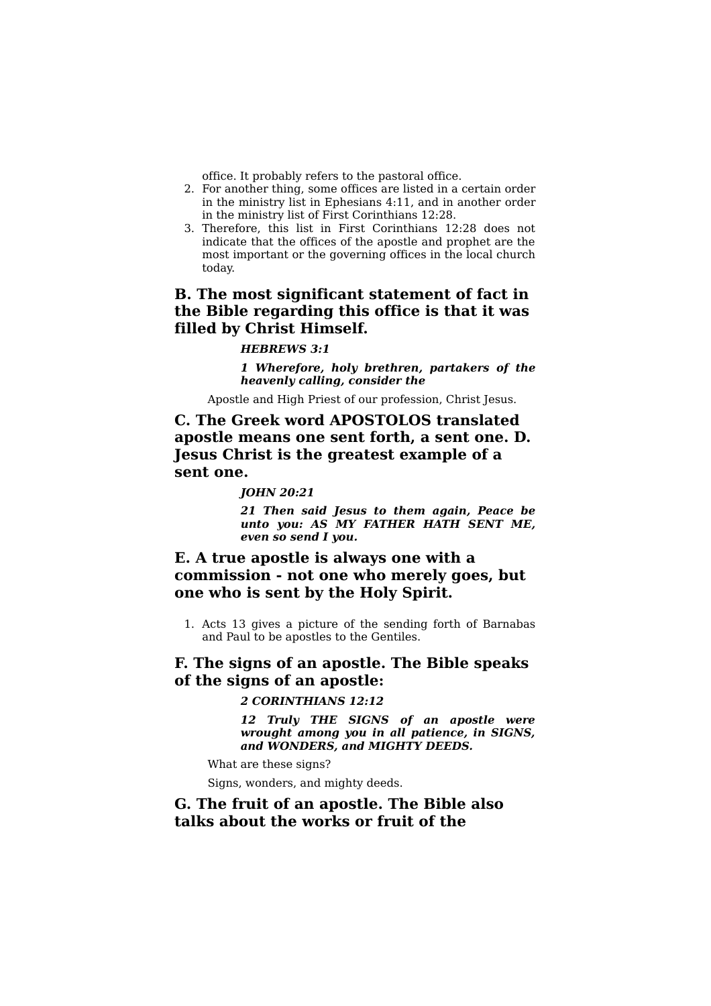office. It probably refers to the pastoral office.

- 2. For another thing, some offices are listed in a certain order in the ministry list in Ephesians 4:11, and in another order in the ministry list of First Corinthians 12:28.
- 3. Therefore, this list in First Corinthians 12:28 does not indicate that the offices of the apostle and prophet are the most important or the governing offices in the local church today.

# **B. The most significant statement of fact in the Bible regarding this office is that it was filled by Christ Himself.**

### *HEBREWS 3:1*

*1 Wherefore, holy brethren, partakers of the heavenly calling, consider the*

Apostle and High Priest of our profession, Christ Jesus.

**C. The Greek word APOSTOLOS translated apostle means one sent forth, a sent one. D. Jesus Christ is the greatest example of a sent one.**

#### *JOHN 20:21*

*21 Then said Jesus to them again, Peace be unto you: AS MY FATHER HATH SENT ME, even so send I you.*

# **E. A true apostle is always one with a commission - not one who merely goes, but one who is sent by the Holy Spirit.**

1. Acts 13 gives a picture of the sending forth of Barnabas and Paul to be apostles to the Gentiles.

# **F. The signs of an apostle. The Bible speaks of the signs of an apostle:**

#### *2 CORINTHIANS 12:12*

*12 Truly THE SIGNS of an apostle were wrought among you in all patience, in SIGNS, and WONDERS, and MIGHTY DEEDS.*

What are these signs?

Signs, wonders, and mighty deeds.

# **G. The fruit of an apostle. The Bible also talks about the works or fruit of the**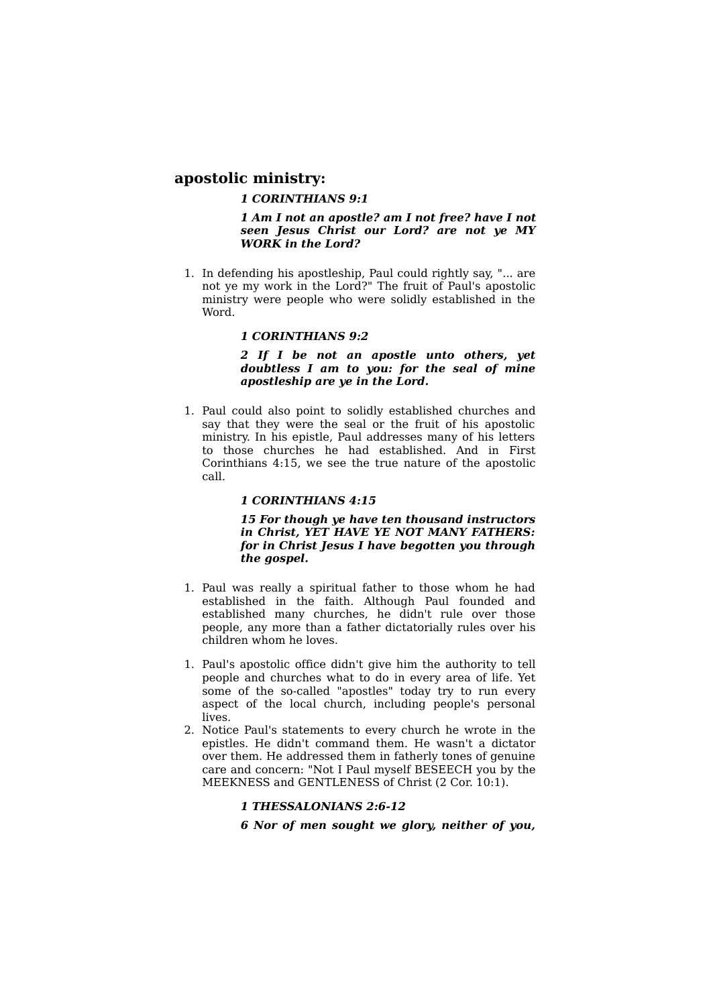### **apostolic ministry:**

#### *1 CORINTHIANS 9:1*

*1 Am I not an apostle? am I not free? have I not seen Jesus Christ our Lord? are not ye MY WORK in the Lord?*

1. In defending his apostleship, Paul could rightly say, "... are not ye my work in the Lord?" The fruit of Paul's apostolic ministry were people who were solidly established in the Word.

#### *1 CORINTHIANS 9:2*

*2 If I be not an apostle unto others, yet doubtless I am to you: for the seal of mine apostleship are ye in the Lord.*

1. Paul could also point to solidly established churches and say that they were the seal or the fruit of his apostolic ministry. In his epistle, Paul addresses many of his letters to those churches he had established. And in First Corinthians 4:15, we see the true nature of the apostolic call.

#### *1 CORINTHIANS 4:15*

*15 For though ye have ten thousand instructors in Christ, YET HAVE YE NOT MANY FATHERS: for in Christ Jesus I have begotten you through the gospel.*

- 1. Paul was really a spiritual father to those whom he had established in the faith. Although Paul founded and established many churches, he didn't rule over those people, any more than a father dictatorially rules over his children whom he loves.
- 1. Paul's apostolic office didn't give him the authority to tell people and churches what to do in every area of life. Yet some of the so-called "apostles" today try to run every aspect of the local church, including people's personal lives.
- 2. Notice Paul's statements to every church he wrote in the epistles. He didn't command them. He wasn't a dictator over them. He addressed them in fatherly tones of genuine care and concern: "Not I Paul myself BESEECH you by the MEEKNESS and GENTLENESS of Christ (2 Cor. 10:1).

#### *1 THESSALONIANS 2:6-12*

*6 Nor of men sought we glory, neither of you,*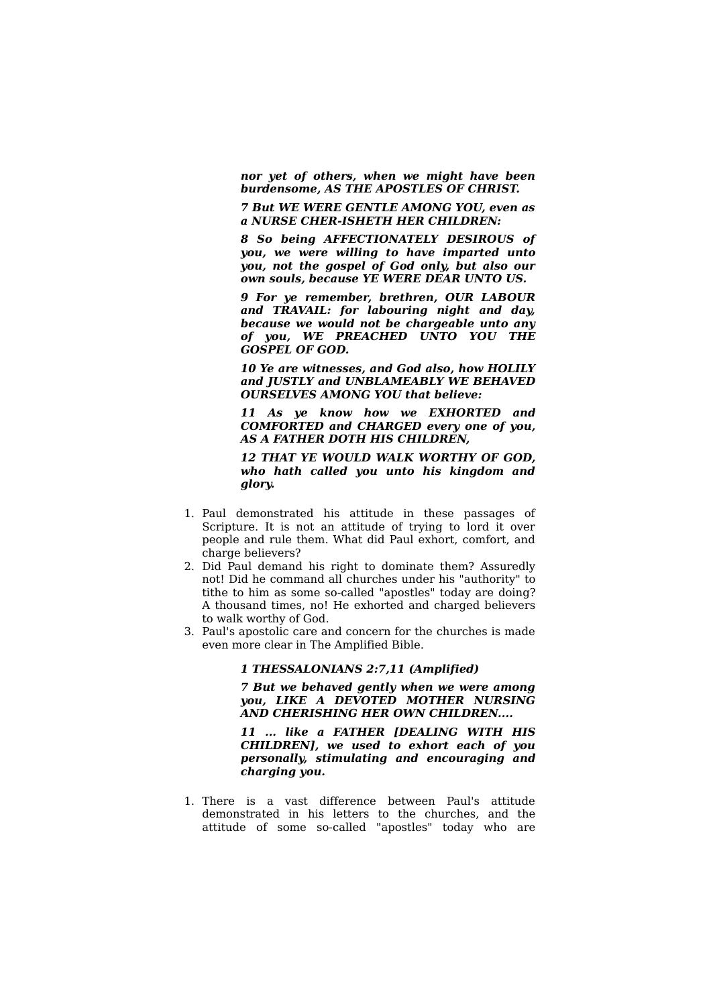*nor yet of others, when we might have been burdensome, AS THE APOSTLES OF CHRIST.*

*7 But WE WERE GENTLE AMONG YOU, even as a NURSE CHER-ISHETH HER CHILDREN:*

*8 So being AFFECTIONATELY DESIROUS of you, we were willing to have imparted unto you, not the gospel of God only, but also our own souls, because YE WERE DEAR UNTO US.*

*9 For ye remember, brethren, OUR LABOUR and TRAVAIL: for labouring night and day, because we would not be chargeable unto any of you, WE PREACHED UNTO YOU THE GOSPEL OF GOD.*

*10 Ye are witnesses, and God also, how HOLILY and JUSTLY and UNBLAMEABLY WE BEHAVED OURSELVES AMONG YOU that believe:*

*11 As ye know how we EXHORTED and COMFORTED and CHARGED every one of you, AS A FATHER DOTH HIS CHILDREN,*

*12 THAT YE WOULD WALK WORTHY OF GOD, who hath called you unto his kingdom and glory.*

- 1. Paul demonstrated his attitude in these passages of Scripture. It is not an attitude of trying to lord it over people and rule them. What did Paul exhort, comfort, and charge believers?
- 2. Did Paul demand his right to dominate them? Assuredly not! Did he command all churches under his "authority" to tithe to him as some so-called "apostles" today are doing? A thousand times, no! He exhorted and charged believers to walk worthy of God.
- 3. Paul's apostolic care and concern for the churches is made even more clear in The Amplified Bible.

#### *1 THESSALONIANS 2:7,11 (Amplified)*

*7 But we behaved gently when we were among you, LIKE A DEVOTED MOTHER NURSING AND CHERISHING HER OWN CHILDREN....*

*11 ... like a FATHER [DEALING WITH HIS CHILDREN], we used to exhort each of you personally, stimulating and encouraging and charging you.*

1. There is a vast difference between Paul's attitude demonstrated in his letters to the churches, and the attitude of some so-called "apostles" today who are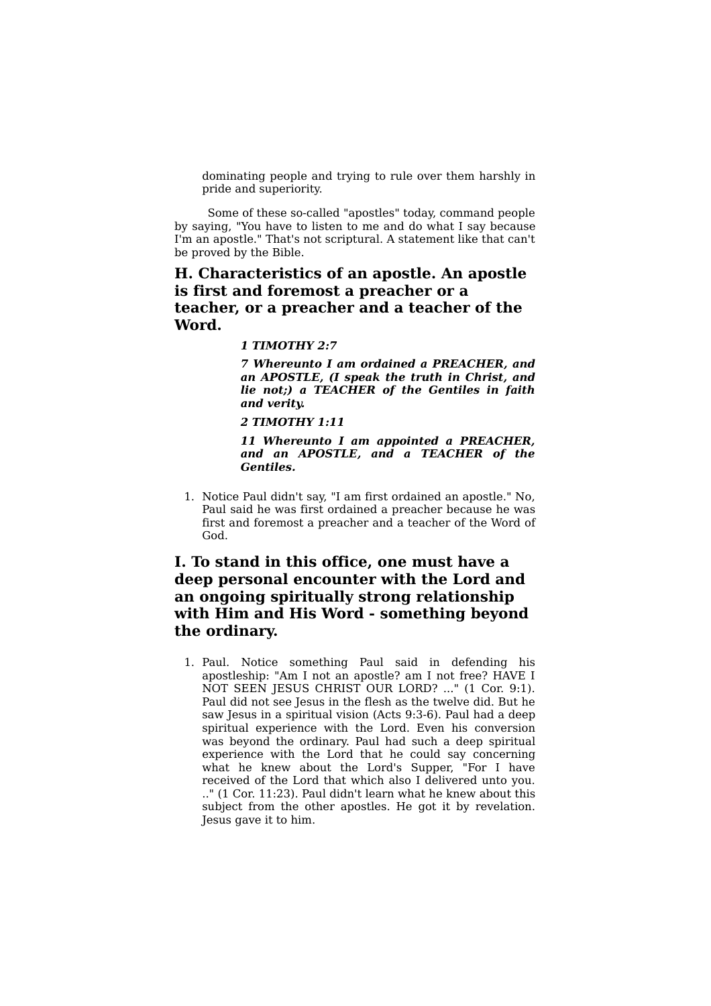dominating people and trying to rule over them harshly in pride and superiority.

Some of these so-called "apostles" today, command people by saying, "You have to listen to me and do what I say because I'm an apostle." That's not scriptural. A statement like that can't be proved by the Bible.

# **H. Characteristics of an apostle. An apostle is first and foremost a preacher or a teacher, or a preacher and a teacher of the Word.**

#### *1 TIMOTHY 2:7*

*7 Whereunto I am ordained a PREACHER, and an APOSTLE, (I speak the truth in Christ, and lie not;) a TEACHER of the Gentiles in faith and verity.*

#### *2 TIMOTHY 1:11*

*11 Whereunto I am appointed a PREACHER, and an APOSTLE, and a TEACHER of the Gentiles.*

1. Notice Paul didn't say, "I am first ordained an apostle." No, Paul said he was first ordained a preacher because he was first and foremost a preacher and a teacher of the Word of God.

# **I. To stand in this office, one must have a deep personal encounter with the Lord and an ongoing spiritually strong relationship with Him and His Word - something beyond the ordinary.**

1. Paul. Notice something Paul said in defending his apostleship: "Am I not an apostle? am I not free? HAVE I NOT SEEN JESUS CHRIST OUR LORD? ..." (1 Cor. 9:1). Paul did not see Jesus in the flesh as the twelve did. But he saw Jesus in a spiritual vision (Acts 9:3-6). Paul had a deep spiritual experience with the Lord. Even his conversion was beyond the ordinary. Paul had such a deep spiritual experience with the Lord that he could say concerning what he knew about the Lord's Supper, "For I have received of the Lord that which also I delivered unto you. .." (1 Cor. 11:23). Paul didn't learn what he knew about this subject from the other apostles. He got it by revelation. Jesus gave it to him.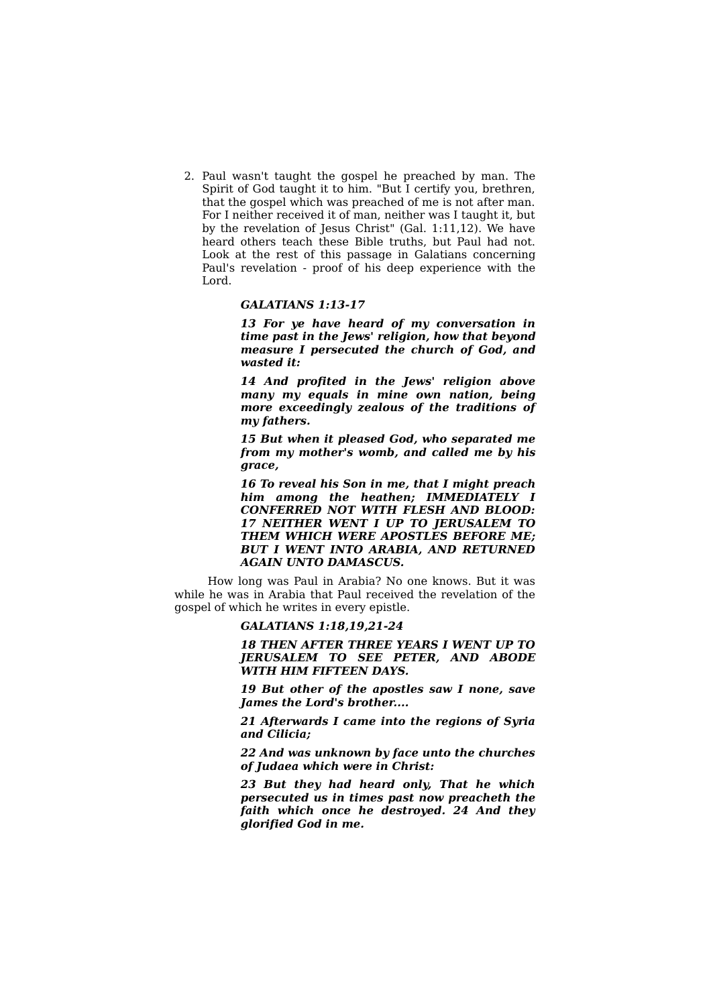2. Paul wasn't taught the gospel he preached by man. The Spirit of God taught it to him. "But I certify you, brethren, that the gospel which was preached of me is not after man. For I neither received it of man, neither was I taught it, but by the revelation of Jesus Christ" (Gal. 1:11,12). We have heard others teach these Bible truths, but Paul had not. Look at the rest of this passage in Galatians concerning Paul's revelation - proof of his deep experience with the Lord.

#### *GALATIANS 1:13-17*

*13 For ye have heard of my conversation in time past in the Jews' religion, how that beyond measure I persecuted the church of God, and wasted it:*

*14 And profited in the Jews' religion above many my equals in mine own nation, being more exceedingly zealous of the traditions of my fathers.*

*15 But when it pleased God, who separated me from my mother's womb, and called me by his grace,*

*16 To reveal his Son in me, that I might preach him among the heathen; IMMEDIATELY I CONFERRED NOT WITH FLESH AND BLOOD: 17 NEITHER WENT I UP TO JERUSALEM TO THEM WHICH WERE APOSTLES BEFORE ME; BUT I WENT INTO ARABIA, AND RETURNED AGAIN UNTO DAMASCUS.*

How long was Paul in Arabia? No one knows. But it was while he was in Arabia that Paul received the revelation of the gospel of which he writes in every epistle.

*GALATIANS 1:18,19,21-24*

*18 THEN AFTER THREE YEARS I WENT UP TO JERUSALEM TO SEE PETER, AND ABODE WITH HIM FIFTEEN DAYS.*

*19 But other of the apostles saw I none, save James the Lord's brother....*

*21 Afterwards I came into the regions of Syria and Cilicia;*

*22 And was unknown by face unto the churches of Judaea which were in Christ:*

*23 But they had heard only, That he which persecuted us in times past now preacheth the faith which once he destroyed. 24 And they glorified God in me.*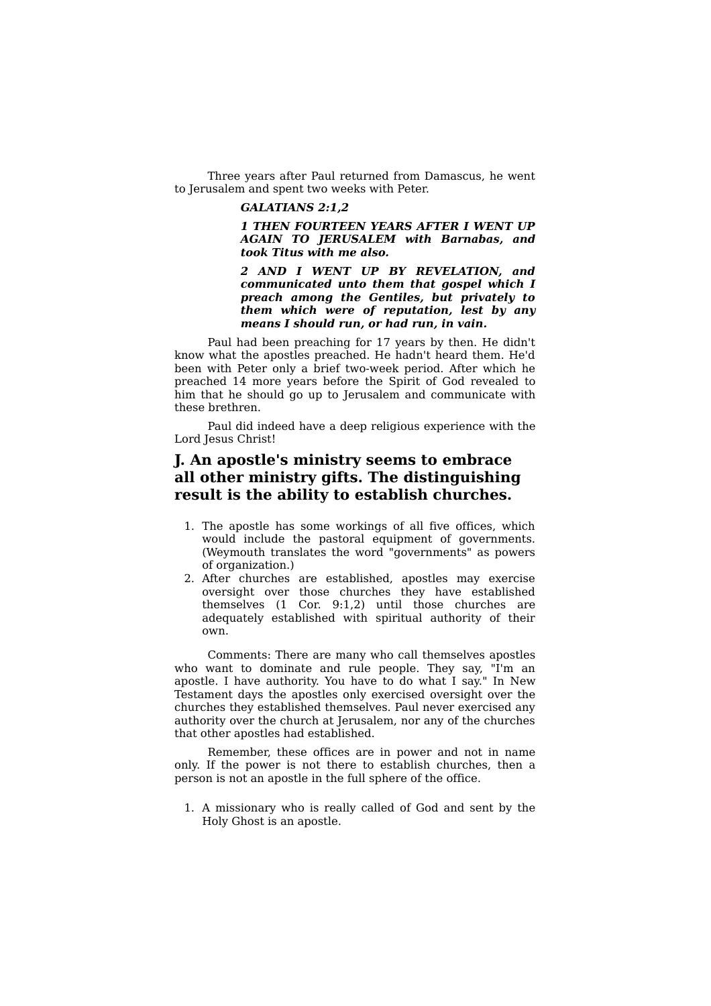Three years after Paul returned from Damascus, he went to Jerusalem and spent two weeks with Peter.

#### *GALATIANS 2:1,2*

#### *1 THEN FOURTEEN YEARS AFTER I WENT UP AGAIN TO JERUSALEM with Barnabas, and took Titus with me also.*

*2 AND I WENT UP BY REVELATION, and communicated unto them that gospel which I preach among the Gentiles, but privately to them which were of reputation, lest by any means I should run, or had run, in vain.*

Paul had been preaching for 17 years by then. He didn't know what the apostles preached. He hadn't heard them. He'd been with Peter only a brief two-week period. After which he preached 14 more years before the Spirit of God revealed to him that he should go up to Jerusalem and communicate with these brethren.

Paul did indeed have a deep religious experience with the Lord Jesus Christ!

# **J. An apostle's ministry seems to embrace all other ministry gifts. The distinguishing result is the ability to establish churches.**

- 1. The apostle has some workings of all five offices, which would include the pastoral equipment of governments. (Weymouth translates the word "governments" as powers of organization.)
- 2. After churches are established, apostles may exercise oversight over those churches they have established themselves (1 Cor. 9:1,2) until those churches are adequately established with spiritual authority of their own.

Comments: There are many who call themselves apostles who want to dominate and rule people. They say, "I'm an apostle. I have authority. You have to do what I say." In New Testament days the apostles only exercised oversight over the churches they established themselves. Paul never exercised any authority over the church at Jerusalem, nor any of the churches that other apostles had established.

Remember, these offices are in power and not in name only. If the power is not there to establish churches, then a person is not an apostle in the full sphere of the office.

1. A missionary who is really called of God and sent by the Holy Ghost is an apostle.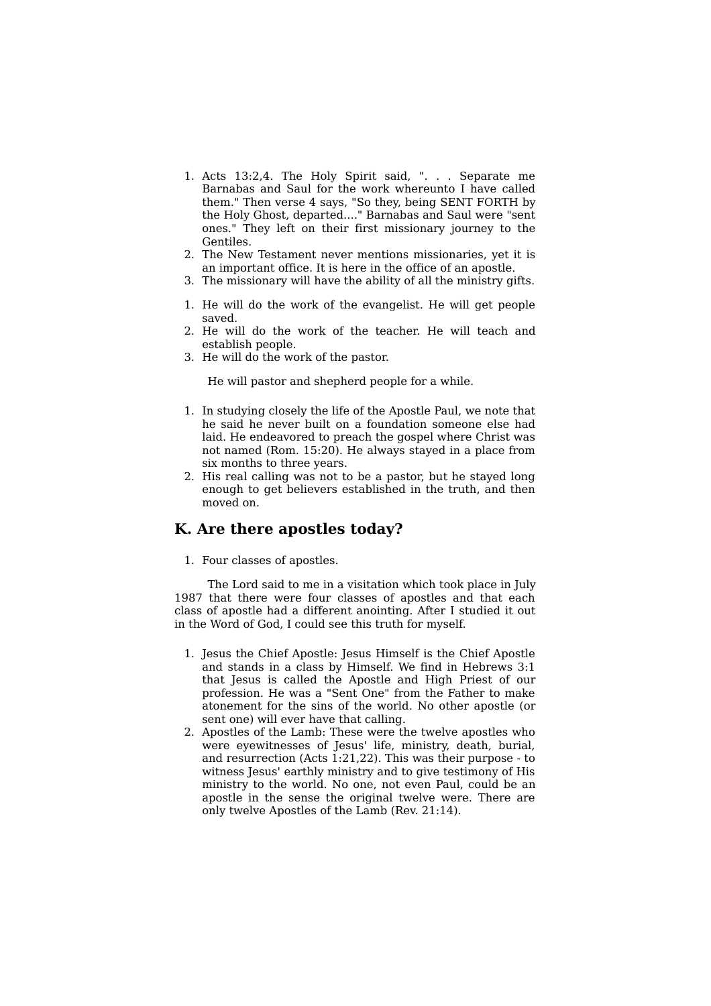- 1. Acts 13:2,4. The Holy Spirit said, ". . . Separate me Barnabas and Saul for the work whereunto I have called them." Then verse 4 says, "So they, being SENT FORTH by the Holy Ghost, departed...." Barnabas and Saul were "sent ones." They left on their first missionary journey to the Gentiles.
- 2. The New Testament never mentions missionaries, yet it is an important office. It is here in the office of an apostle.
- 3. The missionary will have the ability of all the ministry gifts.
- 1. He will do the work of the evangelist. He will get people saved.
- 2. He will do the work of the teacher. He will teach and establish people.
- 3. He will do the work of the pastor.

He will pastor and shepherd people for a while.

- 1. In studying closely the life of the Apostle Paul, we note that he said he never built on a foundation someone else had laid. He endeavored to preach the gospel where Christ was not named (Rom. 15:20). He always stayed in a place from six months to three years.
- 2. His real calling was not to be a pastor, but he stayed long enough to get believers established in the truth, and then moved on.

### **K. Are there apostles today?**

1. Four classes of apostles.

The Lord said to me in a visitation which took place in July 1987 that there were four classes of apostles and that each class of apostle had a different anointing. After I studied it out in the Word of God, I could see this truth for myself.

- 1. Jesus the Chief Apostle: Jesus Himself is the Chief Apostle and stands in a class by Himself. We find in Hebrews 3:1 that Jesus is called the Apostle and High Priest of our profession. He was a "Sent One" from the Father to make atonement for the sins of the world. No other apostle (or sent one) will ever have that calling.
- 2. Apostles of the Lamb: These were the twelve apostles who were eyewitnesses of Jesus' life, ministry, death, burial, and resurrection (Acts 1:21,22). This was their purpose - to witness Jesus' earthly ministry and to give testimony of His ministry to the world. No one, not even Paul, could be an apostle in the sense the original twelve were. There are only twelve Apostles of the Lamb (Rev. 21:14).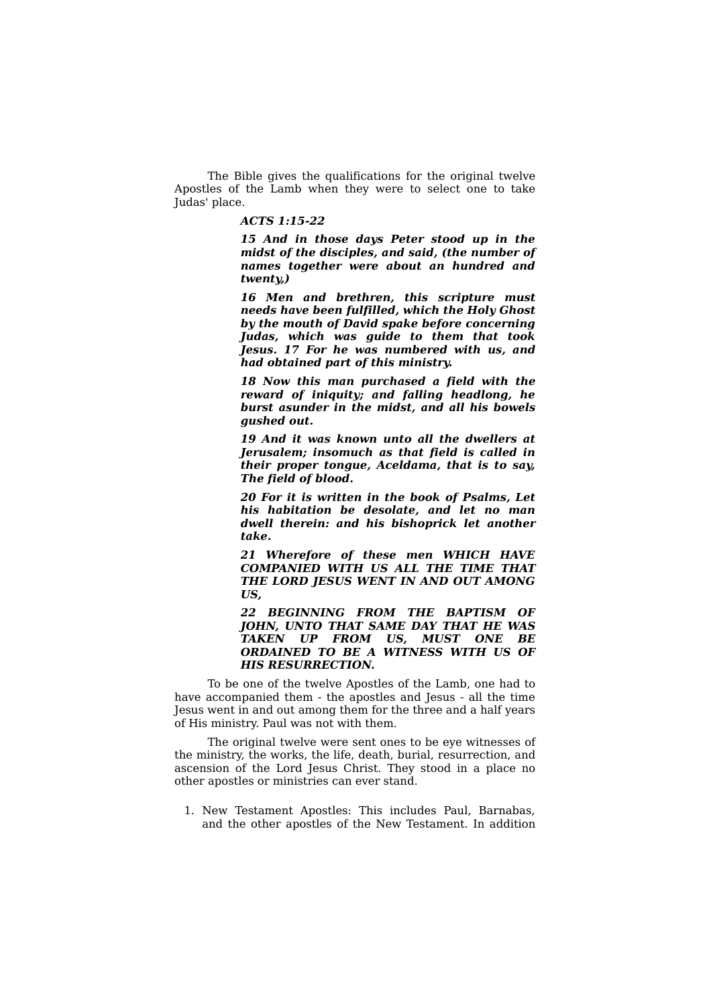The Bible gives the qualifications for the original twelve Apostles of the Lamb when they were to select one to take Judas' place.

#### *ACTS 1:15-22*

*15 And in those days Peter stood up in the midst of the disciples, and said, (the number of names together were about an hundred and twenty,)*

*16 Men and brethren, this scripture must needs have been fulfilled, which the Holy Ghost by the mouth of David spake before concerning Judas, which was guide to them that took Jesus. 17 For he was numbered with us, and had obtained part of this ministry.*

*18 Now this man purchased a field with the reward of iniquity; and falling headlong, he burst asunder in the midst, and all his bowels gushed out.*

*19 And it was known unto all the dwellers at Jerusalem; insomuch as that field is called in their proper tongue, Aceldama, that is to say, The field of blood.*

*20 For it is written in the book of Psalms, Let his habitation be desolate, and let no man dwell therein: and his bishoprick let another take.*

*21 Wherefore of these men WHICH HAVE COMPANIED WITH US ALL THE TIME THAT THE LORD JESUS WENT IN AND OUT AMONG US,*

*22 BEGINNING FROM THE BAPTISM OF JOHN, UNTO THAT SAME DAY THAT HE WAS TAKEN UP FROM US, MUST ONE BE ORDAINED TO BE A WITNESS WITH US OF HIS RESURRECTION.*

To be one of the twelve Apostles of the Lamb, one had to have accompanied them - the apostles and Jesus - all the time Jesus went in and out among them for the three and a half years of His ministry. Paul was not with them.

The original twelve were sent ones to be eye witnesses of the ministry, the works, the life, death, burial, resurrection, and ascension of the Lord Jesus Christ. They stood in a place no other apostles or ministries can ever stand.

1. New Testament Apostles: This includes Paul, Barnabas, and the other apostles of the New Testament. In addition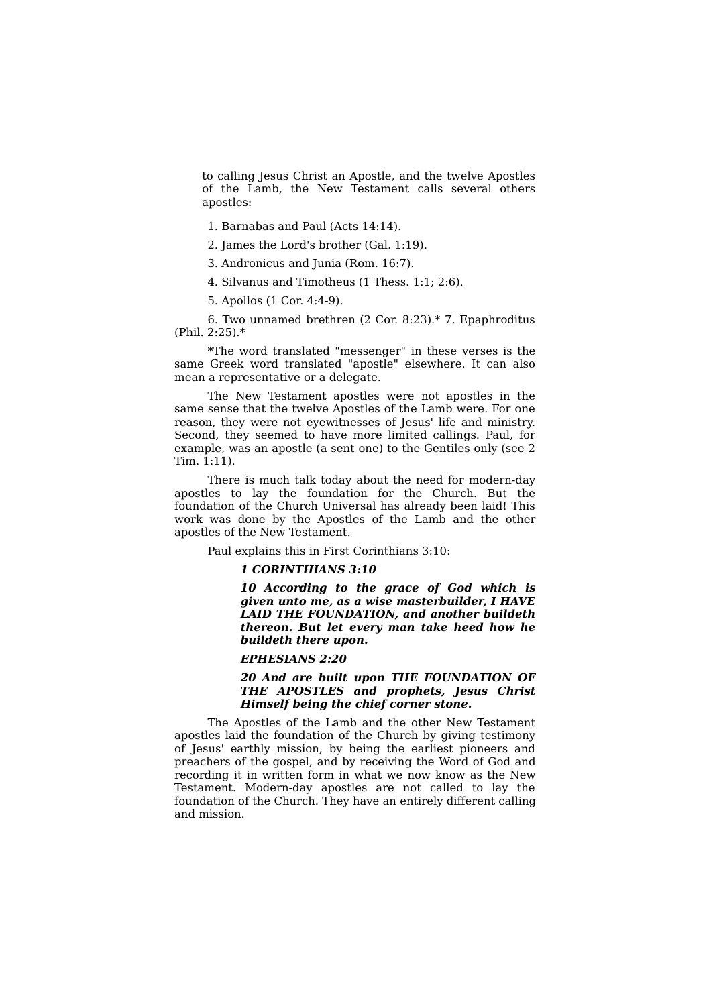to calling Jesus Christ an Apostle, and the twelve Apostles of the Lamb, the New Testament calls several others apostles:

1. Barnabas and Paul (Acts 14:14).

2. James the Lord's brother (Gal. 1:19).

3. Andronicus and Junia (Rom. 16:7).

4. Silvanus and Timotheus (1 Thess. 1:1; 2:6).

5. Apollos (1 Cor. 4:4-9).

6. Two unnamed brethren (2 Cor. 8:23).\* 7. Epaphroditus (Phil. 2:25).\*

\*The word translated "messenger" in these verses is the same Greek word translated "apostle" elsewhere. It can also mean a representative or a delegate.

The New Testament apostles were not apostles in the same sense that the twelve Apostles of the Lamb were. For one reason, they were not eyewitnesses of Jesus' life and ministry. Second, they seemed to have more limited callings. Paul, for example, was an apostle (a sent one) to the Gentiles only (see 2 Tim.  $1:11$ ).

There is much talk today about the need for modern-day apostles to lay the foundation for the Church. But the foundation of the Church Universal has already been laid! This work was done by the Apostles of the Lamb and the other apostles of the New Testament.

Paul explains this in First Corinthians 3:10:

#### *1 CORINTHIANS 3:10*

*10 According to the grace of God which is given unto me, as a wise masterbuilder, I HAVE LAID THE FOUNDATION, and another buildeth thereon. But let every man take heed how he buildeth there upon.*

#### *EPHESIANS 2:20*

*20 And are built upon THE FOUNDATION OF THE APOSTLES and prophets, Jesus Christ Himself being the chief corner stone.*

The Apostles of the Lamb and the other New Testament apostles laid the foundation of the Church by giving testimony of Jesus' earthly mission, by being the earliest pioneers and preachers of the gospel, and by receiving the Word of God and recording it in written form in what we now know as the New Testament. Modern-day apostles are not called to lay the foundation of the Church. They have an entirely different calling and mission.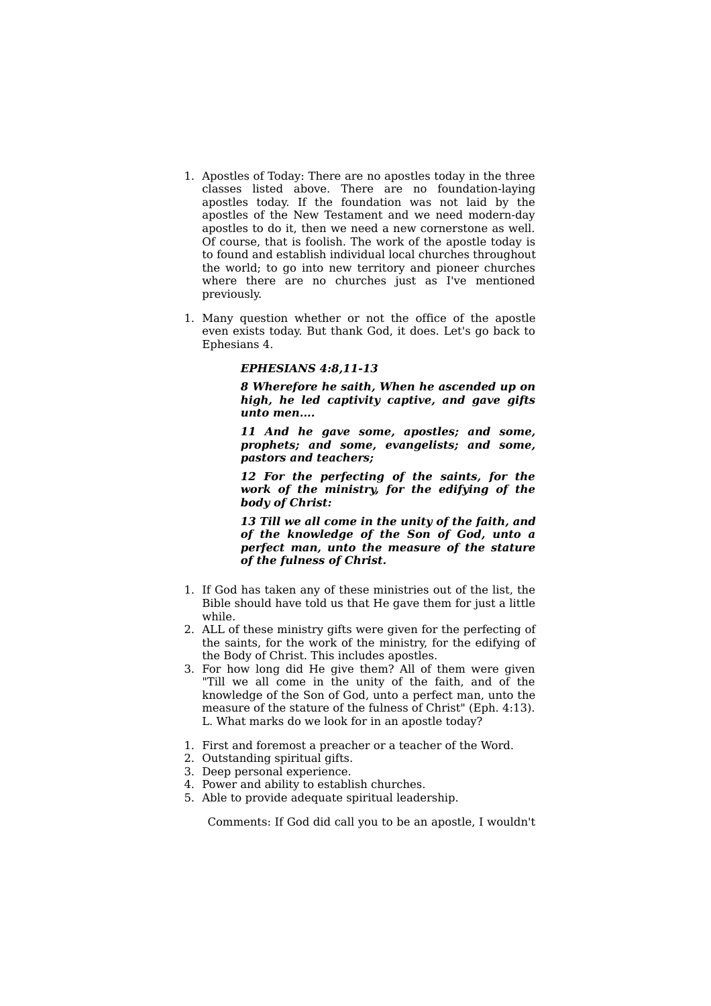- 1. Apostles of Today: There are no apostles today in the three classes listed above. There are no foundation-laying apostles today. If the foundation was not laid by the apostles of the New Testament and we need modern-day apostles to do it, then we need a new cornerstone as well. Of course, that is foolish. The work of the apostle today is to found and establish individual local churches throughout the world; to go into new territory and pioneer churches where there are no churches just as I've mentioned previously.
- 1. Many question whether or not the office of the apostle even exists today. But thank God, it does. Let's go back to Ephesians 4.

#### *EPHESIANS 4:8,11-13*

*8 Wherefore he saith, When he ascended up on high, he led captivity captive, and gave gifts unto men....*

*11 And he gave some, apostles; and some, prophets; and some, evangelists; and some, pastors and teachers;*

*12 For the perfecting of the saints, for the work of the ministry, for the edifying of the body of Christ:*

*13 Till we all come in the unity of the faith, and of the knowledge of the Son of God, unto a perfect man, unto the measure of the stature of the fulness of Christ.*

- 1. If God has taken any of these ministries out of the list, the Bible should have told us that He gave them for just a little while.
- 2. ALL of these ministry gifts were given for the perfecting of the saints, for the work of the ministry, for the edifying of the Body of Christ. This includes apostles.
- 3. For how long did He give them? All of them were given "Till we all come in the unity of the faith, and of the knowledge of the Son of God, unto a perfect man, unto the measure of the stature of the fulness of Christ" (Eph. 4:13). L. What marks do we look for in an apostle today?
- 1. First and foremost a preacher or a teacher of the Word.
- 2. Outstanding spiritual gifts.
- 3. Deep personal experience.
- 4. Power and ability to establish churches.
- 5. Able to provide adequate spiritual leadership.

Comments: If God did call you to be an apostle, I wouldn't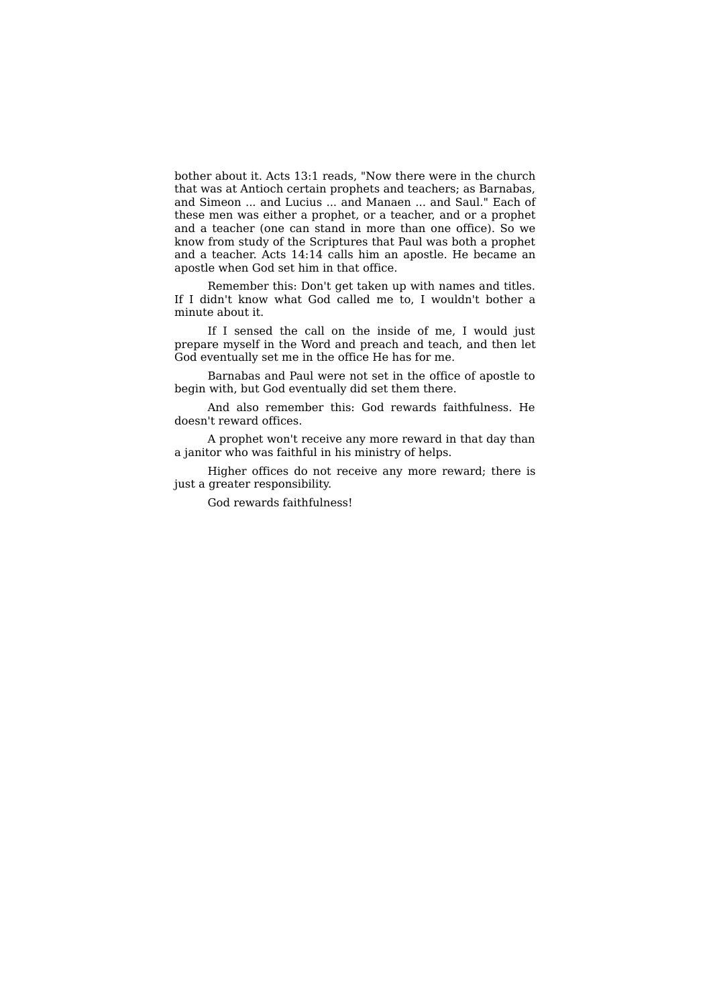bother about it. Acts 13:1 reads, "Now there were in the church that was at Antioch certain prophets and teachers; as Barnabas, and Simeon ... and Lucius ... and Manaen ... and Saul." Each of these men was either a prophet, or a teacher, and or a prophet and a teacher (one can stand in more than one office). So we know from study of the Scriptures that Paul was both a prophet and a teacher. Acts 14:14 calls him an apostle. He became an apostle when God set him in that office.

Remember this: Don't get taken up with names and titles. If I didn't know what God called me to, I wouldn't bother a minute about it.

If I sensed the call on the inside of me, I would just prepare myself in the Word and preach and teach, and then let God eventually set me in the office He has for me.

Barnabas and Paul were not set in the office of apostle to begin with, but God eventually did set them there.

And also remember this: God rewards faithfulness. He doesn't reward offices.

A prophet won't receive any more reward in that day than a janitor who was faithful in his ministry of helps.

Higher offices do not receive any more reward; there is just a greater responsibility.

God rewards faithfulness!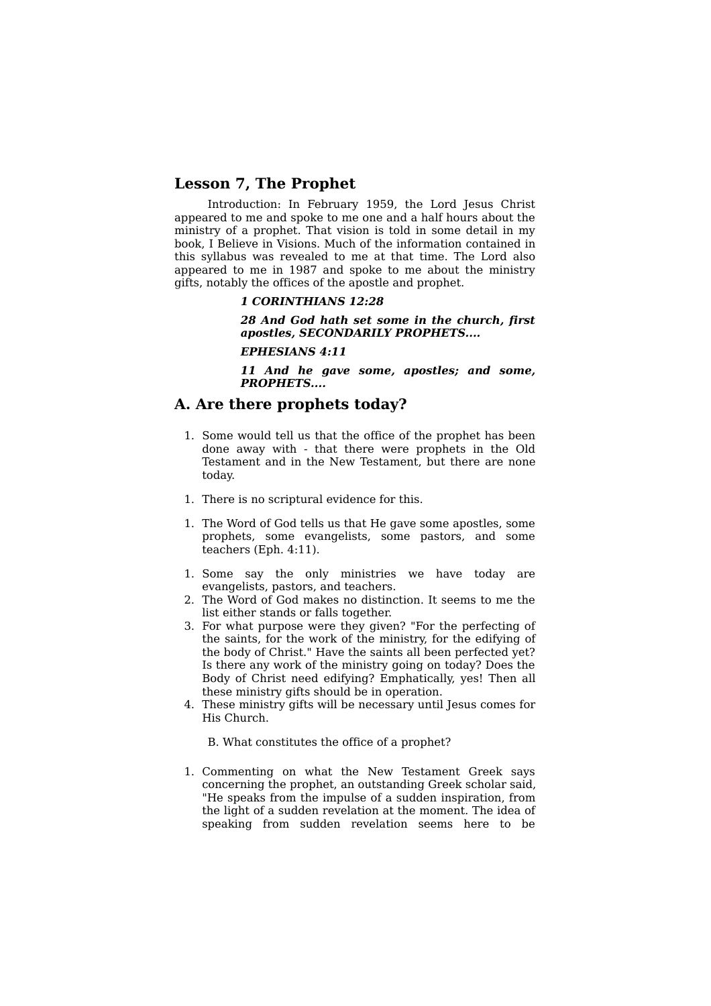### **Lesson 7, The Prophet**

Introduction: In February 1959, the Lord Jesus Christ appeared to me and spoke to me one and a half hours about the ministry of a prophet. That vision is told in some detail in my book, I Believe in Visions. Much of the information contained in this syllabus was revealed to me at that time. The Lord also appeared to me in 1987 and spoke to me about the ministry gifts, notably the offices of the apostle and prophet.

#### *1 CORINTHIANS 12:28*

*28 And God hath set some in the church, first apostles, SECONDARILY PROPHETS....*

#### *EPHESIANS 4:11*

*11 And he gave some, apostles; and some, PROPHETS....*

### **A. Are there prophets today?**

- 1. Some would tell us that the office of the prophet has been done away with - that there were prophets in the Old Testament and in the New Testament, but there are none today.
- 1. There is no scriptural evidence for this.
- 1. The Word of God tells us that He gave some apostles, some prophets, some evangelists, some pastors, and some teachers (Eph. 4:11).
- 1. Some say the only ministries we have today are evangelists, pastors, and teachers.
- 2. The Word of God makes no distinction. It seems to me the list either stands or falls together.
- 3. For what purpose were they given? "For the perfecting of the saints, for the work of the ministry, for the edifying of the body of Christ." Have the saints all been perfected yet? Is there any work of the ministry going on today? Does the Body of Christ need edifying? Emphatically, yes! Then all these ministry gifts should be in operation.
- 4. These ministry gifts will be necessary until Jesus comes for His Church.

B. What constitutes the office of a prophet?

1. Commenting on what the New Testament Greek says concerning the prophet, an outstanding Greek scholar said, "He speaks from the impulse of a sudden inspiration, from the light of a sudden revelation at the moment. The idea of speaking from sudden revelation seems here to be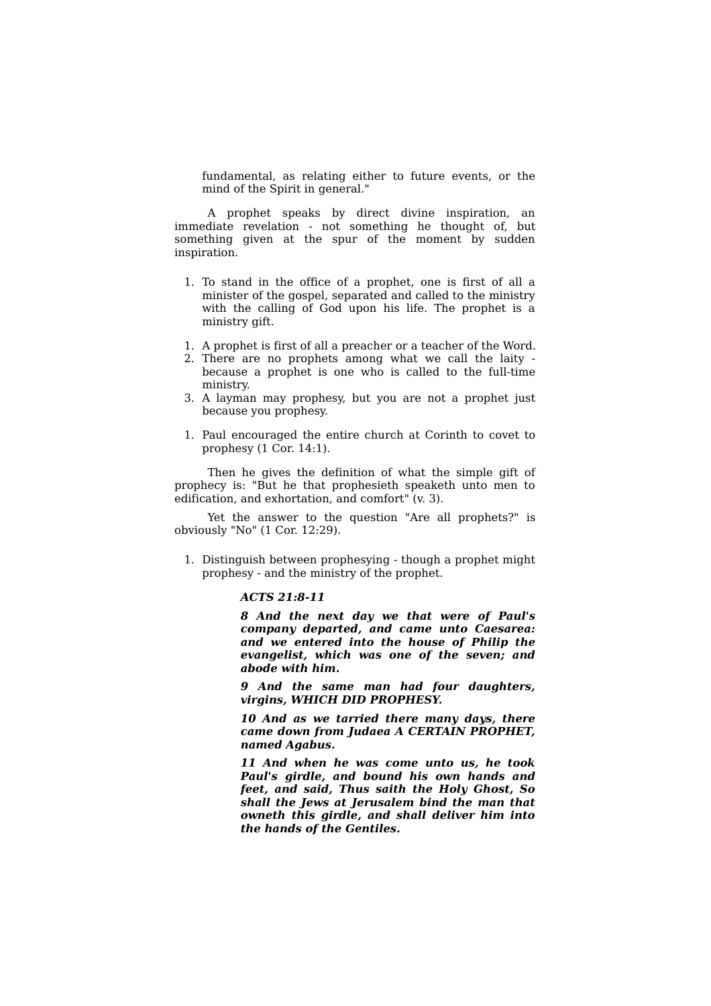fundamental, as relating either to future events, or the mind of the Spirit in general."

A prophet speaks by direct divine inspiration, an immediate revelation - not something he thought of, but something given at the spur of the moment by sudden inspiration.

- 1. To stand in the office of a prophet, one is first of all a minister of the gospel, separated and called to the ministry with the calling of God upon his life. The prophet is a ministry gift.
- 1. A prophet is first of all a preacher or a teacher of the Word.
- 2. There are no prophets among what we call the laity because a prophet is one who is called to the full-time ministry.
- 3. A layman may prophesy, but you are not a prophet just because you prophesy.
- 1. Paul encouraged the entire church at Corinth to covet to prophesy (1 Cor. 14:1).

Then he gives the definition of what the simple gift of prophecy is: "But he that prophesieth speaketh unto men to edification, and exhortation, and comfort" (v. 3).

Yet the answer to the question "Are all prophets?" is obviously "No" (1 Cor. 12:29).

1. Distinguish between prophesying - though a prophet might prophesy - and the ministry of the prophet.

#### *ACTS 21:8-11*

*8 And the next day we that were of Paul's company departed, and came unto Caesarea: and we entered into the house of Philip the evangelist, which was one of the seven; and abode with him.*

*9 And the same man had four daughters, virgins, WHICH DID PROPHESY.*

*10 And as we tarried there many days, there came down from Judaea A CERTAIN PROPHET, named Agabus.*

*11 And when he was come unto us, he took Paul's girdle, and bound his own hands and feet, and said, Thus saith the Holy Ghost, So shall the Jews at Jerusalem bind the man that owneth this girdle, and shall deliver him into the hands of the Gentiles.*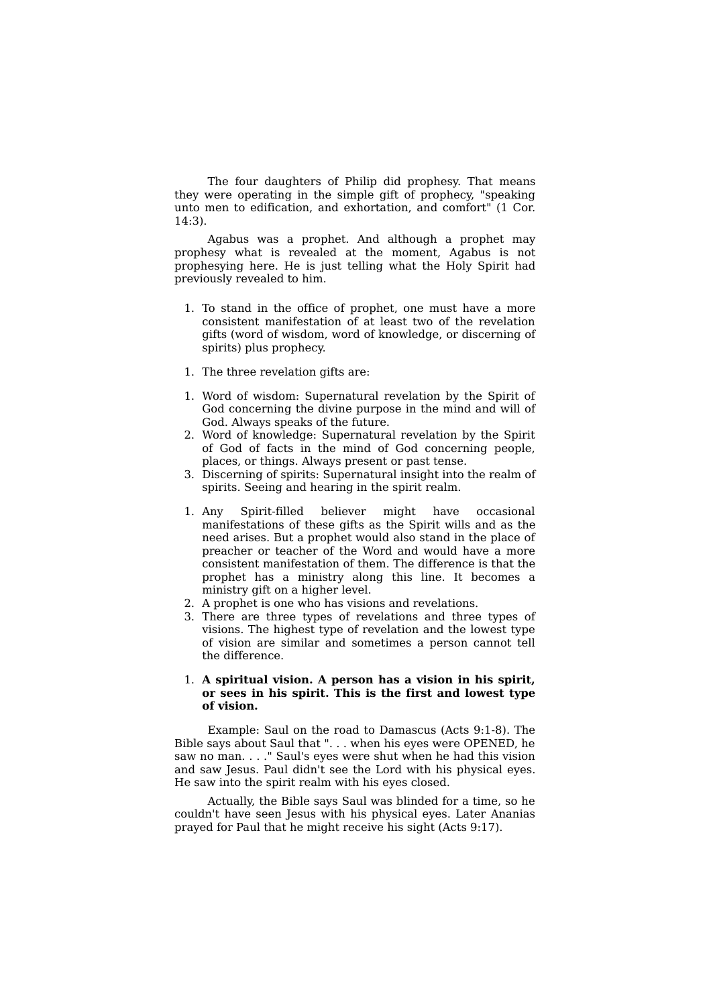The four daughters of Philip did prophesy. That means they were operating in the simple gift of prophecy, "speaking unto men to edification, and exhortation, and comfort" (1 Cor. 14:3).

Agabus was a prophet. And although a prophet may prophesy what is revealed at the moment, Agabus is not prophesying here. He is just telling what the Holy Spirit had previously revealed to him.

- 1. To stand in the office of prophet, one must have a more consistent manifestation of at least two of the revelation gifts (word of wisdom, word of knowledge, or discerning of spirits) plus prophecy.
- 1. The three revelation gifts are:
- 1. Word of wisdom: Supernatural revelation by the Spirit of God concerning the divine purpose in the mind and will of God. Always speaks of the future.
- 2. Word of knowledge: Supernatural revelation by the Spirit of God of facts in the mind of God concerning people, places, or things. Always present or past tense.
- 3. Discerning of spirits: Supernatural insight into the realm of spirits. Seeing and hearing in the spirit realm.
- 1. Any Spirit-filled believer might have occasional manifestations of these gifts as the Spirit wills and as the need arises. But a prophet would also stand in the place of preacher or teacher of the Word and would have a more consistent manifestation of them. The difference is that the prophet has a ministry along this line. It becomes a ministry gift on a higher level.
- 2. A prophet is one who has visions and revelations.
- 3. There are three types of revelations and three types of visions. The highest type of revelation and the lowest type of vision are similar and sometimes a person cannot tell the difference.

#### 1. **A spiritual vision. A person has a vision in his spirit, or sees in his spirit. This is the first and lowest type of vision.**

Example: Saul on the road to Damascus (Acts 9:1-8). The Bible says about Saul that ". . . when his eyes were OPENED, he saw no man. . . ." Saul's eyes were shut when he had this vision and saw Jesus. Paul didn't see the Lord with his physical eyes. He saw into the spirit realm with his eyes closed.

Actually, the Bible says Saul was blinded for a time, so he couldn't have seen Jesus with his physical eyes. Later Ananias prayed for Paul that he might receive his sight (Acts 9:17).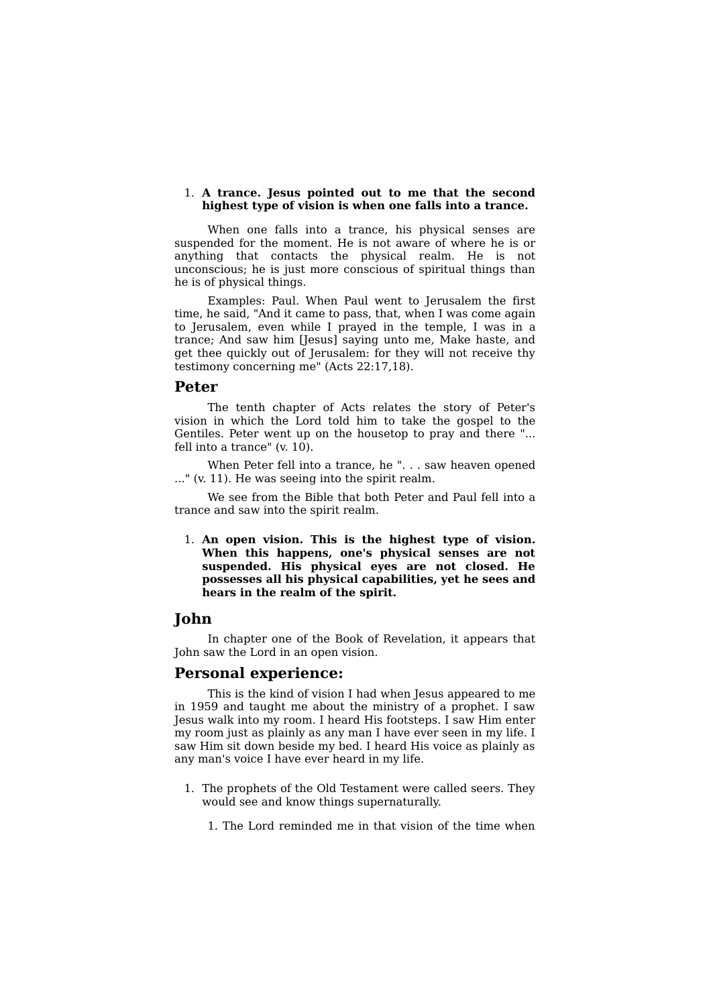#### 1. **A trance. Jesus pointed out to me that the second highest type of vision is when one falls into a trance.**

When one falls into a trance, his physical senses are suspended for the moment. He is not aware of where he is or anything that contacts the physical realm. He is not unconscious; he is just more conscious of spiritual things than he is of physical things.

Examples: Paul. When Paul went to Jerusalem the first time, he said, "And it came to pass, that, when I was come again to Jerusalem, even while I prayed in the temple, I was in a trance; And saw him [Jesus] saying unto me, Make haste, and get thee quickly out of Jerusalem: for they will not receive thy testimony concerning me" (Acts 22:17,18).

#### **Peter**

The tenth chapter of Acts relates the story of Peter's vision in which the Lord told him to take the gospel to the Gentiles. Peter went up on the housetop to pray and there "... fell into a trance" (v. 10).

When Peter fell into a trance, he ". . . saw heaven opened ..." (v. 11). He was seeing into the spirit realm.

We see from the Bible that both Peter and Paul fell into a trance and saw into the spirit realm.

1. **An open vision. This is the highest type of vision. When this happens, one's physical senses are not suspended. His physical eyes are not closed. He possesses all his physical capabilities, yet he sees and hears in the realm of the spirit.**

### **John**

In chapter one of the Book of Revelation, it appears that John saw the Lord in an open vision.

#### **Personal experience:**

This is the kind of vision I had when Jesus appeared to me in 1959 and taught me about the ministry of a prophet. I saw Jesus walk into my room. I heard His footsteps. I saw Him enter my room just as plainly as any man I have ever seen in my life. I saw Him sit down beside my bed. I heard His voice as plainly as any man's voice I have ever heard in my life.

- 1. The prophets of the Old Testament were called seers. They would see and know things supernaturally.
	- 1. The Lord reminded me in that vision of the time when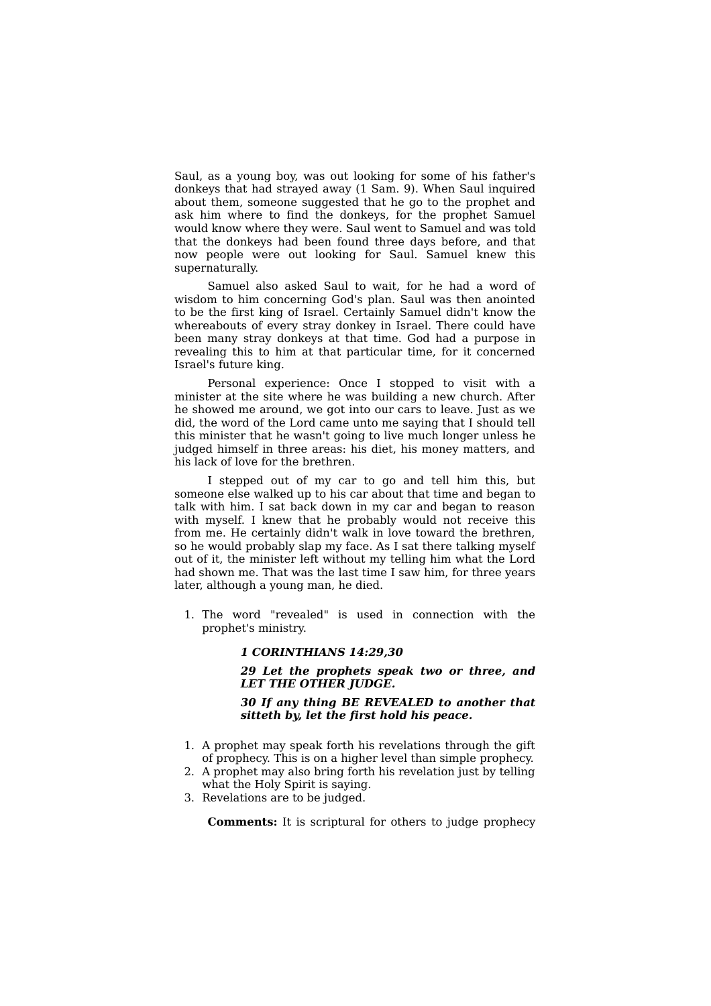Saul, as a young boy, was out looking for some of his father's donkeys that had strayed away (1 Sam. 9). When Saul inquired about them, someone suggested that he go to the prophet and ask him where to find the donkeys, for the prophet Samuel would know where they were. Saul went to Samuel and was told that the donkeys had been found three days before, and that now people were out looking for Saul. Samuel knew this supernaturally.

Samuel also asked Saul to wait, for he had a word of wisdom to him concerning God's plan. Saul was then anointed to be the first king of Israel. Certainly Samuel didn't know the whereabouts of every stray donkey in Israel. There could have been many stray donkeys at that time. God had a purpose in revealing this to him at that particular time, for it concerned Israel's future king.

Personal experience: Once I stopped to visit with a minister at the site where he was building a new church. After he showed me around, we got into our cars to leave. Just as we did, the word of the Lord came unto me saying that I should tell this minister that he wasn't going to live much longer unless he judged himself in three areas: his diet, his money matters, and his lack of love for the brethren.

I stepped out of my car to go and tell him this, but someone else walked up to his car about that time and began to talk with him. I sat back down in my car and began to reason with myself. I knew that he probably would not receive this from me. He certainly didn't walk in love toward the brethren, so he would probably slap my face. As I sat there talking myself out of it, the minister left without my telling him what the Lord had shown me. That was the last time I saw him, for three years later, although a young man, he died.

1. The word "revealed" is used in connection with the prophet's ministry.

#### *1 CORINTHIANS 14:29,30*

*29 Let the prophets speak two or three, and LET THE OTHER JUDGE.*

*30 If any thing BE REVEALED to another that sitteth by, let the first hold his peace.*

- 1. A prophet may speak forth his revelations through the gift of prophecy. This is on a higher level than simple prophecy.
- 2. A prophet may also bring forth his revelation just by telling what the Holy Spirit is saying.
- 3. Revelations are to be judged.

**Comments:** It is scriptural for others to judge prophecy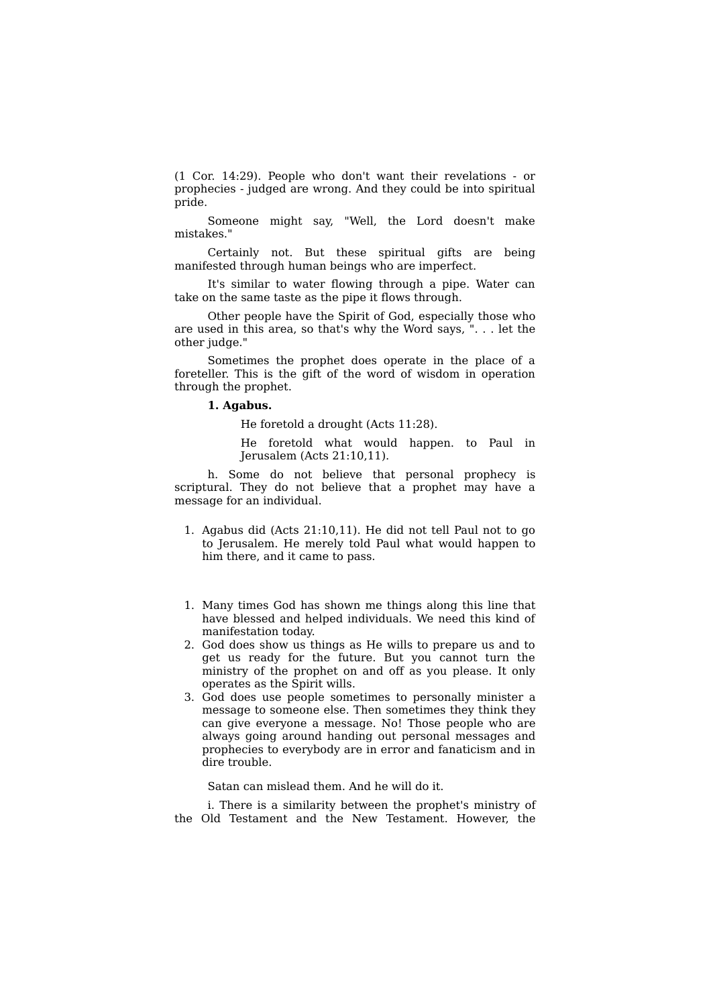(1 Cor. 14:29). People who don't want their revelations - or prophecies - judged are wrong. And they could be into spiritual pride.

Someone might say, "Well, the Lord doesn't make mistakes."

Certainly not. But these spiritual gifts are being manifested through human beings who are imperfect.

It's similar to water flowing through a pipe. Water can take on the same taste as the pipe it flows through.

Other people have the Spirit of God, especially those who are used in this area, so that's why the Word says, ". . . let the other judge."

Sometimes the prophet does operate in the place of a foreteller. This is the gift of the word of wisdom in operation through the prophet.

#### **1. Agabus.**

He foretold a drought (Acts 11:28).

He foretold what would happen. to Paul in Jerusalem (Acts 21:10,11).

h. Some do not believe that personal prophecy is scriptural. They do not believe that a prophet may have a message for an individual.

- 1. Agabus did (Acts 21:10,11). He did not tell Paul not to go to Jerusalem. He merely told Paul what would happen to him there, and it came to pass.
- 1. Many times God has shown me things along this line that have blessed and helped individuals. We need this kind of manifestation today.
- 2. God does show us things as He wills to prepare us and to get us ready for the future. But you cannot turn the ministry of the prophet on and off as you please. It only operates as the Spirit wills.
- 3. God does use people sometimes to personally minister a message to someone else. Then sometimes they think they can give everyone a message. No! Those people who are always going around handing out personal messages and prophecies to everybody are in error and fanaticism and in dire trouble.

### Satan can mislead them. And he will do it.

i. There is a similarity between the prophet's ministry of the Old Testament and the New Testament. However, the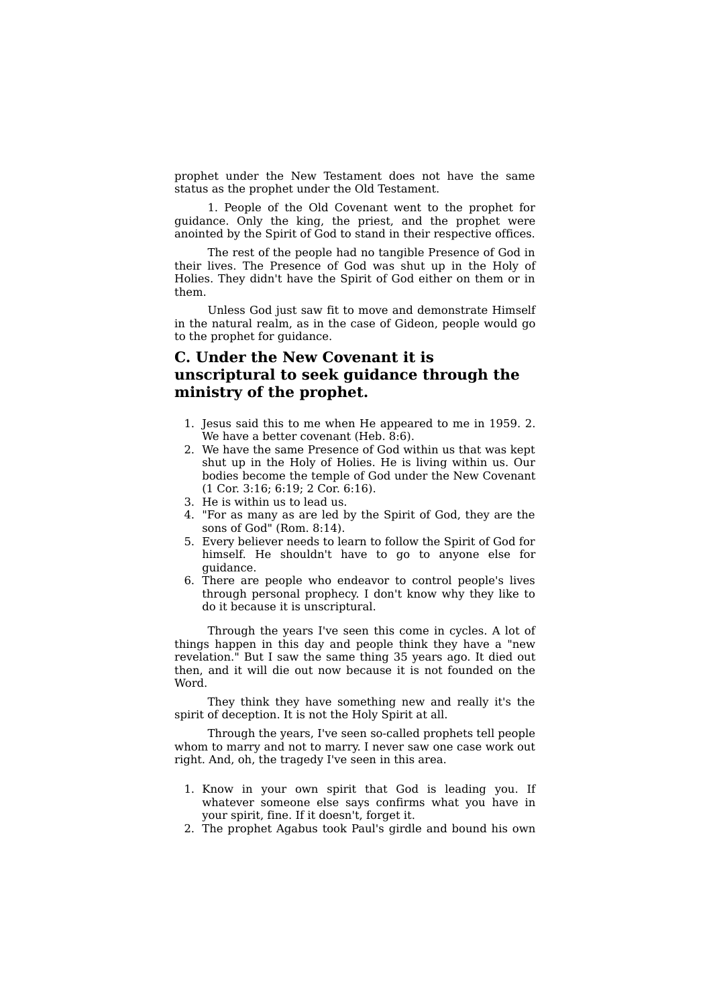prophet under the New Testament does not have the same status as the prophet under the Old Testament.

1. People of the Old Covenant went to the prophet for guidance. Only the king, the priest, and the prophet were anointed by the Spirit of God to stand in their respective offices.

The rest of the people had no tangible Presence of God in their lives. The Presence of God was shut up in the Holy of Holies. They didn't have the Spirit of God either on them or in them.

Unless God just saw fit to move and demonstrate Himself in the natural realm, as in the case of Gideon, people would go to the prophet for guidance.

# **C. Under the New Covenant it is unscriptural to seek guidance through the ministry of the prophet.**

- 1. Jesus said this to me when He appeared to me in 1959. 2. We have a better covenant (Heb. 8:6).
- 2. We have the same Presence of God within us that was kept shut up in the Holy of Holies. He is living within us. Our bodies become the temple of God under the New Covenant (1 Cor. 3:16; 6:19; 2 Cor. 6:16).
- 3. He is within us to lead us.
- 4. "For as many as are led by the Spirit of God, they are the sons of God" (Rom. 8:14).
- 5. Every believer needs to learn to follow the Spirit of God for himself. He shouldn't have to go to anyone else for guidance.
- 6. There are people who endeavor to control people's lives through personal prophecy. I don't know why they like to do it because it is unscriptural.

Through the years I've seen this come in cycles. A lot of things happen in this day and people think they have a "new revelation." But I saw the same thing 35 years ago. It died out then, and it will die out now because it is not founded on the Word.

They think they have something new and really it's the spirit of deception. It is not the Holy Spirit at all.

Through the years, I've seen so-called prophets tell people whom to marry and not to marry. I never saw one case work out right. And, oh, the tragedy I've seen in this area.

- 1. Know in your own spirit that God is leading you. If whatever someone else says confirms what you have in your spirit, fine. If it doesn't, forget it.
- 2. The prophet Agabus took Paul's girdle and bound his own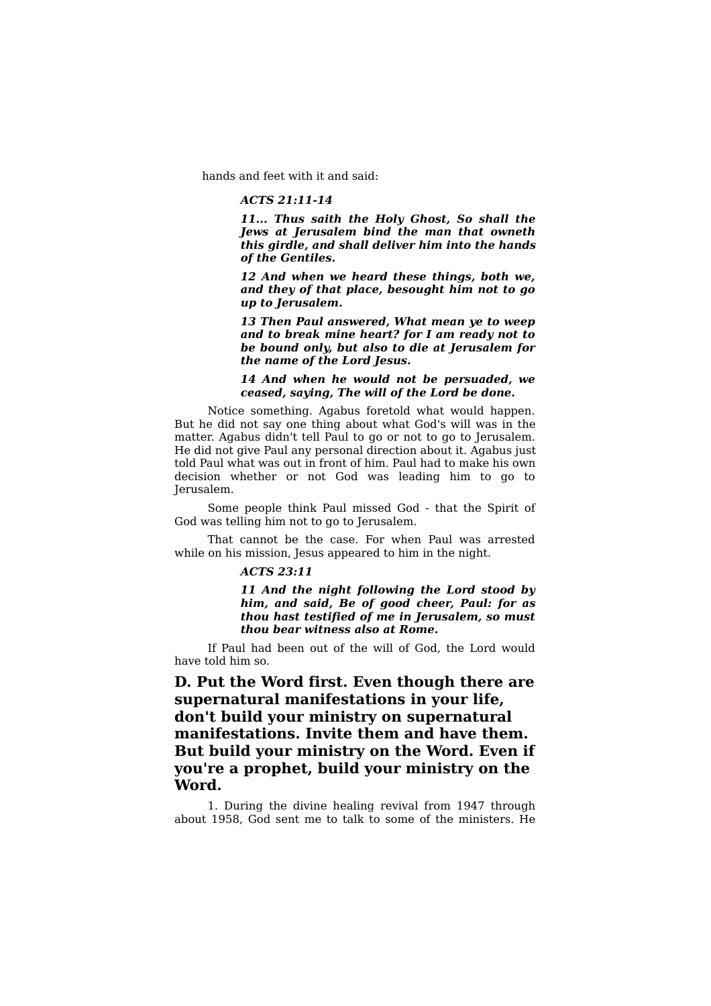hands and feet with it and said:

### *ACTS 21:11-14*

*11... Thus saith the Holy Ghost, So shall the Jews at Jerusalem bind the man that owneth this girdle, and shall deliver him into the hands of the Gentiles.*

*12 And when we heard these things, both we, and they of that place, besought him not to go up to Jerusalem.*

*13 Then Paul answered, What mean ye to weep and to break mine heart? for I am ready not to be bound only, but also to die at Jerusalem for the name of the Lord Jesus.*

### *14 And when he would not be persuaded, we ceased, saying, The will of the Lord be done.*

Notice something. Agabus foretold what would happen. But he did not say one thing about what God's will was in the matter. Agabus didn't tell Paul to go or not to go to Jerusalem. He did not give Paul any personal direction about it. Agabus just told Paul what was out in front of him. Paul had to make his own decision whether or not God was leading him to go to Jerusalem.

Some people think Paul missed God - that the Spirit of God was telling him not to go to Jerusalem.

That cannot be the case. For when Paul was arrested while on his mission, Jesus appeared to him in the night.

#### *ACTS 23:11*

*11 And the night following the Lord stood by him, and said, Be of good cheer, Paul: for as thou hast testified of me in Jerusalem, so must thou bear witness also at Rome.*

If Paul had been out of the will of God, the Lord would have told him so.

**D. Put the Word first. Even though there are supernatural manifestations in your life, don't build your ministry on supernatural manifestations. Invite them and have them. But build your ministry on the Word. Even if you're a prophet, build your ministry on the Word.**

1. During the divine healing revival from 1947 through about 1958, God sent me to talk to some of the ministers. He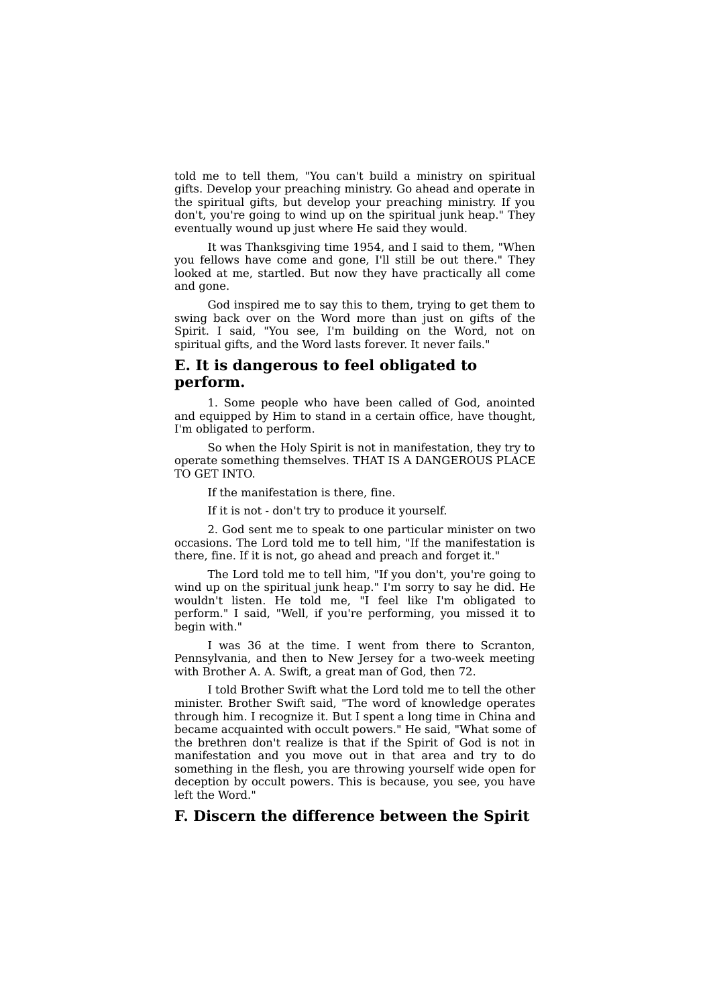told me to tell them, "You can't build a ministry on spiritual gifts. Develop your preaching ministry. Go ahead and operate in the spiritual gifts, but develop your preaching ministry. If you don't, you're going to wind up on the spiritual junk heap." They eventually wound up just where He said they would.

It was Thanksgiving time 1954, and I said to them, "When you fellows have come and gone, I'll still be out there." They looked at me, startled. But now they have practically all come and gone.

God inspired me to say this to them, trying to get them to swing back over on the Word more than just on gifts of the Spirit. I said, "You see, I'm building on the Word, not on spiritual gifts, and the Word lasts forever. It never fails."

## **E. It is dangerous to feel obligated to perform.**

1. Some people who have been called of God, anointed and equipped by Him to stand in a certain office, have thought, I'm obligated to perform.

So when the Holy Spirit is not in manifestation, they try to operate something themselves. THAT IS A DANGEROUS PLACE TO GET INTO.

If the manifestation is there, fine.

If it is not - don't try to produce it yourself.

2. God sent me to speak to one particular minister on two occasions. The Lord told me to tell him, "If the manifestation is there, fine. If it is not, go ahead and preach and forget it."

The Lord told me to tell him, "If you don't, you're going to wind up on the spiritual junk heap." I'm sorry to say he did. He wouldn't listen. He told me, "I feel like I'm obligated to perform." I said, "Well, if you're performing, you missed it to begin with."

I was 36 at the time. I went from there to Scranton, Pennsylvania, and then to New Jersey for a two-week meeting with Brother A. A. Swift, a great man of God, then 72.

I told Brother Swift what the Lord told me to tell the other minister. Brother Swift said, "The word of knowledge operates through him. I recognize it. But I spent a long time in China and became acquainted with occult powers." He said, "What some of the brethren don't realize is that if the Spirit of God is not in manifestation and you move out in that area and try to do something in the flesh, you are throwing yourself wide open for deception by occult powers. This is because, you see, you have left the Word."

### **F. Discern the difference between the Spirit**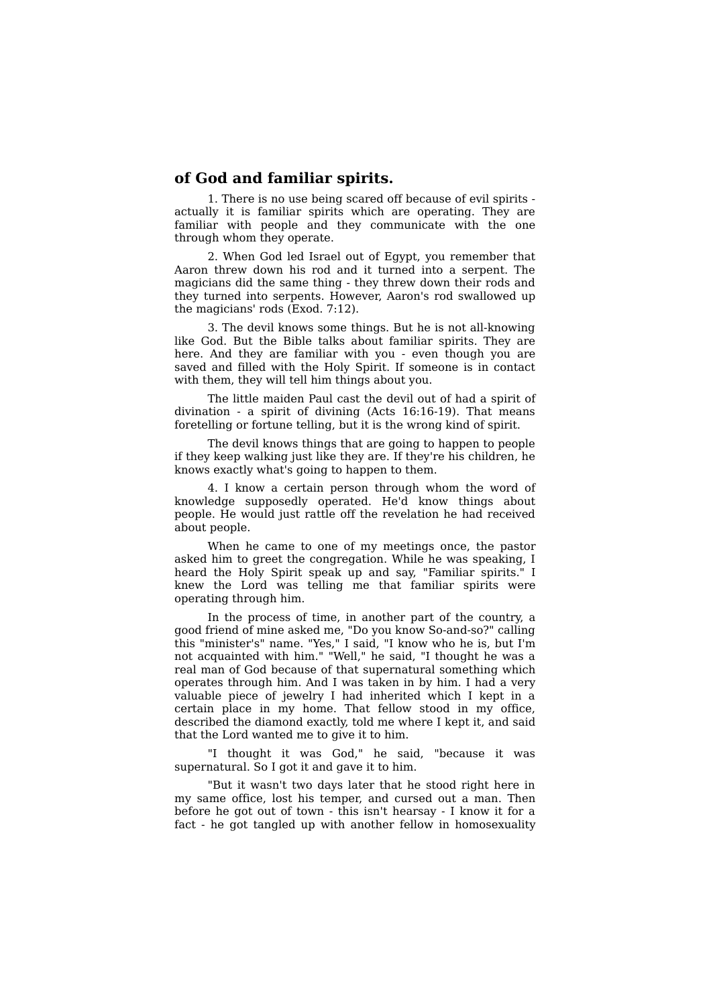### **of God and familiar spirits.**

1. There is no use being scared off because of evil spirits actually it is familiar spirits which are operating. They are familiar with people and they communicate with the one through whom they operate.

2. When God led Israel out of Egypt, you remember that Aaron threw down his rod and it turned into a serpent. The magicians did the same thing - they threw down their rods and they turned into serpents. However, Aaron's rod swallowed up the magicians' rods (Exod. 7:12).

3. The devil knows some things. But he is not all-knowing like God. But the Bible talks about familiar spirits. They are here. And they are familiar with you - even though you are saved and filled with the Holy Spirit. If someone is in contact with them, they will tell him things about you.

The little maiden Paul cast the devil out of had a spirit of divination - a spirit of divining (Acts 16:16-19). That means foretelling or fortune telling, but it is the wrong kind of spirit.

The devil knows things that are going to happen to people if they keep walking just like they are. If they're his children, he knows exactly what's going to happen to them.

4. I know a certain person through whom the word of knowledge supposedly operated. He'd know things about people. He would just rattle off the revelation he had received about people.

When he came to one of my meetings once, the pastor asked him to greet the congregation. While he was speaking, I heard the Holy Spirit speak up and say, "Familiar spirits." I knew the Lord was telling me that familiar spirits were operating through him.

In the process of time, in another part of the country, a good friend of mine asked me, "Do you know So-and-so?" calling this "minister's" name. "Yes," I said, "I know who he is, but I'm not acquainted with him." "Well," he said, "I thought he was a real man of God because of that supernatural something which operates through him. And I was taken in by him. I had a very valuable piece of jewelry I had inherited which I kept in a certain place in my home. That fellow stood in my office, described the diamond exactly, told me where I kept it, and said that the Lord wanted me to give it to him.

"I thought it was God," he said, "because it was supernatural. So I got it and gave it to him.

"But it wasn't two days later that he stood right here in my same office, lost his temper, and cursed out a man. Then before he got out of town - this isn't hearsay - I know it for a fact - he got tangled up with another fellow in homosexuality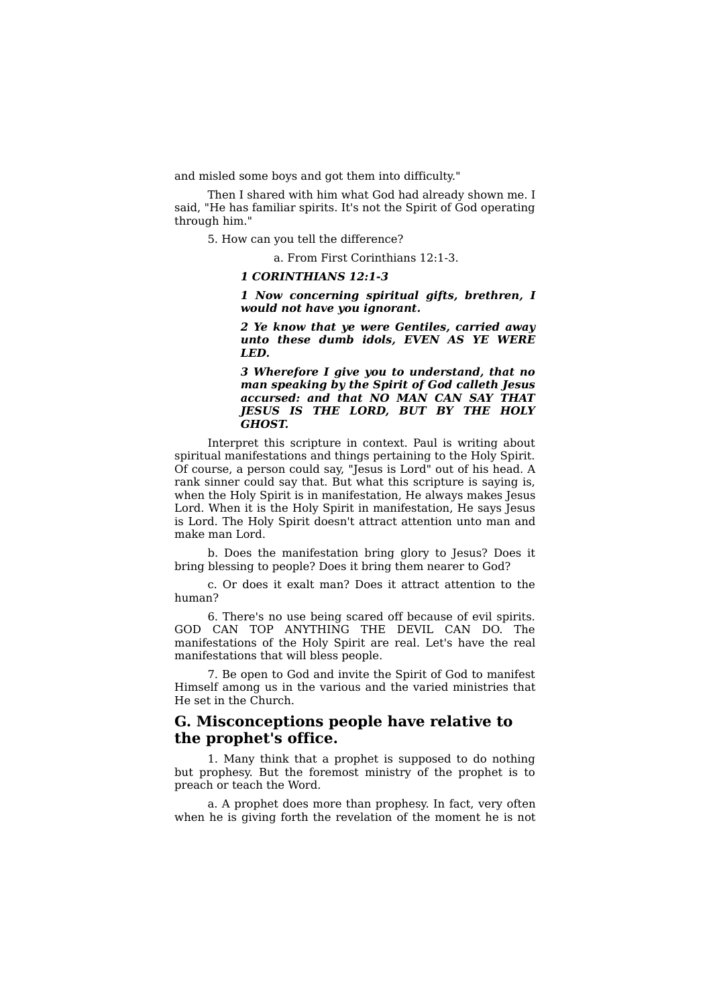and misled some boys and got them into difficulty."

Then I shared with him what God had already shown me. I said, "He has familiar spirits. It's not the Spirit of God operating through him."

5. How can you tell the difference?

a. From First Corinthians 12:1-3.

*1 CORINTHIANS 12:1-3*

*1 Now concerning spiritual gifts, brethren, I would not have you ignorant.*

*2 Ye know that ye were Gentiles, carried away unto these dumb idols, EVEN AS YE WERE LED.*

*3 Wherefore I give you to understand, that no man speaking by the Spirit of God calleth Jesus accursed: and that NO MAN CAN SAY THAT JESUS IS THE LORD, BUT BY THE HOLY GHOST.*

Interpret this scripture in context. Paul is writing about spiritual manifestations and things pertaining to the Holy Spirit. Of course, a person could say, "Jesus is Lord" out of his head. A rank sinner could say that. But what this scripture is saying is, when the Holy Spirit is in manifestation, He always makes Jesus Lord. When it is the Holy Spirit in manifestation, He says Jesus is Lord. The Holy Spirit doesn't attract attention unto man and make man Lord.

b. Does the manifestation bring glory to Jesus? Does it bring blessing to people? Does it bring them nearer to God?

c. Or does it exalt man? Does it attract attention to the human?

6. There's no use being scared off because of evil spirits. GOD CAN TOP ANYTHING THE DEVIL CAN DO. The manifestations of the Holy Spirit are real. Let's have the real manifestations that will bless people.

7. Be open to God and invite the Spirit of God to manifest Himself among us in the various and the varied ministries that He set in the Church.

## **G. Misconceptions people have relative to the prophet's office.**

1. Many think that a prophet is supposed to do nothing but prophesy. But the foremost ministry of the prophet is to preach or teach the Word.

a. A prophet does more than prophesy. In fact, very often when he is giving forth the revelation of the moment he is not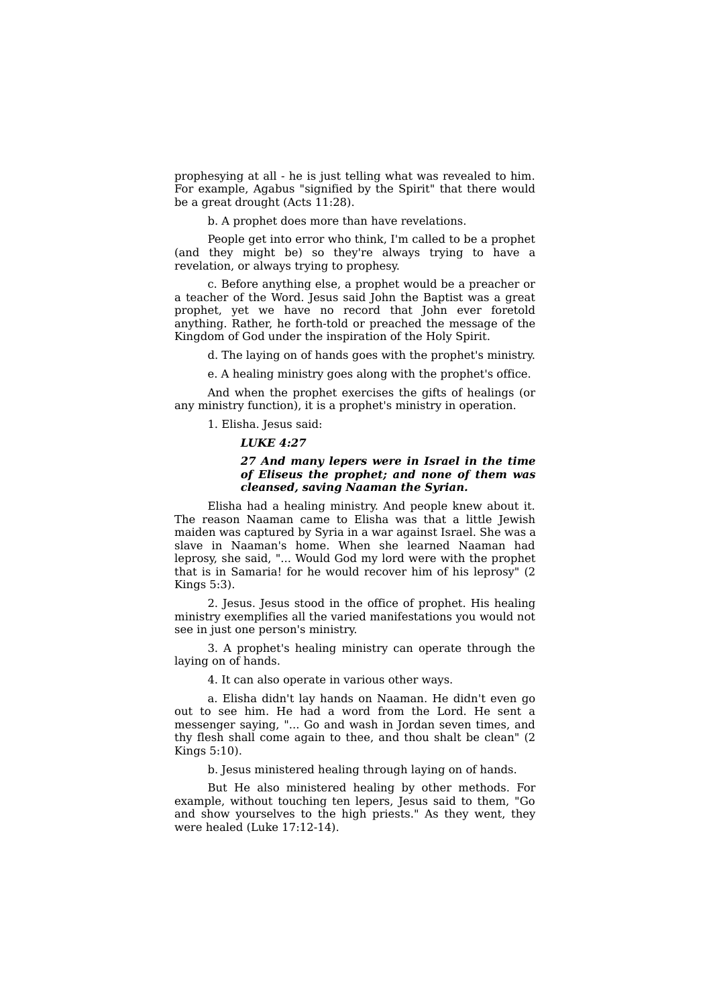prophesying at all - he is just telling what was revealed to him. For example, Agabus "signified by the Spirit" that there would be a great drought (Acts 11:28).

b. A prophet does more than have revelations.

People get into error who think, I'm called to be a prophet (and they might be) so they're always trying to have a revelation, or always trying to prophesy.

c. Before anything else, a prophet would be a preacher or a teacher of the Word. Jesus said John the Baptist was a great prophet, yet we have no record that John ever foretold anything. Rather, he forth-told or preached the message of the Kingdom of God under the inspiration of the Holy Spirit.

d. The laying on of hands goes with the prophet's ministry.

e. A healing ministry goes along with the prophet's office.

And when the prophet exercises the gifts of healings (or any ministry function), it is a prophet's ministry in operation.

1. Elisha. Jesus said:

*LUKE 4:27*

### *27 And many lepers were in Israel in the time of Eliseus the prophet; and none of them was cleansed, saving Naaman the Syrian.*

Elisha had a healing ministry. And people knew about it. The reason Naaman came to Elisha was that a little Jewish maiden was captured by Syria in a war against Israel. She was a slave in Naaman's home. When she learned Naaman had leprosy, she said, "... Would God my lord were with the prophet that is in Samaria! for he would recover him of his leprosy" (2 Kings 5:3).

2. Jesus. Jesus stood in the office of prophet. His healing ministry exemplifies all the varied manifestations you would not see in just one person's ministry.

3. A prophet's healing ministry can operate through the laying on of hands.

4. It can also operate in various other ways.

a. Elisha didn't lay hands on Naaman. He didn't even go out to see him. He had a word from the Lord. He sent a messenger saying, "... Go and wash in Jordan seven times, and thy flesh shall come again to thee, and thou shalt be clean" (2 Kings 5:10).

b. Jesus ministered healing through laying on of hands.

But He also ministered healing by other methods. For example, without touching ten lepers, Jesus said to them, "Go and show yourselves to the high priests." As they went, they were healed (Luke 17:12-14).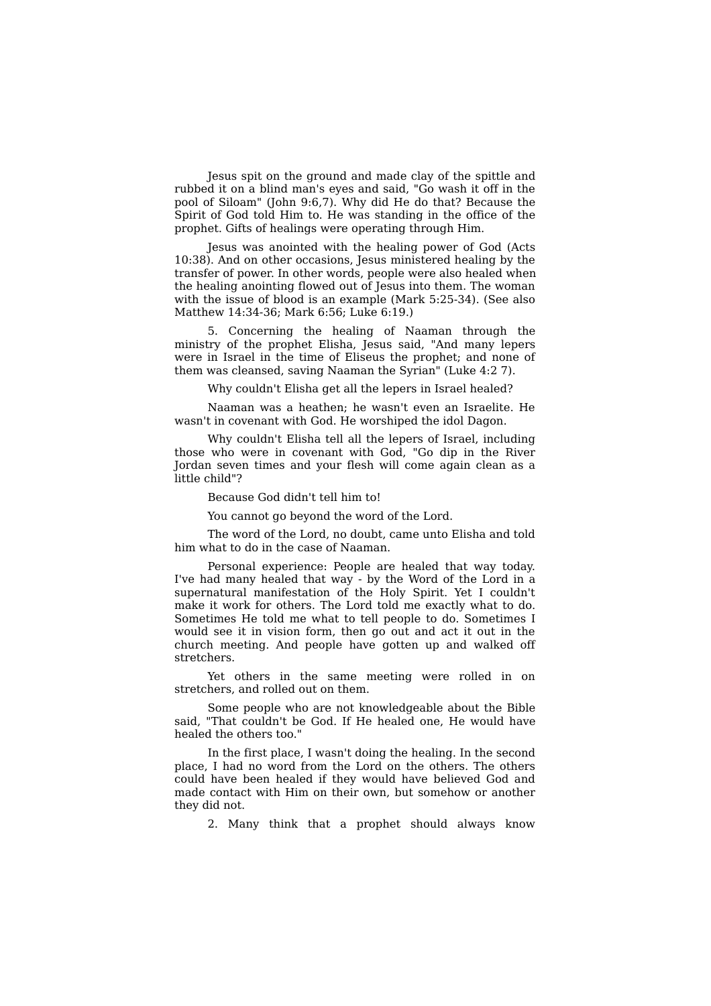Jesus spit on the ground and made clay of the spittle and rubbed it on a blind man's eyes and said, "Go wash it off in the pool of Siloam" (John 9:6,7). Why did He do that? Because the Spirit of God told Him to. He was standing in the office of the prophet. Gifts of healings were operating through Him.

Jesus was anointed with the healing power of God (Acts 10:38). And on other occasions, Jesus ministered healing by the transfer of power. In other words, people were also healed when the healing anointing flowed out of Jesus into them. The woman with the issue of blood is an example (Mark 5:25-34). (See also Matthew 14:34-36; Mark 6:56; Luke 6:19.)

5. Concerning the healing of Naaman through the ministry of the prophet Elisha, Jesus said, "And many lepers were in Israel in the time of Eliseus the prophet; and none of them was cleansed, saving Naaman the Syrian" (Luke 4:2 7).

Why couldn't Elisha get all the lepers in Israel healed?

Naaman was a heathen; he wasn't even an Israelite. He wasn't in covenant with God. He worshiped the idol Dagon.

Why couldn't Elisha tell all the lepers of Israel, including those who were in covenant with God, "Go dip in the River Jordan seven times and your flesh will come again clean as a little child"?

Because God didn't tell him to!

You cannot go beyond the word of the Lord.

The word of the Lord, no doubt, came unto Elisha and told him what to do in the case of Naaman.

Personal experience: People are healed that way today. I've had many healed that way - by the Word of the Lord in a supernatural manifestation of the Holy Spirit. Yet I couldn't make it work for others. The Lord told me exactly what to do. Sometimes He told me what to tell people to do. Sometimes I would see it in vision form, then go out and act it out in the church meeting. And people have gotten up and walked off stretchers.

Yet others in the same meeting were rolled in on stretchers, and rolled out on them.

Some people who are not knowledgeable about the Bible said, "That couldn't be God. If He healed one, He would have healed the others too."

In the first place, I wasn't doing the healing. In the second place, I had no word from the Lord on the others. The others could have been healed if they would have believed God and made contact with Him on their own, but somehow or another they did not.

2. Many think that a prophet should always know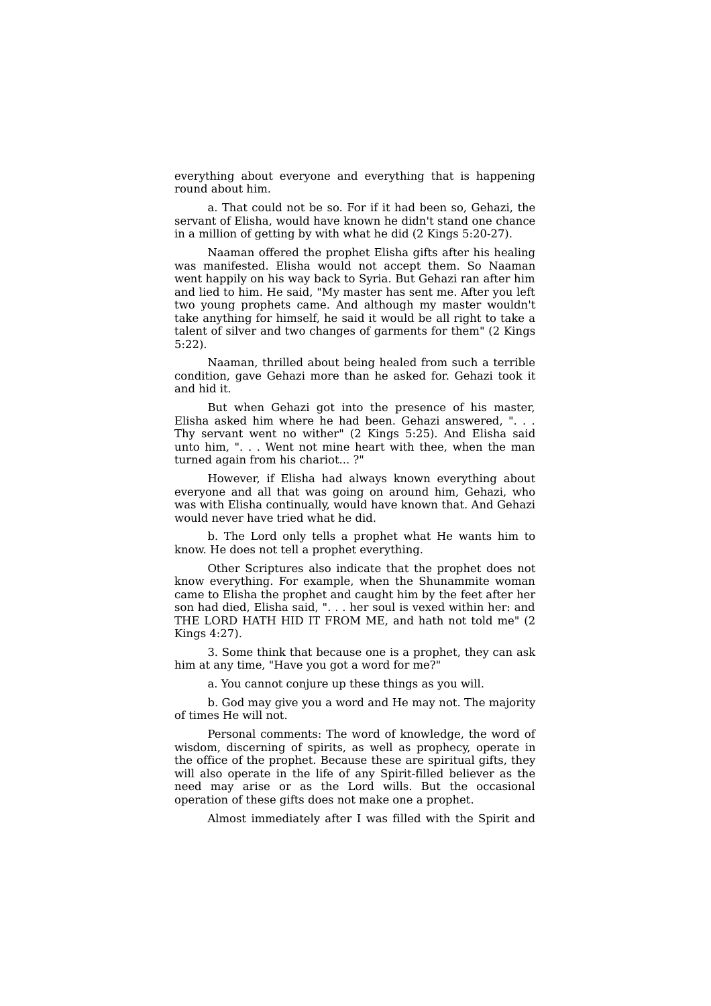everything about everyone and everything that is happening round about him.

a. That could not be so. For if it had been so, Gehazi, the servant of Elisha, would have known he didn't stand one chance in a million of getting by with what he did (2 Kings 5:20-27).

Naaman offered the prophet Elisha gifts after his healing was manifested. Elisha would not accept them. So Naaman went happily on his way back to Syria. But Gehazi ran after him and lied to him. He said, "My master has sent me. After you left two young prophets came. And although my master wouldn't take anything for himself, he said it would be all right to take a talent of silver and two changes of garments for them" (2 Kings 5:22).

Naaman, thrilled about being healed from such a terrible condition, gave Gehazi more than he asked for. Gehazi took it and hid it.

But when Gehazi got into the presence of his master, Elisha asked him where he had been. Gehazi answered, ". . . Thy servant went no wither" (2 Kings 5:25). And Elisha said unto him, ". . . Went not mine heart with thee, when the man turned again from his chariot... ?"

However, if Elisha had always known everything about everyone and all that was going on around him, Gehazi, who was with Elisha continually, would have known that. And Gehazi would never have tried what he did.

b. The Lord only tells a prophet what He wants him to know. He does not tell a prophet everything.

Other Scriptures also indicate that the prophet does not know everything. For example, when the Shunammite woman came to Elisha the prophet and caught him by the feet after her son had died, Elisha said, ". . . her soul is vexed within her: and THE LORD HATH HID IT FROM ME, and hath not told me" (2 Kings 4:27).

3. Some think that because one is a prophet, they can ask him at any time, "Have you got a word for me?"

a. You cannot conjure up these things as you will.

b. God may give you a word and He may not. The majority of times He will not.

Personal comments: The word of knowledge, the word of wisdom, discerning of spirits, as well as prophecy, operate in the office of the prophet. Because these are spiritual gifts, they will also operate in the life of any Spirit-filled believer as the need may arise or as the Lord wills. But the occasional operation of these gifts does not make one a prophet.

Almost immediately after I was filled with the Spirit and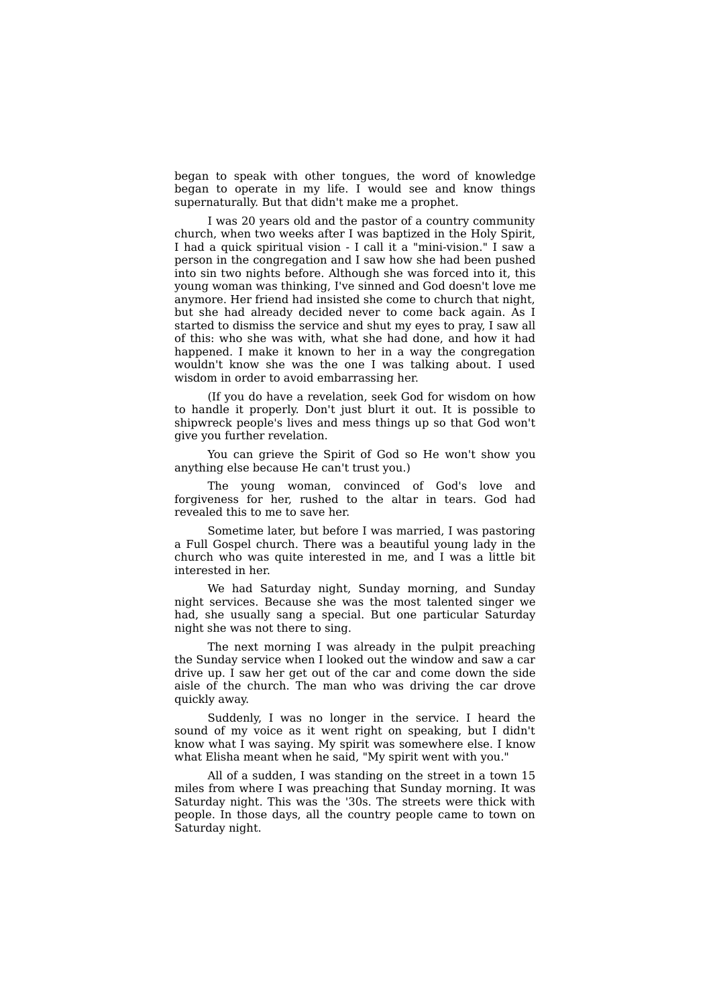began to speak with other tongues, the word of knowledge began to operate in my life. I would see and know things supernaturally. But that didn't make me a prophet.

I was 20 years old and the pastor of a country community church, when two weeks after I was baptized in the Holy Spirit, I had a quick spiritual vision - I call it a "mini-vision." I saw a person in the congregation and I saw how she had been pushed into sin two nights before. Although she was forced into it, this young woman was thinking, I've sinned and God doesn't love me anymore. Her friend had insisted she come to church that night, but she had already decided never to come back again. As I started to dismiss the service and shut my eyes to pray, I saw all of this: who she was with, what she had done, and how it had happened. I make it known to her in a way the congregation wouldn't know she was the one I was talking about. I used wisdom in order to avoid embarrassing her.

(If you do have a revelation, seek God for wisdom on how to handle it properly. Don't just blurt it out. It is possible to shipwreck people's lives and mess things up so that God won't give you further revelation.

You can grieve the Spirit of God so He won't show you anything else because He can't trust you.)

The young woman, convinced of God's love and forgiveness for her, rushed to the altar in tears. God had revealed this to me to save her.

Sometime later, but before I was married, I was pastoring a Full Gospel church. There was a beautiful young lady in the church who was quite interested in me, and I was a little bit interested in her.

We had Saturday night, Sunday morning, and Sunday night services. Because she was the most talented singer we had, she usually sang a special. But one particular Saturday night she was not there to sing.

The next morning I was already in the pulpit preaching the Sunday service when I looked out the window and saw a car drive up. I saw her get out of the car and come down the side aisle of the church. The man who was driving the car drove quickly away.

Suddenly, I was no longer in the service. I heard the sound of my voice as it went right on speaking, but I didn't know what I was saying. My spirit was somewhere else. I know what Elisha meant when he said, "My spirit went with you."

All of a sudden, I was standing on the street in a town 15 miles from where I was preaching that Sunday morning. It was Saturday night. This was the '30s. The streets were thick with people. In those days, all the country people came to town on Saturday night.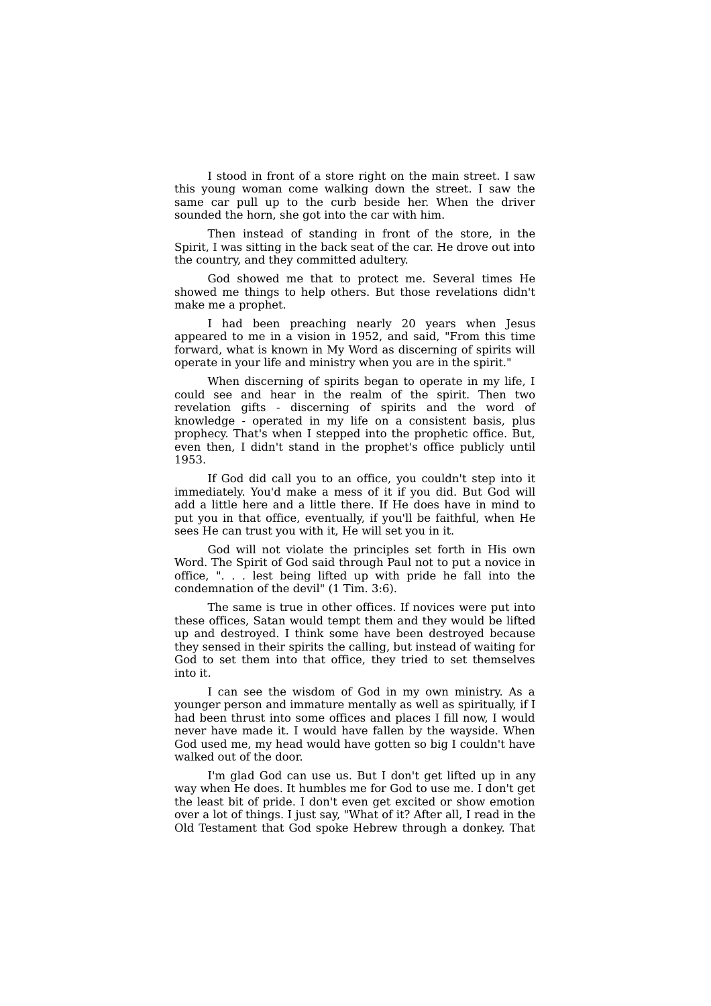I stood in front of a store right on the main street. I saw this young woman come walking down the street. I saw the same car pull up to the curb beside her. When the driver sounded the horn, she got into the car with him.

Then instead of standing in front of the store, in the Spirit, I was sitting in the back seat of the car. He drove out into the country, and they committed adultery.

God showed me that to protect me. Several times He showed me things to help others. But those revelations didn't make me a prophet.

I had been preaching nearly 20 years when Jesus appeared to me in a vision in 1952, and said, "From this time forward, what is known in My Word as discerning of spirits will operate in your life and ministry when you are in the spirit."

When discerning of spirits began to operate in my life, I could see and hear in the realm of the spirit. Then two revelation gifts - discerning of spirits and the word of knowledge - operated in my life on a consistent basis, plus prophecy. That's when I stepped into the prophetic office. But, even then, I didn't stand in the prophet's office publicly until 1953.

If God did call you to an office, you couldn't step into it immediately. You'd make a mess of it if you did. But God will add a little here and a little there. If He does have in mind to put you in that office, eventually, if you'll be faithful, when He sees He can trust you with it, He will set you in it.

God will not violate the principles set forth in His own Word. The Spirit of God said through Paul not to put a novice in office, ". . . lest being lifted up with pride he fall into the condemnation of the devil" (1 Tim. 3:6).

The same is true in other offices. If novices were put into these offices, Satan would tempt them and they would be lifted up and destroyed. I think some have been destroyed because they sensed in their spirits the calling, but instead of waiting for God to set them into that office, they tried to set themselves into it.

I can see the wisdom of God in my own ministry. As a younger person and immature mentally as well as spiritually, if I had been thrust into some offices and places I fill now, I would never have made it. I would have fallen by the wayside. When God used me, my head would have gotten so big I couldn't have walked out of the door.

I'm glad God can use us. But I don't get lifted up in any way when He does. It humbles me for God to use me. I don't get the least bit of pride. I don't even get excited or show emotion over a lot of things. I just say, "What of it? After all, I read in the Old Testament that God spoke Hebrew through a donkey. That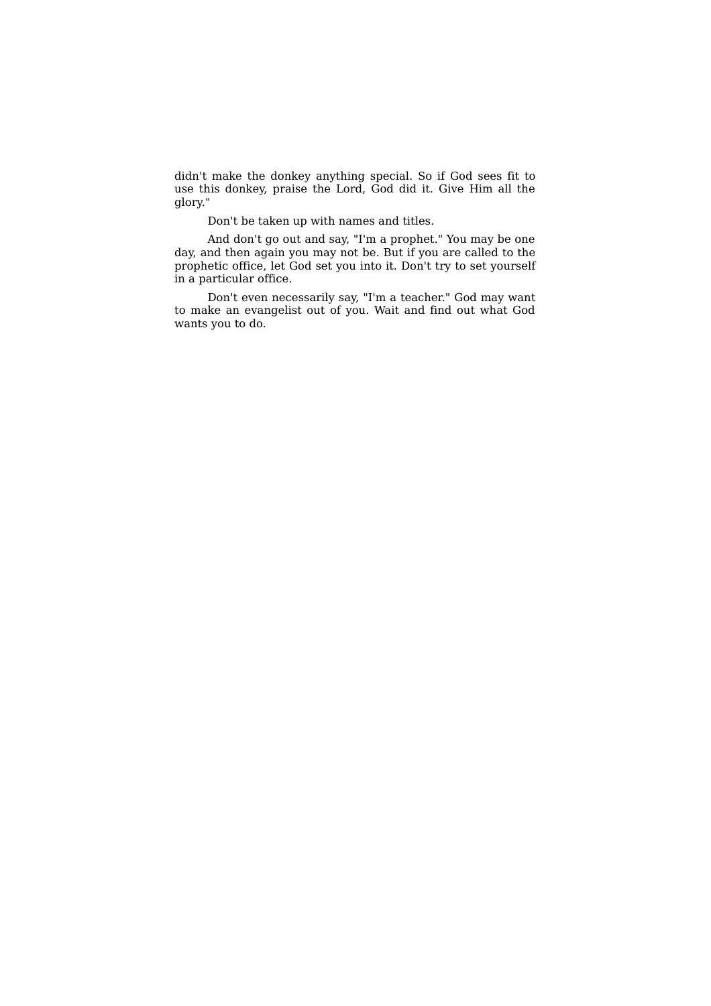didn't make the donkey anything special. So if God sees fit to use this donkey, praise the Lord, God did it. Give Him all the glory."

Don't be taken up with names and titles.

And don't go out and say, "I'm a prophet." You may be one day, and then again you may not be. But if you are called to the prophetic office, let God set you into it. Don't try to set yourself in a particular office.

Don't even necessarily say, "I'm a teacher." God may want to make an evangelist out of you. Wait and find out what God wants you to do.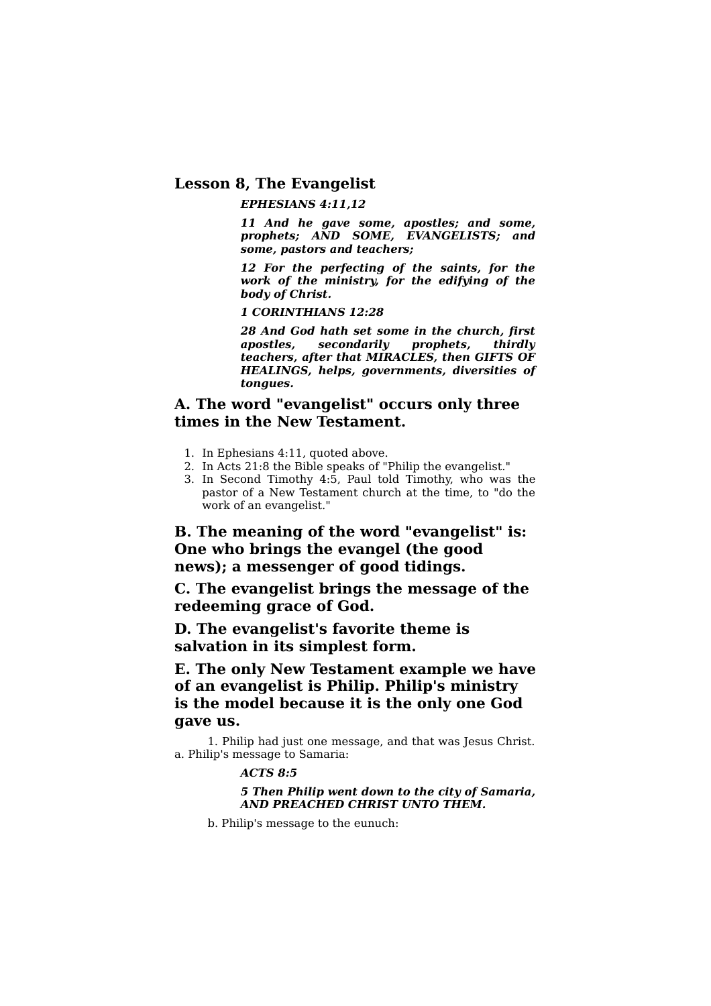## **Lesson 8, The Evangelist**

*EPHESIANS 4:11,12*

*11 And he gave some, apostles; and some, prophets; AND SOME, EVANGELISTS; and some, pastors and teachers;*

*12 For the perfecting of the saints, for the work of the ministry, for the edifying of the body of Christ.*

*1 CORINTHIANS 12:28*

*28 And God hath set some in the church, first apostles, secondarily prophets, thirdly teachers, after that MIRACLES, then GIFTS OF HEALINGS, helps, governments, diversities of tongues.*

## **A. The word "evangelist" occurs only three times in the New Testament.**

- 1. In Ephesians 4:11, quoted above.
- 2. In Acts 21:8 the Bible speaks of "Philip the evangelist."
- 3. In Second Timothy 4:5, Paul told Timothy, who was the pastor of a New Testament church at the time, to "do the work of an evangelist."

**B. The meaning of the word "evangelist" is: One who brings the evangel (the good news); a messenger of good tidings.**

**C. The evangelist brings the message of the redeeming grace of God.**

**D. The evangelist's favorite theme is salvation in its simplest form.**

**E. The only New Testament example we have of an evangelist is Philip. Philip's ministry is the model because it is the only one God gave us.**

1. Philip had just one message, and that was Jesus Christ. a. Philip's message to Samaria:

### *ACTS 8:5*

*5 Then Philip went down to the city of Samaria, AND PREACHED CHRIST UNTO THEM.*

b. Philip's message to the eunuch: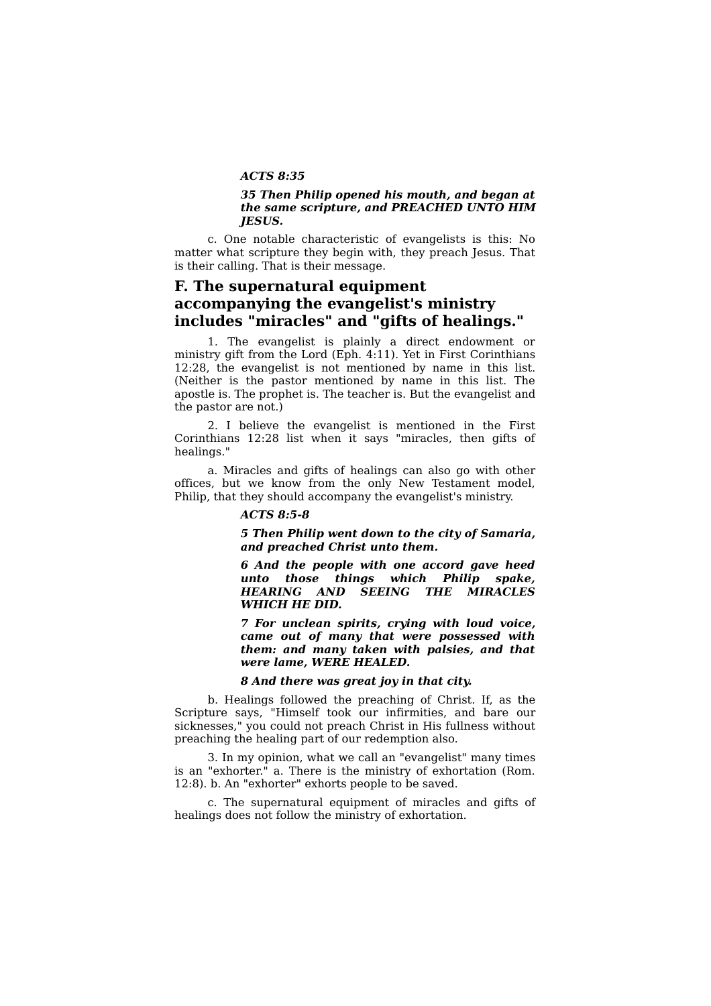### *ACTS 8:35*

### *35 Then Philip opened his mouth, and began at the same scripture, and PREACHED UNTO HIM JESUS.*

c. One notable characteristic of evangelists is this: No matter what scripture they begin with, they preach Jesus. That is their calling. That is their message.

# **F. The supernatural equipment accompanying the evangelist's ministry includes "miracles" and "gifts of healings."**

1. The evangelist is plainly a direct endowment or ministry gift from the Lord (Eph. 4:11). Yet in First Corinthians 12:28, the evangelist is not mentioned by name in this list. (Neither is the pastor mentioned by name in this list. The apostle is. The prophet is. The teacher is. But the evangelist and the pastor are not.)

2. I believe the evangelist is mentioned in the First Corinthians 12:28 list when it says "miracles, then gifts of healings."

a. Miracles and gifts of healings can also go with other offices, but we know from the only New Testament model, Philip, that they should accompany the evangelist's ministry.

### *ACTS 8:5-8*

*5 Then Philip went down to the city of Samaria, and preached Christ unto them.*

*6 And the people with one accord gave heed unto those things which Philip spake, HEARING AND SEEING THE MIRACLES WHICH HE DID.*

*7 For unclean spirits, crying with loud voice, came out of many that were possessed with them: and many taken with palsies, and that were lame, WERE HEALED.*

#### *8 And there was great joy in that city.*

b. Healings followed the preaching of Christ. If, as the Scripture says, "Himself took our infirmities, and bare our sicknesses," you could not preach Christ in His fullness without preaching the healing part of our redemption also.

3. In my opinion, what we call an "evangelist" many times is an "exhorter." a. There is the ministry of exhortation (Rom. 12:8). b. An "exhorter" exhorts people to be saved.

c. The supernatural equipment of miracles and gifts of healings does not follow the ministry of exhortation.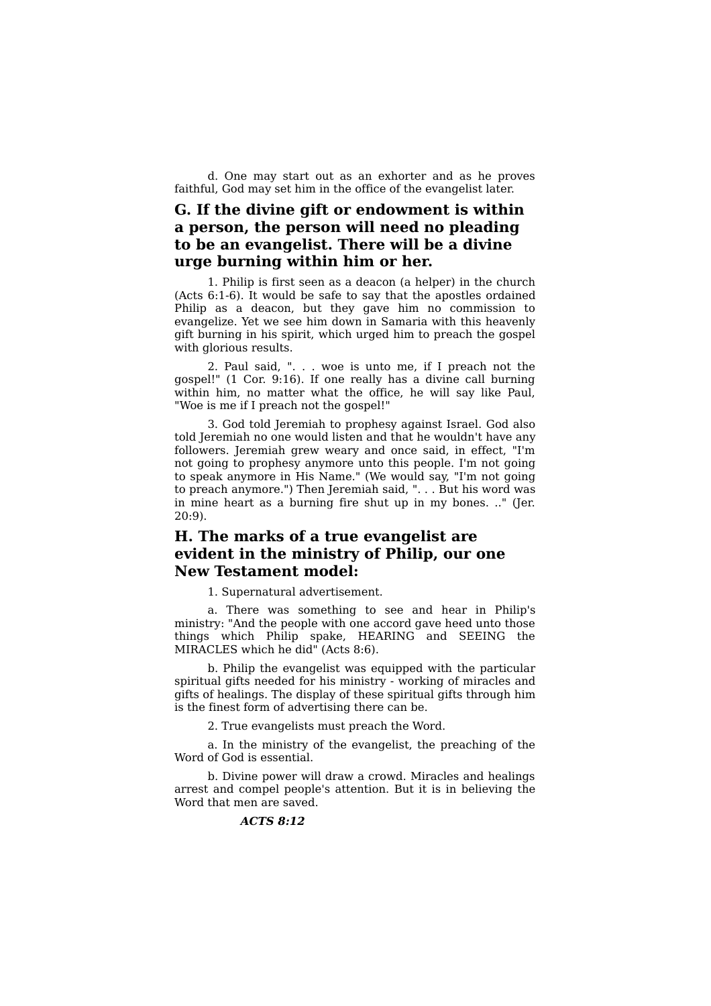d. One may start out as an exhorter and as he proves faithful, God may set him in the office of the evangelist later.

# **G. If the divine gift or endowment is within a person, the person will need no pleading to be an evangelist. There will be a divine urge burning within him or her.**

1. Philip is first seen as a deacon (a helper) in the church (Acts 6:1-6). It would be safe to say that the apostles ordained Philip as a deacon, but they gave him no commission to evangelize. Yet we see him down in Samaria with this heavenly gift burning in his spirit, which urged him to preach the gospel with glorious results.

2. Paul said, ". . . woe is unto me, if I preach not the gospel!" (1 Cor. 9:16). If one really has a divine call burning within him, no matter what the office, he will say like Paul, "Woe is me if I preach not the gospel!"

3. God told Jeremiah to prophesy against Israel. God also told Jeremiah no one would listen and that he wouldn't have any followers. Jeremiah grew weary and once said, in effect, "I'm not going to prophesy anymore unto this people. I'm not going to speak anymore in His Name." (We would say, "I'm not going to preach anymore.") Then Jeremiah said, ". . . But his word was in mine heart as a burning fire shut up in my bones. .." (Jer. 20:9).

# **H. The marks of a true evangelist are evident in the ministry of Philip, our one New Testament model:**

1. Supernatural advertisement.

a. There was something to see and hear in Philip's ministry: "And the people with one accord gave heed unto those things which Philip spake, HEARING and SEEING the MIRACLES which he did" (Acts 8:6).

b. Philip the evangelist was equipped with the particular spiritual gifts needed for his ministry - working of miracles and gifts of healings. The display of these spiritual gifts through him is the finest form of advertising there can be.

2. True evangelists must preach the Word.

a. In the ministry of the evangelist, the preaching of the Word of God is essential.

b. Divine power will draw a crowd. Miracles and healings arrest and compel people's attention. But it is in believing the Word that men are saved.

#### *ACTS 8:12*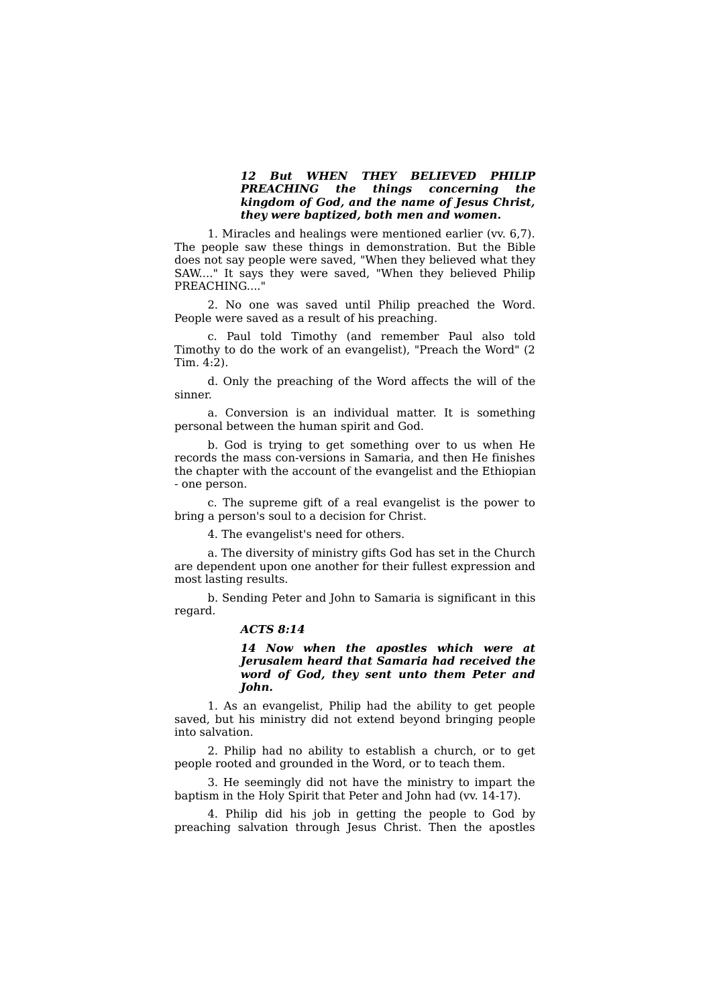### *12 But WHEN THEY BELIEVED PHILIP PREACHING the things concerning the kingdom of God, and the name of Jesus Christ, they were baptized, both men and women.*

1. Miracles and healings were mentioned earlier (vv. 6,7). The people saw these things in demonstration. But the Bible does not say people were saved, "When they believed what they SAW...." It says they were saved, "When they believed Philip PREACHING...."

2. No one was saved until Philip preached the Word. People were saved as a result of his preaching.

c. Paul told Timothy (and remember Paul also told Timothy to do the work of an evangelist), "Preach the Word" (2 Tim.  $4:2$ ).

d. Only the preaching of the Word affects the will of the sinner.

a. Conversion is an individual matter. It is something personal between the human spirit and God.

b. God is trying to get something over to us when He records the mass con-versions in Samaria, and then He finishes the chapter with the account of the evangelist and the Ethiopian - one person.

c. The supreme gift of a real evangelist is the power to bring a person's soul to a decision for Christ.

4. The evangelist's need for others.

a. The diversity of ministry gifts God has set in the Church are dependent upon one another for their fullest expression and most lasting results.

b. Sending Peter and John to Samaria is significant in this regard.

#### *ACTS 8:14*

### *14 Now when the apostles which were at Jerusalem heard that Samaria had received the word of God, they sent unto them Peter and John.*

1. As an evangelist, Philip had the ability to get people saved, but his ministry did not extend beyond bringing people into salvation.

2. Philip had no ability to establish a church, or to get people rooted and grounded in the Word, or to teach them.

3. He seemingly did not have the ministry to impart the baptism in the Holy Spirit that Peter and John had (vv. 14-17).

4. Philip did his job in getting the people to God by preaching salvation through Jesus Christ. Then the apostles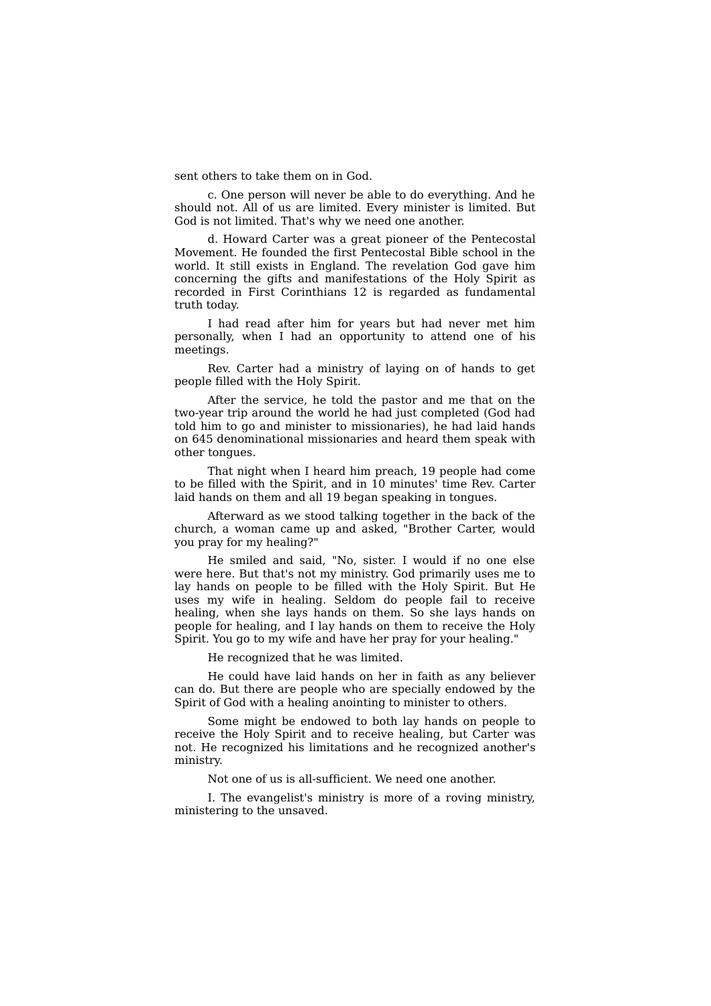sent others to take them on in God.

c. One person will never be able to do everything. And he should not. All of us are limited. Every minister is limited. But God is not limited. That's why we need one another.

d. Howard Carter was a great pioneer of the Pentecostal Movement. He founded the first Pentecostal Bible school in the world. It still exists in England. The revelation God gave him concerning the gifts and manifestations of the Holy Spirit as recorded in First Corinthians 12 is regarded as fundamental truth today.

I had read after him for years but had never met him personally, when I had an opportunity to attend one of his meetings.

Rev. Carter had a ministry of laying on of hands to get people filled with the Holy Spirit.

After the service, he told the pastor and me that on the two-year trip around the world he had just completed (God had told him to go and minister to missionaries), he had laid hands on 645 denominational missionaries and heard them speak with other tongues.

That night when I heard him preach, 19 people had come to be filled with the Spirit, and in 10 minutes' time Rev. Carter laid hands on them and all 19 began speaking in tongues.

Afterward as we stood talking together in the back of the church, a woman came up and asked, "Brother Carter, would you pray for my healing?"

He smiled and said, "No, sister. I would if no one else were here. But that's not my ministry. God primarily uses me to lay hands on people to be filled with the Holy Spirit. But He uses my wife in healing. Seldom do people fail to receive healing, when she lays hands on them. So she lays hands on people for healing, and I lay hands on them to receive the Holy Spirit. You go to my wife and have her pray for your healing."

He recognized that he was limited.

He could have laid hands on her in faith as any believer can do. But there are people who are specially endowed by the Spirit of God with a healing anointing to minister to others.

Some might be endowed to both lay hands on people to receive the Holy Spirit and to receive healing, but Carter was not. He recognized his limitations and he recognized another's ministry.

Not one of us is all-sufficient. We need one another.

I. The evangelist's ministry is more of a roving ministry, ministering to the unsaved.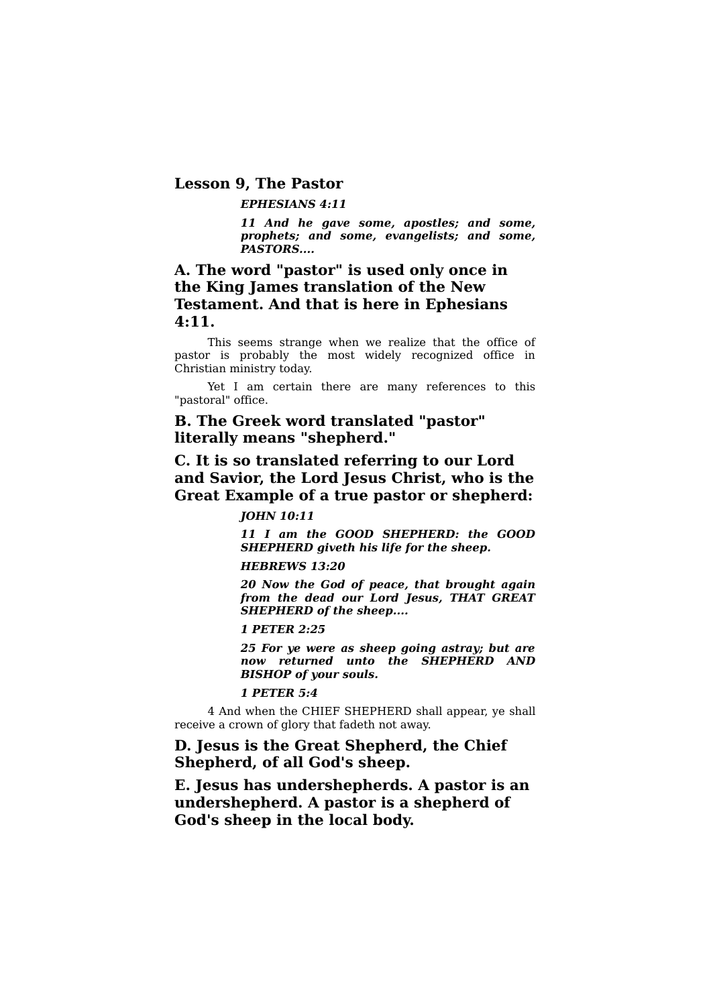## **Lesson 9, The Pastor**

### *EPHESIANS 4:11*

*11 And he gave some, apostles; and some, prophets; and some, evangelists; and some, PASTORS....*

# **A. The word "pastor" is used only once in the King James translation of the New Testament. And that is here in Ephesians 4:11.**

This seems strange when we realize that the office of pastor is probably the most widely recognized office in Christian ministry today.

Yet I am certain there are many references to this "pastoral" office.

# **B. The Greek word translated "pastor" literally means "shepherd."**

# **C. It is so translated referring to our Lord and Savior, the Lord Jesus Christ, who is the Great Example of a true pastor or shepherd:**

### *JOHN 10:11*

*11 I am the GOOD SHEPHERD: the GOOD SHEPHERD giveth his life for the sheep.*

#### *HEBREWS 13:20*

*20 Now the God of peace, that brought again from the dead our Lord Jesus, THAT GREAT SHEPHERD of the sheep....*

#### *1 PETER 2:25*

*25 For ye were as sheep going astray; but are now returned unto the SHEPHERD AND BISHOP of your souls.*

### *1 PETER 5:4*

4 And when the CHIEF SHEPHERD shall appear, ye shall receive a crown of glory that fadeth not away.

## **D. Jesus is the Great Shepherd, the Chief Shepherd, of all God's sheep.**

**E. Jesus has undershepherds. A pastor is an undershepherd. A pastor is a shepherd of God's sheep in the local body.**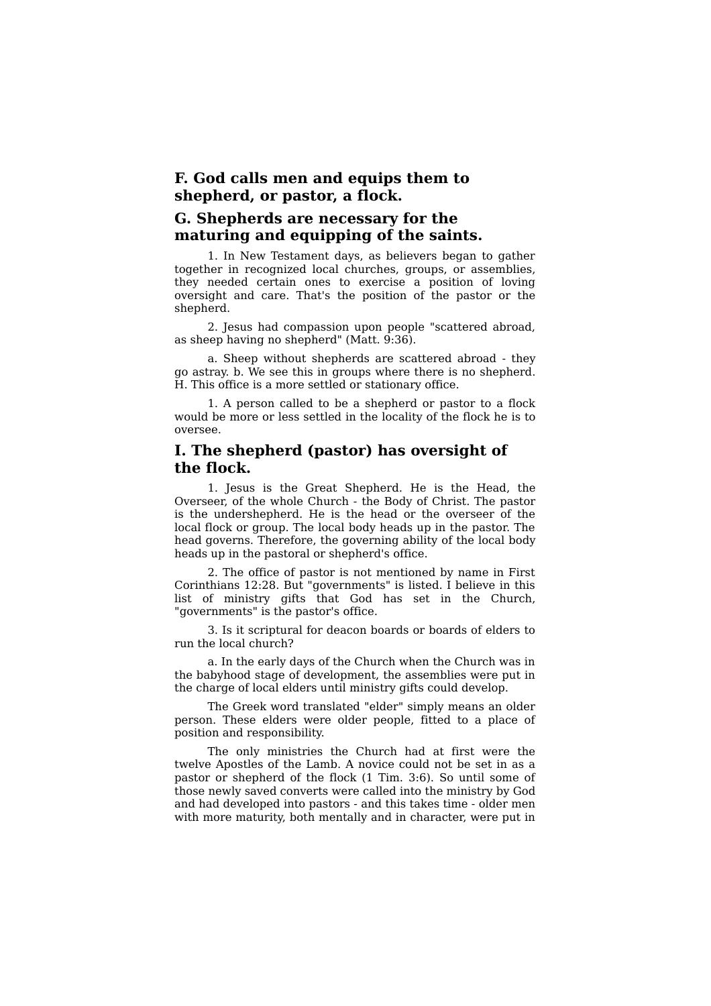## **F. God calls men and equips them to shepherd, or pastor, a flock.**

# **G. Shepherds are necessary for the maturing and equipping of the saints.**

1. In New Testament days, as believers began to gather together in recognized local churches, groups, or assemblies, they needed certain ones to exercise a position of loving oversight and care. That's the position of the pastor or the shepherd.

2. Jesus had compassion upon people "scattered abroad, as sheep having no shepherd" (Matt. 9:36).

a. Sheep without shepherds are scattered abroad - they go astray. b. We see this in groups where there is no shepherd. H. This office is a more settled or stationary office.

1. A person called to be a shepherd or pastor to a flock would be more or less settled in the locality of the flock he is to oversee.

## **I. The shepherd (pastor) has oversight of the flock.**

1. Jesus is the Great Shepherd. He is the Head, the Overseer, of the whole Church - the Body of Christ. The pastor is the undershepherd. He is the head or the overseer of the local flock or group. The local body heads up in the pastor. The head governs. Therefore, the governing ability of the local body heads up in the pastoral or shepherd's office.

2. The office of pastor is not mentioned by name in First Corinthians 12:28. But "governments" is listed. I believe in this list of ministry gifts that God has set in the Church, "governments" is the pastor's office.

3. Is it scriptural for deacon boards or boards of elders to run the local church?

a. In the early days of the Church when the Church was in the babyhood stage of development, the assemblies were put in the charge of local elders until ministry gifts could develop.

The Greek word translated "elder" simply means an older person. These elders were older people, fitted to a place of position and responsibility.

The only ministries the Church had at first were the twelve Apostles of the Lamb. A novice could not be set in as a pastor or shepherd of the flock (1 Tim. 3:6). So until some of those newly saved converts were called into the ministry by God and had developed into pastors - and this takes time - older men with more maturity, both mentally and in character, were put in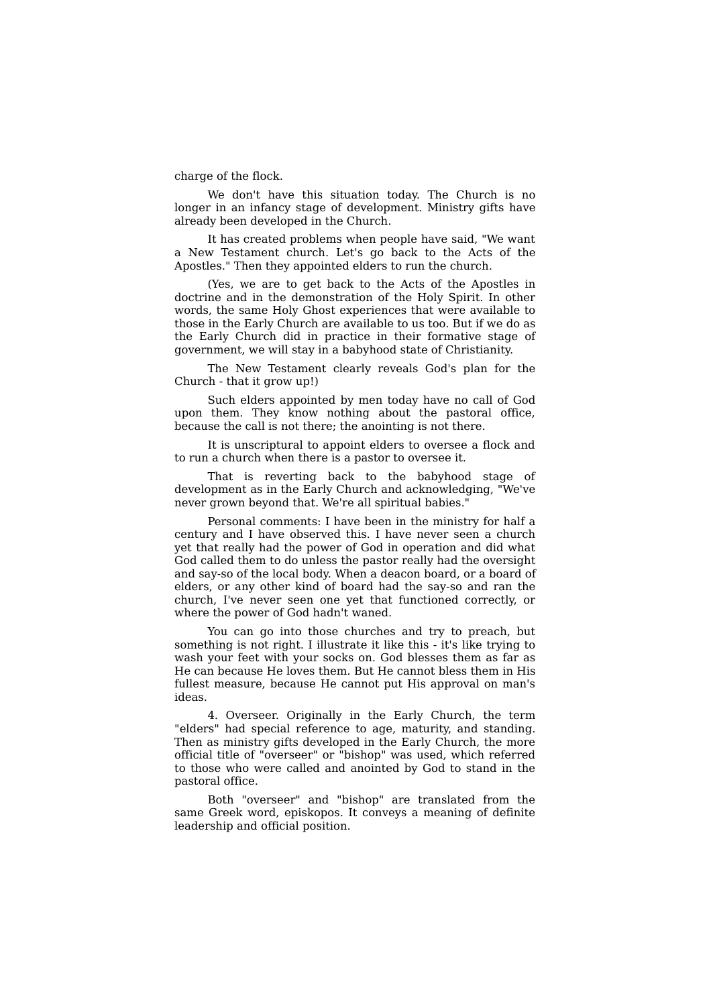charge of the flock.

We don't have this situation today. The Church is no longer in an infancy stage of development. Ministry gifts have already been developed in the Church.

It has created problems when people have said, "We want a New Testament church. Let's go back to the Acts of the Apostles." Then they appointed elders to run the church.

(Yes, we are to get back to the Acts of the Apostles in doctrine and in the demonstration of the Holy Spirit. In other words, the same Holy Ghost experiences that were available to those in the Early Church are available to us too. But if we do as the Early Church did in practice in their formative stage of government, we will stay in a babyhood state of Christianity.

The New Testament clearly reveals God's plan for the Church - that it grow up!)

Such elders appointed by men today have no call of God upon them. They know nothing about the pastoral office, because the call is not there; the anointing is not there.

It is unscriptural to appoint elders to oversee a flock and to run a church when there is a pastor to oversee it.

That is reverting back to the babyhood stage of development as in the Early Church and acknowledging, "We've never grown beyond that. We're all spiritual babies."

Personal comments: I have been in the ministry for half a century and I have observed this. I have never seen a church yet that really had the power of God in operation and did what God called them to do unless the pastor really had the oversight and say-so of the local body. When a deacon board, or a board of elders, or any other kind of board had the say-so and ran the church, I've never seen one yet that functioned correctly, or where the power of God hadn't waned.

You can go into those churches and try to preach, but something is not right. I illustrate it like this - it's like trying to wash your feet with your socks on. God blesses them as far as He can because He loves them. But He cannot bless them in His fullest measure, because He cannot put His approval on man's ideas.

4. Overseer. Originally in the Early Church, the term "elders" had special reference to age, maturity, and standing. Then as ministry gifts developed in the Early Church, the more official title of "overseer" or "bishop" was used, which referred to those who were called and anointed by God to stand in the pastoral office.

Both "overseer" and "bishop" are translated from the same Greek word, episkopos. It conveys a meaning of definite leadership and official position.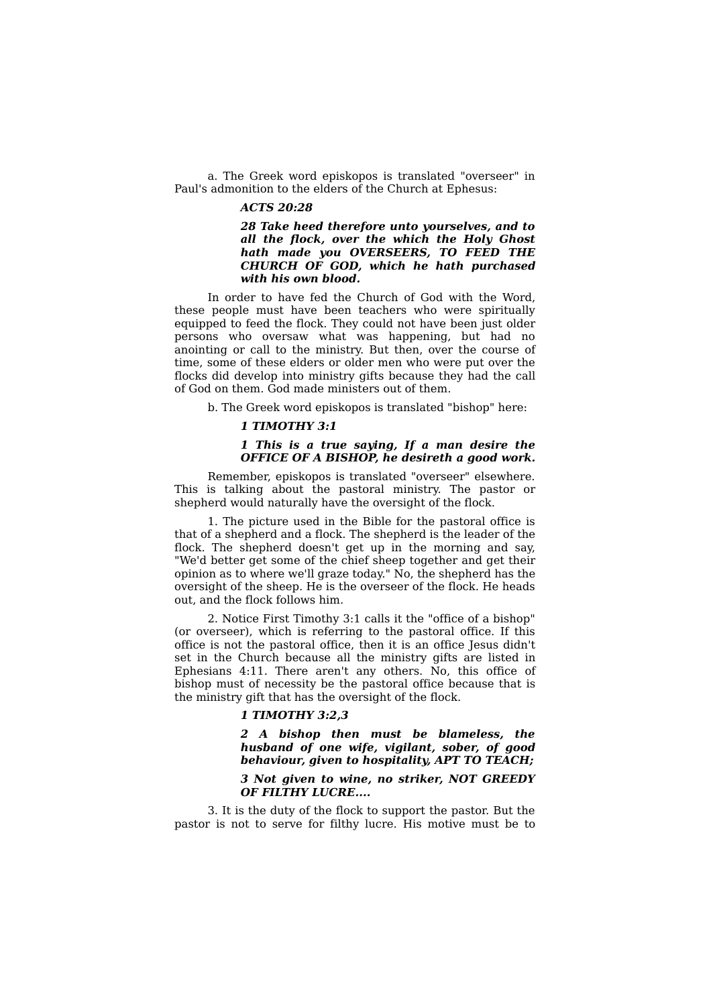a. The Greek word episkopos is translated "overseer" in Paul's admonition to the elders of the Church at Ephesus:

#### *ACTS 20:28*

*28 Take heed therefore unto yourselves, and to all the flock, over the which the Holy Ghost hath made you OVERSEERS, TO FEED THE CHURCH OF GOD, which he hath purchased with his own blood.*

In order to have fed the Church of God with the Word, these people must have been teachers who were spiritually equipped to feed the flock. They could not have been just older persons who oversaw what was happening, but had no anointing or call to the ministry. But then, over the course of time, some of these elders or older men who were put over the flocks did develop into ministry gifts because they had the call of God on them. God made ministers out of them.

b. The Greek word episkopos is translated "bishop" here:

### *1 TIMOTHY 3:1*

### *1 This is a true saying, If a man desire the OFFICE OF A BISHOP, he desireth a good work.*

Remember, episkopos is translated "overseer" elsewhere. This is talking about the pastoral ministry. The pastor or shepherd would naturally have the oversight of the flock.

1. The picture used in the Bible for the pastoral office is that of a shepherd and a flock. The shepherd is the leader of the flock. The shepherd doesn't get up in the morning and say, "We'd better get some of the chief sheep together and get their opinion as to where we'll graze today." No, the shepherd has the oversight of the sheep. He is the overseer of the flock. He heads out, and the flock follows him.

2. Notice First Timothy 3:1 calls it the "office of a bishop" (or overseer), which is referring to the pastoral office. If this office is not the pastoral office, then it is an office Jesus didn't set in the Church because all the ministry gifts are listed in Ephesians 4:11. There aren't any others. No, this office of bishop must of necessity be the pastoral office because that is the ministry gift that has the oversight of the flock.

#### *1 TIMOTHY 3:2,3*

*2 A bishop then must be blameless, the husband of one wife, vigilant, sober, of good behaviour, given to hospitality, APT TO TEACH;*

### *3 Not given to wine, no striker, NOT GREEDY OF FILTHY LUCRE....*

3. It is the duty of the flock to support the pastor. But the pastor is not to serve for filthy lucre. His motive must be to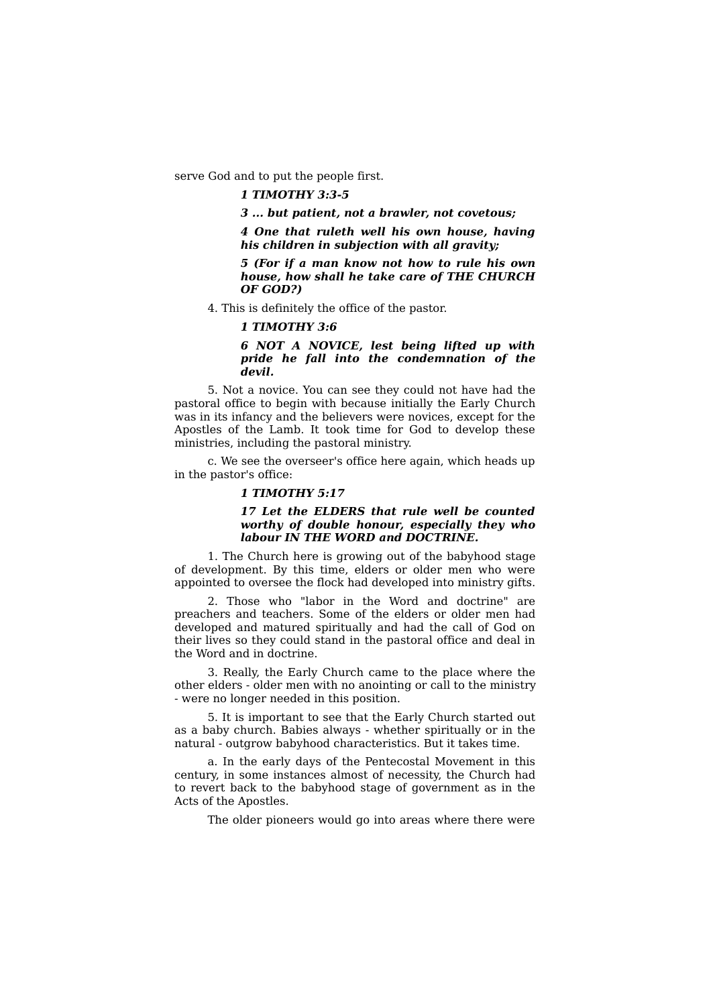serve God and to put the people first.

### *1 TIMOTHY 3:3-5*

*3 ... but patient, not a brawler, not covetous;*

*4 One that ruleth well his own house, having his children in subjection with all gravity;*

*5 (For if a man know not how to rule his own house, how shall he take care of THE CHURCH OF GOD?)*

4. This is definitely the office of the pastor.

#### *1 TIMOTHY 3:6*

*6 NOT A NOVICE, lest being lifted up with pride he fall into the condemnation of the devil.*

5. Not a novice. You can see they could not have had the pastoral office to begin with because initially the Early Church was in its infancy and the believers were novices, except for the Apostles of the Lamb. It took time for God to develop these ministries, including the pastoral ministry.

c. We see the overseer's office here again, which heads up in the pastor's office:

#### *1 TIMOTHY 5:17*

#### *17 Let the ELDERS that rule well be counted worthy of double honour, especially they who labour IN THE WORD and DOCTRINE.*

1. The Church here is growing out of the babyhood stage of development. By this time, elders or older men who were appointed to oversee the flock had developed into ministry gifts.

2. Those who "labor in the Word and doctrine" are preachers and teachers. Some of the elders or older men had developed and matured spiritually and had the call of God on their lives so they could stand in the pastoral office and deal in the Word and in doctrine.

3. Really, the Early Church came to the place where the other elders - older men with no anointing or call to the ministry - were no longer needed in this position.

5. It is important to see that the Early Church started out as a baby church. Babies always - whether spiritually or in the natural - outgrow babyhood characteristics. But it takes time.

a. In the early days of the Pentecostal Movement in this century, in some instances almost of necessity, the Church had to revert back to the babyhood stage of government as in the Acts of the Apostles.

The older pioneers would go into areas where there were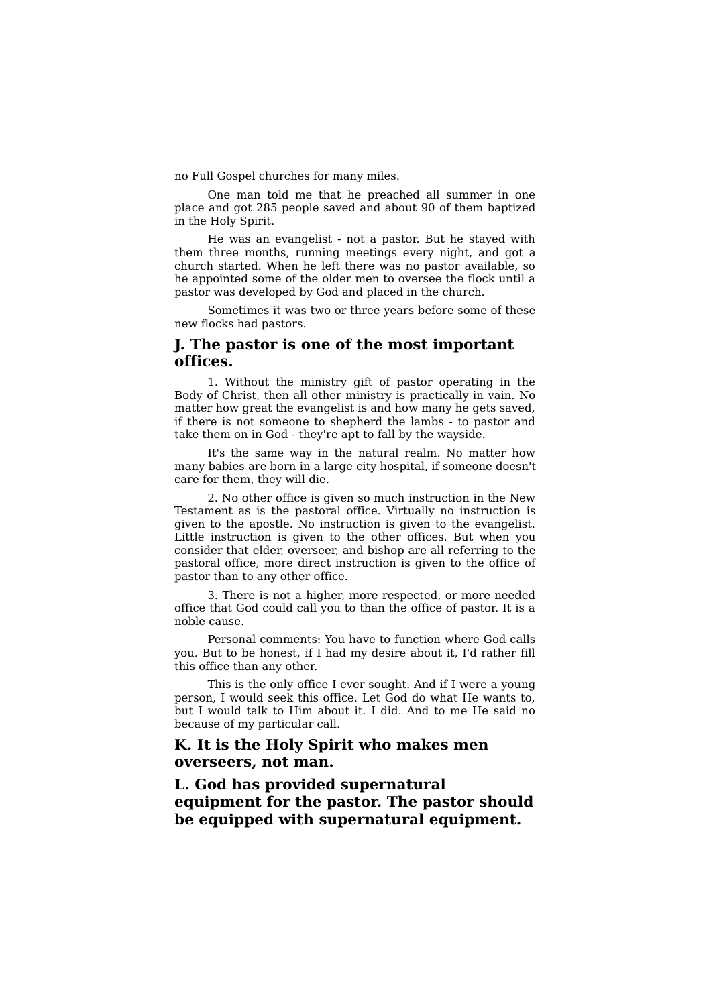no Full Gospel churches for many miles.

One man told me that he preached all summer in one place and got 285 people saved and about 90 of them baptized in the Holy Spirit.

He was an evangelist - not a pastor. But he stayed with them three months, running meetings every night, and got a church started. When he left there was no pastor available, so he appointed some of the older men to oversee the flock until a pastor was developed by God and placed in the church.

Sometimes it was two or three years before some of these new flocks had pastors.

## **J. The pastor is one of the most important offices.**

1. Without the ministry gift of pastor operating in the Body of Christ, then all other ministry is practically in vain. No matter how great the evangelist is and how many he gets saved, if there is not someone to shepherd the lambs - to pastor and take them on in God - they're apt to fall by the wayside.

It's the same way in the natural realm. No matter how many babies are born in a large city hospital, if someone doesn't care for them, they will die.

2. No other office is given so much instruction in the New Testament as is the pastoral office. Virtually no instruction is given to the apostle. No instruction is given to the evangelist. Little instruction is given to the other offices. But when you consider that elder, overseer, and bishop are all referring to the pastoral office, more direct instruction is given to the office of pastor than to any other office.

3. There is not a higher, more respected, or more needed office that God could call you to than the office of pastor. It is a noble cause.

Personal comments: You have to function where God calls you. But to be honest, if I had my desire about it, I'd rather fill this office than any other.

This is the only office I ever sought. And if I were a young person, I would seek this office. Let God do what He wants to, but I would talk to Him about it. I did. And to me He said no because of my particular call.

## **K. It is the Holy Spirit who makes men overseers, not man.**

**L. God has provided supernatural equipment for the pastor. The pastor should be equipped with supernatural equipment.**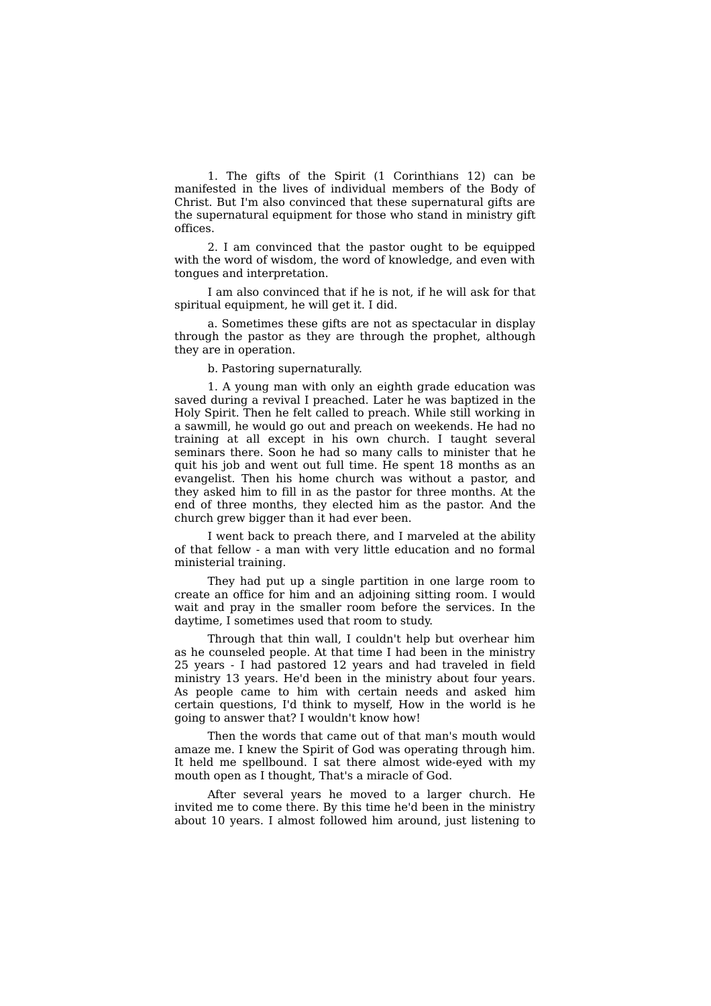1. The gifts of the Spirit (1 Corinthians 12) can be manifested in the lives of individual members of the Body of Christ. But I'm also convinced that these supernatural gifts are the supernatural equipment for those who stand in ministry gift offices.

2. I am convinced that the pastor ought to be equipped with the word of wisdom, the word of knowledge, and even with tongues and interpretation.

I am also convinced that if he is not, if he will ask for that spiritual equipment, he will get it. I did.

a. Sometimes these gifts are not as spectacular in display through the pastor as they are through the prophet, although they are in operation.

b. Pastoring supernaturally.

1. A young man with only an eighth grade education was saved during a revival I preached. Later he was baptized in the Holy Spirit. Then he felt called to preach. While still working in a sawmill, he would go out and preach on weekends. He had no training at all except in his own church. I taught several seminars there. Soon he had so many calls to minister that he quit his job and went out full time. He spent 18 months as an evangelist. Then his home church was without a pastor, and they asked him to fill in as the pastor for three months. At the end of three months, they elected him as the pastor. And the church grew bigger than it had ever been.

I went back to preach there, and I marveled at the ability of that fellow - a man with very little education and no formal ministerial training.

They had put up a single partition in one large room to create an office for him and an adjoining sitting room. I would wait and pray in the smaller room before the services. In the daytime, I sometimes used that room to study.

Through that thin wall, I couldn't help but overhear him as he counseled people. At that time I had been in the ministry 25 years - I had pastored 12 years and had traveled in field ministry 13 years. He'd been in the ministry about four years. As people came to him with certain needs and asked him certain questions, I'd think to myself, How in the world is he going to answer that? I wouldn't know how!

Then the words that came out of that man's mouth would amaze me. I knew the Spirit of God was operating through him. It held me spellbound. I sat there almost wide-eyed with my mouth open as I thought, That's a miracle of God.

After several years he moved to a larger church. He invited me to come there. By this time he'd been in the ministry about 10 years. I almost followed him around, just listening to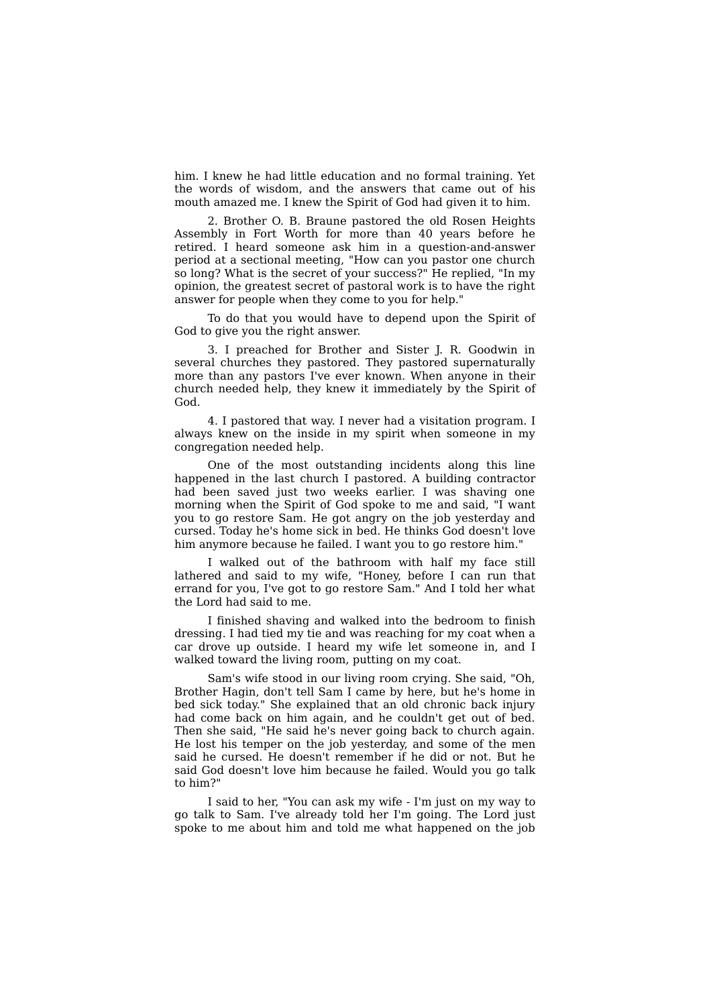him. I knew he had little education and no formal training. Yet the words of wisdom, and the answers that came out of his mouth amazed me. I knew the Spirit of God had given it to him.

2. Brother O. B. Braune pastored the old Rosen Heights Assembly in Fort Worth for more than 40 years before he retired. I heard someone ask him in a question-and-answer period at a sectional meeting, "How can you pastor one church so long? What is the secret of your success?" He replied, "In my opinion, the greatest secret of pastoral work is to have the right answer for people when they come to you for help."

To do that you would have to depend upon the Spirit of God to give you the right answer.

3. I preached for Brother and Sister J. R. Goodwin in several churches they pastored. They pastored supernaturally more than any pastors I've ever known. When anyone in their church needed help, they knew it immediately by the Spirit of God.

4. I pastored that way. I never had a visitation program. I always knew on the inside in my spirit when someone in my congregation needed help.

One of the most outstanding incidents along this line happened in the last church I pastored. A building contractor had been saved just two weeks earlier. I was shaving one morning when the Spirit of God spoke to me and said, "I want you to go restore Sam. He got angry on the job yesterday and cursed. Today he's home sick in bed. He thinks God doesn't love him anymore because he failed. I want you to go restore him."

I walked out of the bathroom with half my face still lathered and said to my wife, "Honey, before I can run that errand for you, I've got to go restore Sam." And I told her what the Lord had said to me.

I finished shaving and walked into the bedroom to finish dressing. I had tied my tie and was reaching for my coat when a car drove up outside. I heard my wife let someone in, and I walked toward the living room, putting on my coat.

Sam's wife stood in our living room crying. She said, "Oh, Brother Hagin, don't tell Sam I came by here, but he's home in bed sick today." She explained that an old chronic back injury had come back on him again, and he couldn't get out of bed. Then she said, "He said he's never going back to church again. He lost his temper on the job yesterday, and some of the men said he cursed. He doesn't remember if he did or not. But he said God doesn't love him because he failed. Would you go talk to him?"

I said to her, "You can ask my wife - I'm just on my way to go talk to Sam. I've already told her I'm going. The Lord just spoke to me about him and told me what happened on the job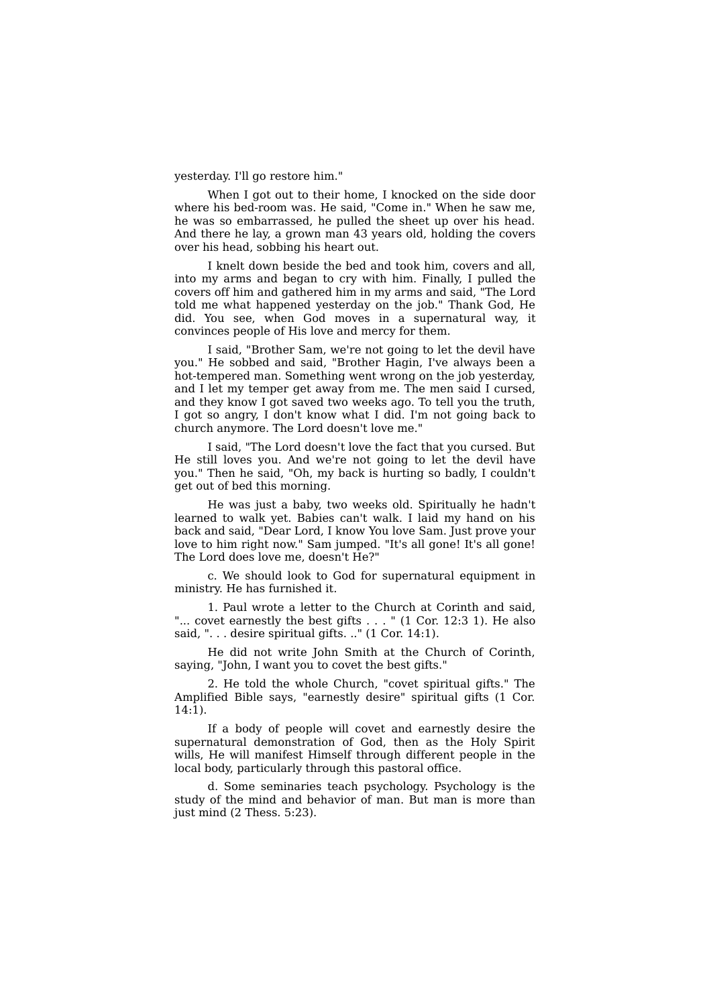yesterday. I'll go restore him."

When I got out to their home, I knocked on the side door where his bed-room was. He said, "Come in." When he saw me, he was so embarrassed, he pulled the sheet up over his head. And there he lay, a grown man 43 years old, holding the covers over his head, sobbing his heart out.

I knelt down beside the bed and took him, covers and all, into my arms and began to cry with him. Finally, I pulled the covers off him and gathered him in my arms and said, "The Lord told me what happened yesterday on the job." Thank God, He did. You see, when God moves in a supernatural way, it convinces people of His love and mercy for them.

I said, "Brother Sam, we're not going to let the devil have you." He sobbed and said, "Brother Hagin, I've always been a hot-tempered man. Something went wrong on the job yesterday, and I let my temper get away from me. The men said I cursed, and they know I got saved two weeks ago. To tell you the truth, I got so angry, I don't know what I did. I'm not going back to church anymore. The Lord doesn't love me."

I said, "The Lord doesn't love the fact that you cursed. But He still loves you. And we're not going to let the devil have you." Then he said, "Oh, my back is hurting so badly, I couldn't get out of bed this morning.

He was just a baby, two weeks old. Spiritually he hadn't learned to walk yet. Babies can't walk. I laid my hand on his back and said, "Dear Lord, I know You love Sam. Just prove your love to him right now." Sam jumped. "It's all gone! It's all gone! The Lord does love me, doesn't He?"

c. We should look to God for supernatural equipment in ministry. He has furnished it.

1. Paul wrote a letter to the Church at Corinth and said, "... covet earnestly the best gifts . . . " (1 Cor. 12:3 1). He also said, "... desire spiritual gifts. .." (1 Cor. 14:1).

He did not write John Smith at the Church of Corinth, saying, "John, I want you to covet the best gifts."

2. He told the whole Church, "covet spiritual gifts." The Amplified Bible says, "earnestly desire" spiritual gifts (1 Cor. 14:1).

If a body of people will covet and earnestly desire the supernatural demonstration of God, then as the Holy Spirit wills, He will manifest Himself through different people in the local body, particularly through this pastoral office.

d. Some seminaries teach psychology. Psychology is the study of the mind and behavior of man. But man is more than just mind (2 Thess. 5:23).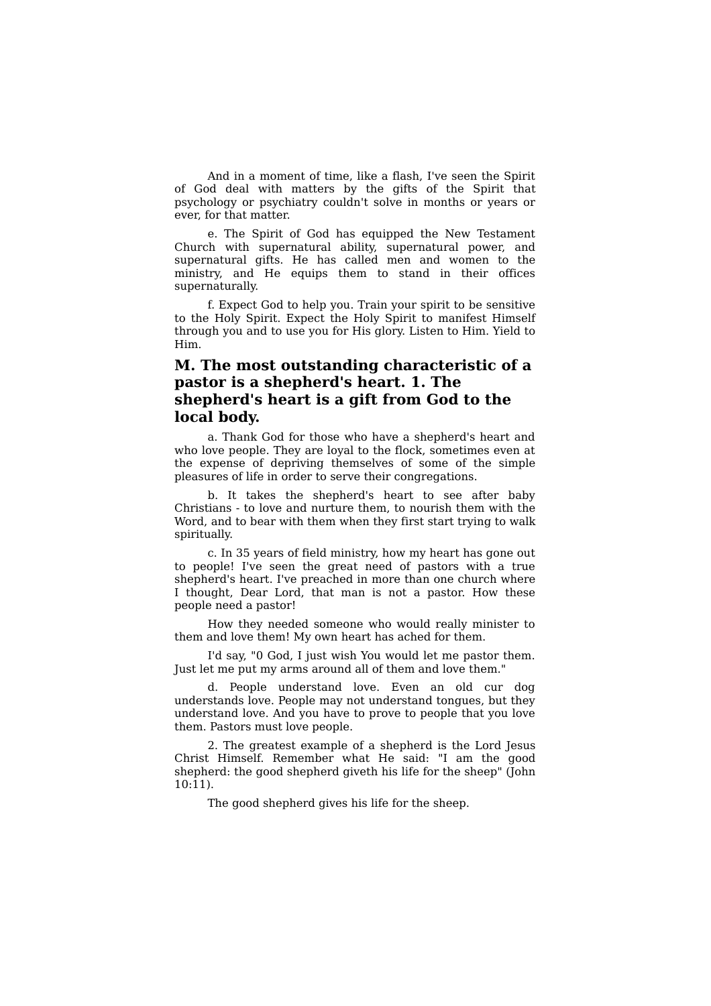And in a moment of time, like a flash, I've seen the Spirit of God deal with matters by the gifts of the Spirit that psychology or psychiatry couldn't solve in months or years or ever, for that matter.

e. The Spirit of God has equipped the New Testament Church with supernatural ability, supernatural power, and supernatural gifts. He has called men and women to the ministry, and He equips them to stand in their offices supernaturally.

f. Expect God to help you. Train your spirit to be sensitive to the Holy Spirit. Expect the Holy Spirit to manifest Himself through you and to use you for His glory. Listen to Him. Yield to Him.

# **M. The most outstanding characteristic of a pastor is a shepherd's heart. 1. The shepherd's heart is a gift from God to the local body.**

a. Thank God for those who have a shepherd's heart and who love people. They are loyal to the flock, sometimes even at the expense of depriving themselves of some of the simple pleasures of life in order to serve their congregations.

b. It takes the shepherd's heart to see after baby Christians - to love and nurture them, to nourish them with the Word, and to bear with them when they first start trying to walk spiritually.

c. In 35 years of field ministry, how my heart has gone out to people! I've seen the great need of pastors with a true shepherd's heart. I've preached in more than one church where I thought, Dear Lord, that man is not a pastor. How these people need a pastor!

How they needed someone who would really minister to them and love them! My own heart has ached for them.

I'd say, "0 God, I just wish You would let me pastor them. Just let me put my arms around all of them and love them."

d. People understand love. Even an old cur dog understands love. People may not understand tongues, but they understand love. And you have to prove to people that you love them. Pastors must love people.

2. The greatest example of a shepherd is the Lord Jesus Christ Himself. Remember what He said: "I am the good shepherd: the good shepherd giveth his life for the sheep" (John 10:11).

The good shepherd gives his life for the sheep.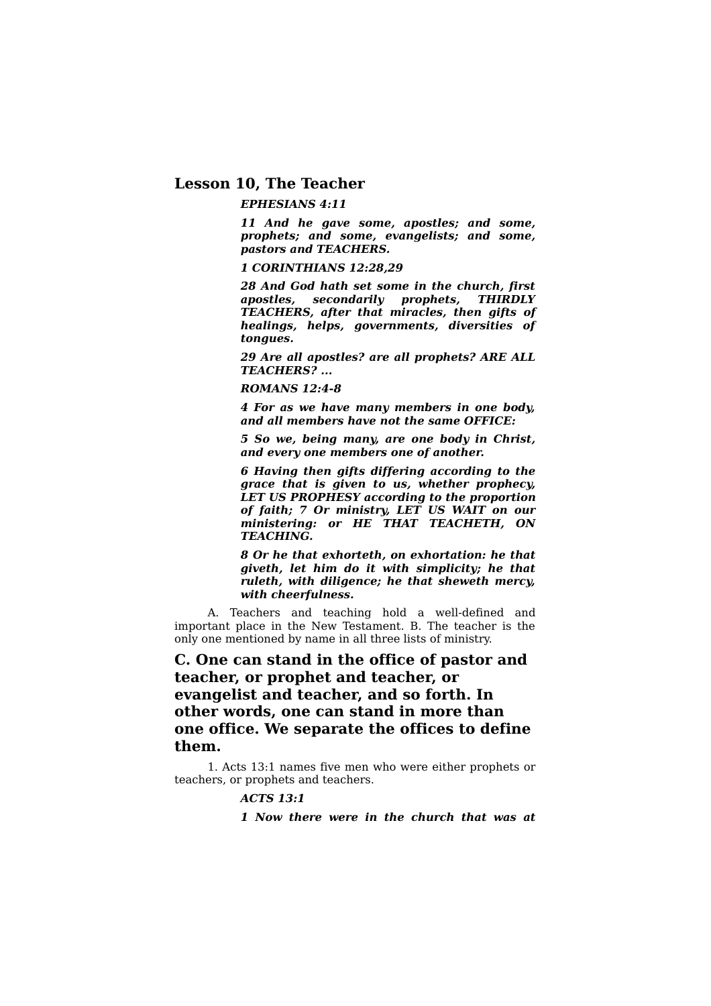## **Lesson 10, The Teacher**

*EPHESIANS 4:11*

*11 And he gave some, apostles; and some, prophets; and some, evangelists; and some, pastors and TEACHERS.*

*1 CORINTHIANS 12:28,29*

*28 And God hath set some in the church, first apostles, secondarily prophets, THIRDLY TEACHERS, after that miracles, then gifts of healings, helps, governments, diversities of tongues.*

*29 Are all apostles? are all prophets? ARE ALL TEACHERS? ...*

#### *ROMANS 12:4-8*

*4 For as we have many members in one body, and all members have not the same OFFICE:*

*5 So we, being many, are one body in Christ, and every one members one of another.*

*6 Having then gifts differing according to the grace that is given to us, whether prophecy, LET US PROPHESY according to the proportion of faith; 7 Or ministry, LET US WAIT on our ministering: or HE THAT TEACHETH, ON TEACHING.*

*8 Or he that exhorteth, on exhortation: he that giveth, let him do it with simplicity; he that ruleth, with diligence; he that sheweth mercy, with cheerfulness.*

A. Teachers and teaching hold a well-defined and important place in the New Testament. B. The teacher is the only one mentioned by name in all three lists of ministry.

**C. One can stand in the office of pastor and teacher, or prophet and teacher, or evangelist and teacher, and so forth. In other words, one can stand in more than one office. We separate the offices to define them.**

1. Acts 13:1 names five men who were either prophets or teachers, or prophets and teachers.

### *ACTS 13:1*

*1 Now there were in the church that was at*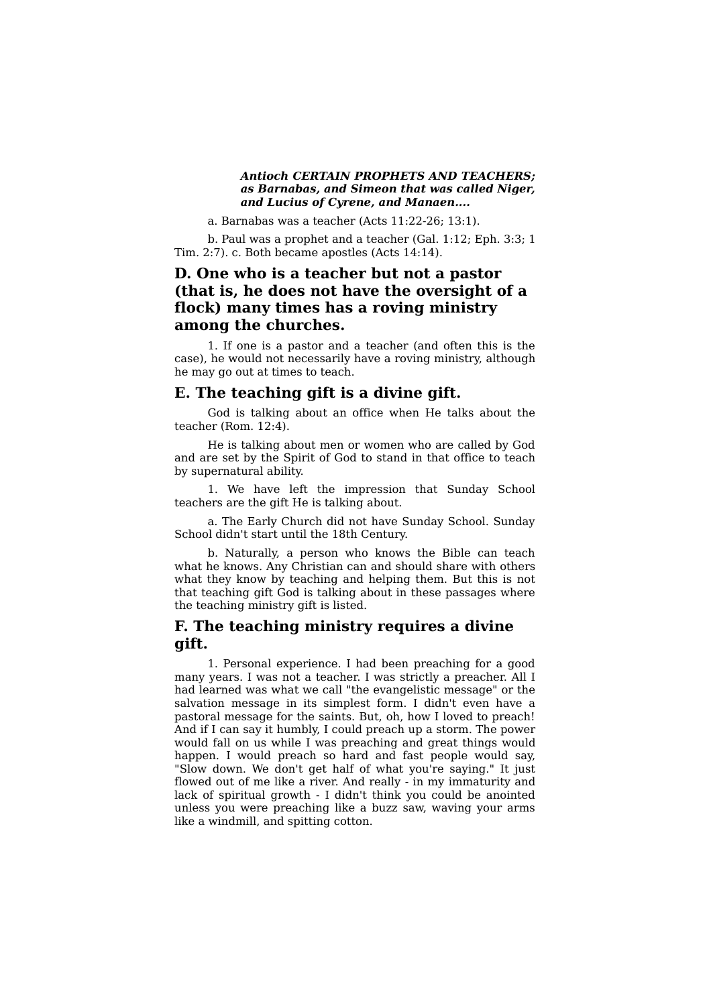### *Antioch CERTAIN PROPHETS AND TEACHERS; as Barnabas, and Simeon that was called Niger, and Lucius of Cyrene, and Manaen....*

a. Barnabas was a teacher (Acts 11:22-26; 13:1).

b. Paul was a prophet and a teacher (Gal. 1:12; Eph. 3:3; 1 Tim. 2:7). c. Both became apostles (Acts 14:14).

# **D. One who is a teacher but not a pastor (that is, he does not have the oversight of a flock) many times has a roving ministry among the churches.**

1. If one is a pastor and a teacher (and often this is the case), he would not necessarily have a roving ministry, although he may go out at times to teach.

### **E. The teaching gift is a divine gift.**

God is talking about an office when He talks about the teacher (Rom. 12:4).

He is talking about men or women who are called by God and are set by the Spirit of God to stand in that office to teach by supernatural ability.

1. We have left the impression that Sunday School teachers are the gift He is talking about.

a. The Early Church did not have Sunday School. Sunday School didn't start until the 18th Century.

b. Naturally, a person who knows the Bible can teach what he knows. Any Christian can and should share with others what they know by teaching and helping them. But this is not that teaching gift God is talking about in these passages where the teaching ministry gift is listed.

## **F. The teaching ministry requires a divine gift.**

1. Personal experience. I had been preaching for a good many years. I was not a teacher. I was strictly a preacher. All I had learned was what we call "the evangelistic message" or the salvation message in its simplest form. I didn't even have a pastoral message for the saints. But, oh, how I loved to preach! And if I can say it humbly, I could preach up a storm. The power would fall on us while I was preaching and great things would happen. I would preach so hard and fast people would say, "Slow down. We don't get half of what you're saying." It just flowed out of me like a river. And really - in my immaturity and lack of spiritual growth - I didn't think you could be anointed unless you were preaching like a buzz saw, waving your arms like a windmill, and spitting cotton.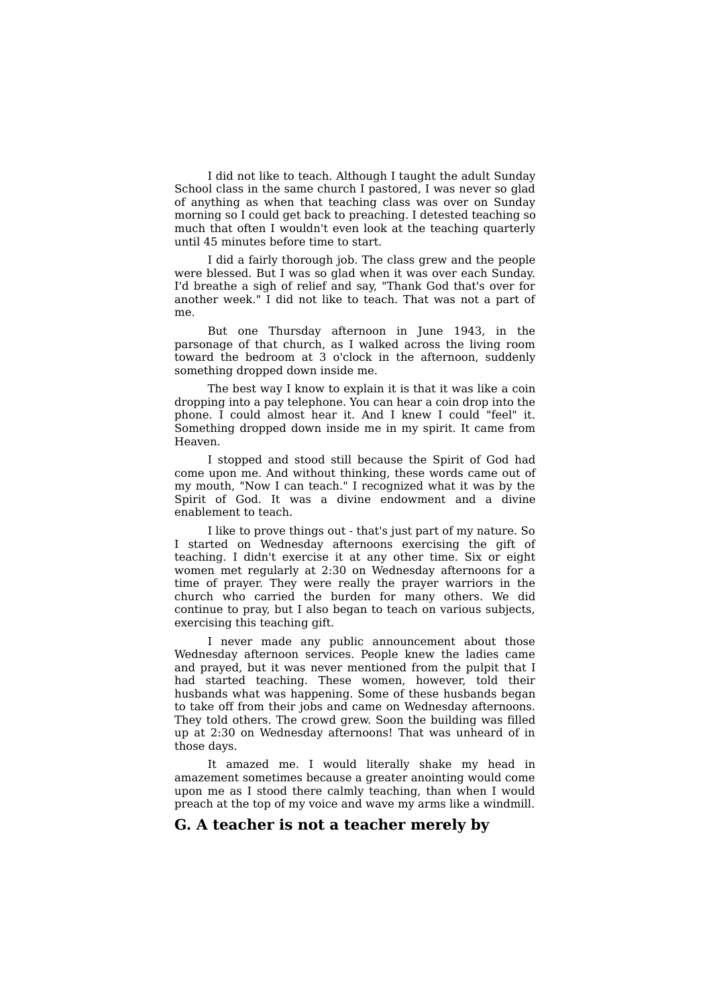I did not like to teach. Although I taught the adult Sunday School class in the same church I pastored, I was never so glad of anything as when that teaching class was over on Sunday morning so I could get back to preaching. I detested teaching so much that often I wouldn't even look at the teaching quarterly until 45 minutes before time to start.

I did a fairly thorough job. The class grew and the people were blessed. But I was so glad when it was over each Sunday. I'd breathe a sigh of relief and say, "Thank God that's over for another week." I did not like to teach. That was not a part of me.

But one Thursday afternoon in June 1943, in the parsonage of that church, as I walked across the living room toward the bedroom at 3 o'clock in the afternoon, suddenly something dropped down inside me.

The best way I know to explain it is that it was like a coin dropping into a pay telephone. You can hear a coin drop into the phone. I could almost hear it. And I knew I could "feel" it. Something dropped down inside me in my spirit. It came from Heaven.

I stopped and stood still because the Spirit of God had come upon me. And without thinking, these words came out of my mouth, "Now I can teach." I recognized what it was by the Spirit of God. It was a divine endowment and a divine enablement to teach.

I like to prove things out - that's just part of my nature. So I started on Wednesday afternoons exercising the gift of teaching. I didn't exercise it at any other time. Six or eight women met regularly at 2:30 on Wednesday afternoons for a time of prayer. They were really the prayer warriors in the church who carried the burden for many others. We did continue to pray, but I also began to teach on various subjects, exercising this teaching gift.

I never made any public announcement about those Wednesday afternoon services. People knew the ladies came and prayed, but it was never mentioned from the pulpit that I had started teaching. These women, however, told their husbands what was happening. Some of these husbands began to take off from their jobs and came on Wednesday afternoons. They told others. The crowd grew. Soon the building was filled up at 2:30 on Wednesday afternoons! That was unheard of in those days.

It amazed me. I would literally shake my head in amazement sometimes because a greater anointing would come upon me as I stood there calmly teaching, than when I would preach at the top of my voice and wave my arms like a windmill.

### **G. A teacher is not a teacher merely by**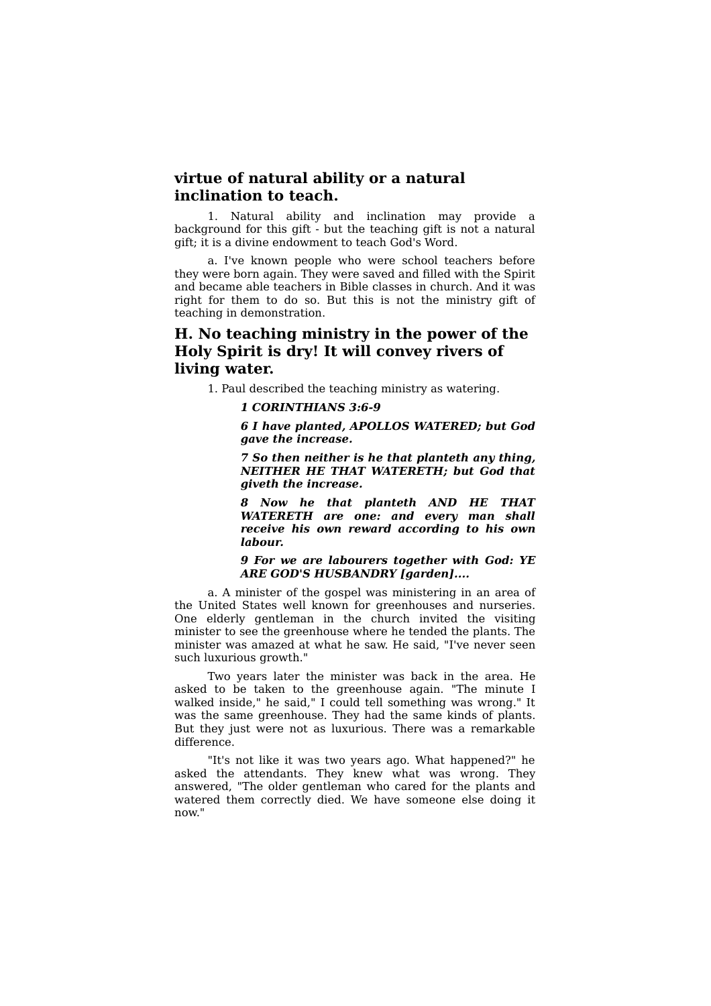# **virtue of natural ability or a natural inclination to teach.**

1. Natural ability and inclination may provide a background for this gift - but the teaching gift is not a natural gift; it is a divine endowment to teach God's Word.

a. I've known people who were school teachers before they were born again. They were saved and filled with the Spirit and became able teachers in Bible classes in church. And it was right for them to do so. But this is not the ministry gift of teaching in demonstration.

## **H. No teaching ministry in the power of the Holy Spirit is dry! It will convey rivers of living water.**

1. Paul described the teaching ministry as watering.

#### *1 CORINTHIANS 3:6-9*

*6 I have planted, APOLLOS WATERED; but God gave the increase.*

*7 So then neither is he that planteth any thing, NEITHER HE THAT WATERETH; but God that giveth the increase.*

*8 Now he that planteth AND HE THAT WATERETH are one: and every man shall receive his own reward according to his own labour.*

*9 For we are labourers together with God: YE ARE GOD'S HUSBANDRY [garden]....*

a. A minister of the gospel was ministering in an area of the United States well known for greenhouses and nurseries. One elderly gentleman in the church invited the visiting minister to see the greenhouse where he tended the plants. The minister was amazed at what he saw. He said, "I've never seen such luxurious growth."

Two years later the minister was back in the area. He asked to be taken to the greenhouse again. "The minute I walked inside," he said," I could tell something was wrong." It was the same greenhouse. They had the same kinds of plants. But they just were not as luxurious. There was a remarkable difference.

"It's not like it was two years ago. What happened?" he asked the attendants. They knew what was wrong. They answered, "The older gentleman who cared for the plants and watered them correctly died. We have someone else doing it now."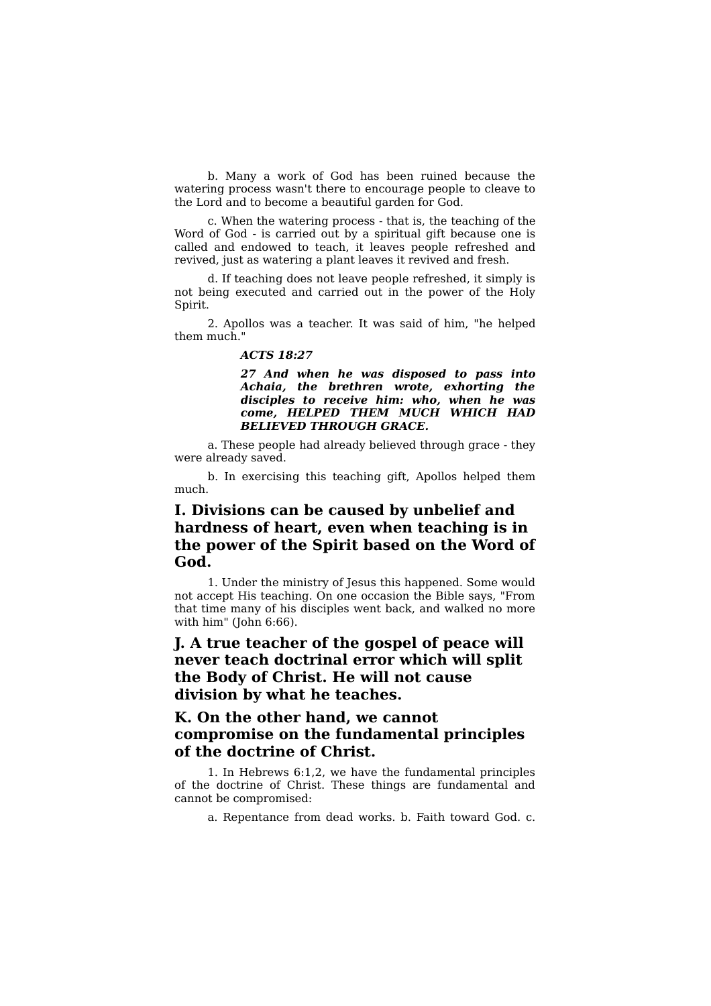b. Many a work of God has been ruined because the watering process wasn't there to encourage people to cleave to the Lord and to become a beautiful garden for God.

c. When the watering process - that is, the teaching of the Word of God - is carried out by a spiritual gift because one is called and endowed to teach, it leaves people refreshed and revived, just as watering a plant leaves it revived and fresh.

d. If teaching does not leave people refreshed, it simply is not being executed and carried out in the power of the Holy Spirit.

2. Apollos was a teacher. It was said of him, "he helped them much."

#### *ACTS 18:27*

*27 And when he was disposed to pass into Achaia, the brethren wrote, exhorting the disciples to receive him: who, when he was come, HELPED THEM MUCH WHICH HAD BELIEVED THROUGH GRACE.*

a. These people had already believed through grace - they were already saved.

b. In exercising this teaching gift, Apollos helped them much.

# **I. Divisions can be caused by unbelief and hardness of heart, even when teaching is in the power of the Spirit based on the Word of God.**

1. Under the ministry of Jesus this happened. Some would not accept His teaching. On one occasion the Bible says, "From that time many of his disciples went back, and walked no more with him" (John 6:66).

**J. A true teacher of the gospel of peace will never teach doctrinal error which will split the Body of Christ. He will not cause division by what he teaches.**

# **K. On the other hand, we cannot compromise on the fundamental principles of the doctrine of Christ.**

1. In Hebrews 6:1,2, we have the fundamental principles of the doctrine of Christ. These things are fundamental and cannot be compromised:

a. Repentance from dead works. b. Faith toward God. c.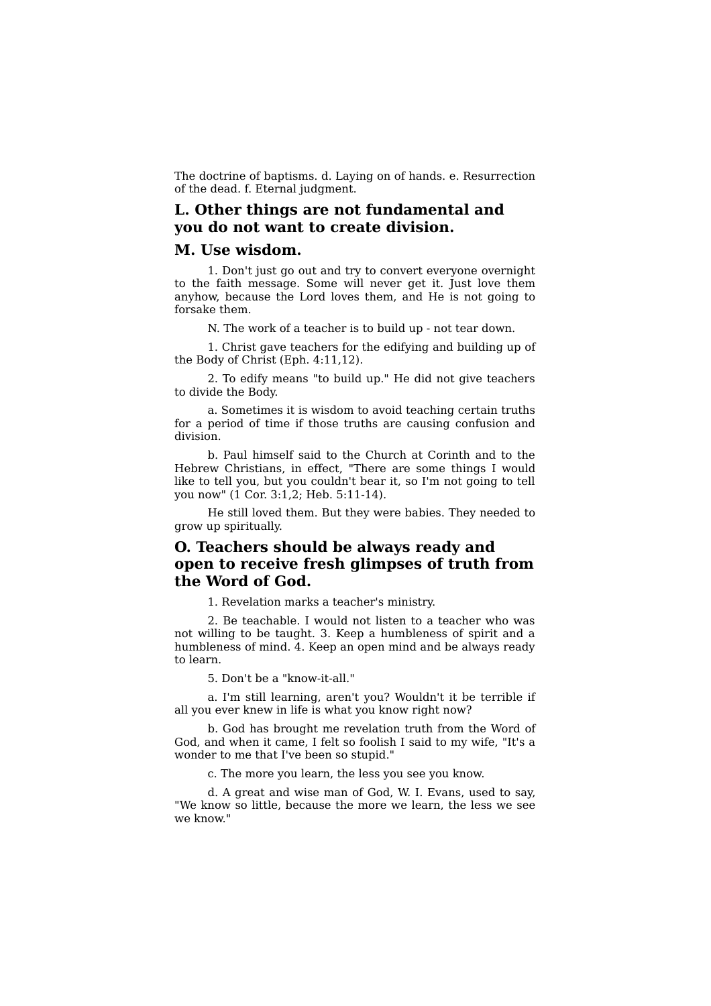The doctrine of baptisms. d. Laying on of hands. e. Resurrection of the dead. f. Eternal judgment.

# **L. Other things are not fundamental and you do not want to create division.**

## **M. Use wisdom.**

1. Don't just go out and try to convert everyone overnight to the faith message. Some will never get it. Just love them anyhow, because the Lord loves them, and He is not going to forsake them.

N. The work of a teacher is to build up - not tear down.

1. Christ gave teachers for the edifying and building up of the Body of Christ (Eph. 4:11,12).

2. To edify means "to build up." He did not give teachers to divide the Body.

a. Sometimes it is wisdom to avoid teaching certain truths for a period of time if those truths are causing confusion and division.

b. Paul himself said to the Church at Corinth and to the Hebrew Christians, in effect, "There are some things I would like to tell you, but you couldn't bear it, so I'm not going to tell you now" (1 Cor. 3:1,2; Heb. 5:11-14).

He still loved them. But they were babies. They needed to grow up spiritually.

# **O. Teachers should be always ready and open to receive fresh glimpses of truth from the Word of God.**

1. Revelation marks a teacher's ministry.

2. Be teachable. I would not listen to a teacher who was not willing to be taught. 3. Keep a humbleness of spirit and a humbleness of mind. 4. Keep an open mind and be always ready to learn.

5. Don't be a "know-it-all."

a. I'm still learning, aren't you? Wouldn't it be terrible if all you ever knew in life is what you know right now?

b. God has brought me revelation truth from the Word of God, and when it came, I felt so foolish I said to my wife, "It's a wonder to me that I've been so stupid."

c. The more you learn, the less you see you know.

d. A great and wise man of God, W. I. Evans, used to say, "We know so little, because the more we learn, the less we see we know."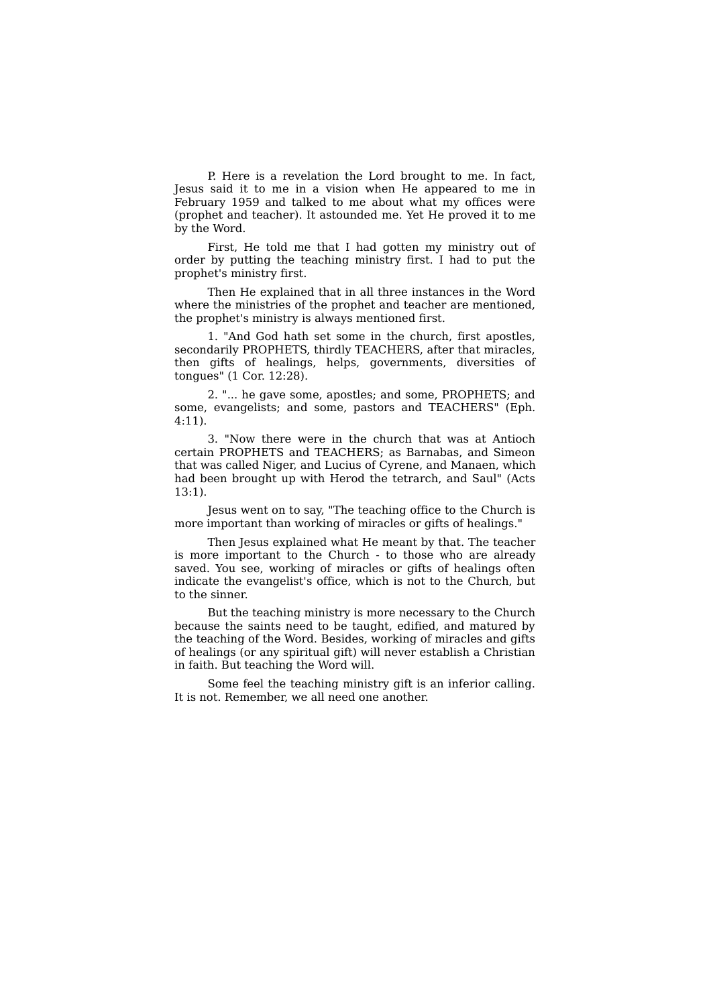P. Here is a revelation the Lord brought to me. In fact, Jesus said it to me in a vision when He appeared to me in February 1959 and talked to me about what my offices were (prophet and teacher). It astounded me. Yet He proved it to me by the Word.

First, He told me that I had gotten my ministry out of order by putting the teaching ministry first. I had to put the prophet's ministry first.

Then He explained that in all three instances in the Word where the ministries of the prophet and teacher are mentioned, the prophet's ministry is always mentioned first.

1. "And God hath set some in the church, first apostles, secondarily PROPHETS, thirdly TEACHERS, after that miracles, then gifts of healings, helps, governments, diversities of tongues" (1 Cor. 12:28).

2. "... he gave some, apostles; and some, PROPHETS; and some, evangelists; and some, pastors and TEACHERS" (Eph. 4:11).

3. "Now there were in the church that was at Antioch certain PROPHETS and TEACHERS; as Barnabas, and Simeon that was called Niger, and Lucius of Cyrene, and Manaen, which had been brought up with Herod the tetrarch, and Saul" (Acts 13:1).

Jesus went on to say, "The teaching office to the Church is more important than working of miracles or gifts of healings."

Then Jesus explained what He meant by that. The teacher is more important to the Church - to those who are already saved. You see, working of miracles or gifts of healings often indicate the evangelist's office, which is not to the Church, but to the sinner.

But the teaching ministry is more necessary to the Church because the saints need to be taught, edified, and matured by the teaching of the Word. Besides, working of miracles and gifts of healings (or any spiritual gift) will never establish a Christian in faith. But teaching the Word will.

Some feel the teaching ministry gift is an inferior calling. It is not. Remember, we all need one another.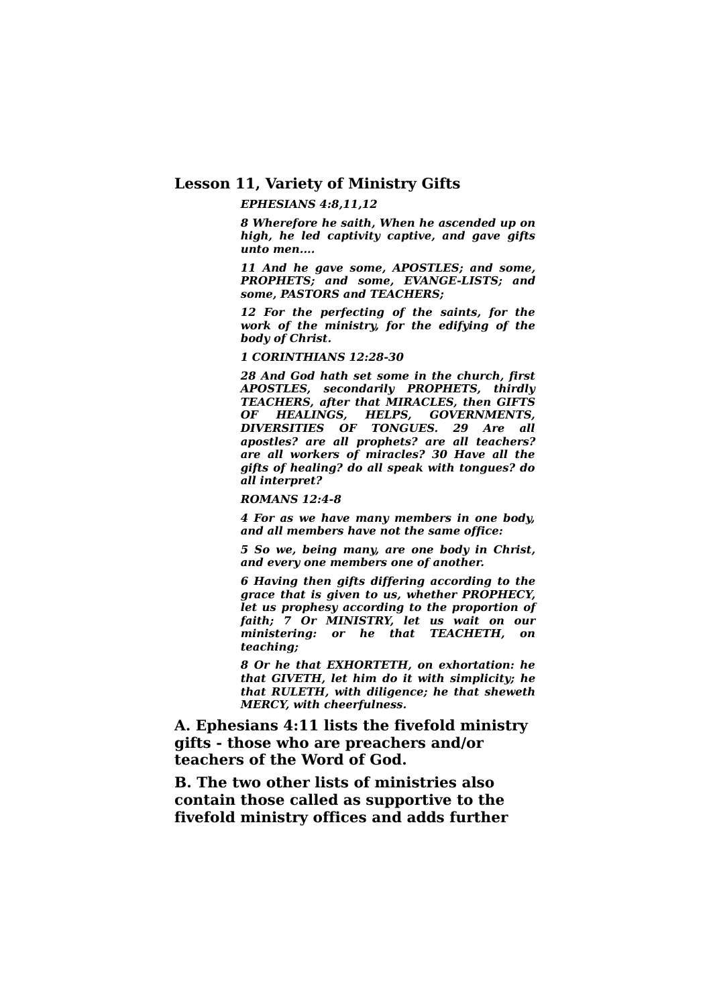## **Lesson 11, Variety of Ministry Gifts**

*EPHESIANS 4:8,11,12*

*8 Wherefore he saith, When he ascended up on high, he led captivity captive, and gave gifts unto men....*

*11 And he gave some, APOSTLES; and some, PROPHETS; and some, EVANGE-LISTS; and some, PASTORS and TEACHERS;*

*12 For the perfecting of the saints, for the work of the ministry, for the edifying of the body of Christ.*

*1 CORINTHIANS 12:28-30*

*28 And God hath set some in the church, first APOSTLES, secondarily PROPHETS, thirdly TEACHERS, after that MIRACLES, then GIFTS OF HEALINGS, HELPS, GOVERNMENTS, DIVERSITIES OF TONGUES. 29 Are all apostles? are all prophets? are all teachers? are all workers of miracles? 30 Have all the gifts of healing? do all speak with tongues? do all interpret?*

*ROMANS 12:4-8*

*4 For as we have many members in one body, and all members have not the same office:*

*5 So we, being many, are one body in Christ, and every one members one of another.*

*6 Having then gifts differing according to the grace that is given to us, whether PROPHECY, let us prophesy according to the proportion of faith; 7 Or MINISTRY, let us wait on our ministering: or he that TEACHETH, on teaching;*

*8 Or he that EXHORTETH, on exhortation: he that GIVETH, let him do it with simplicity; he that RULETH, with diligence; he that sheweth MERCY, with cheerfulness.*

**A. Ephesians 4:11 lists the fivefold ministry gifts - those who are preachers and/or teachers of the Word of God.**

**B. The two other lists of ministries also contain those called as supportive to the fivefold ministry offices and adds further**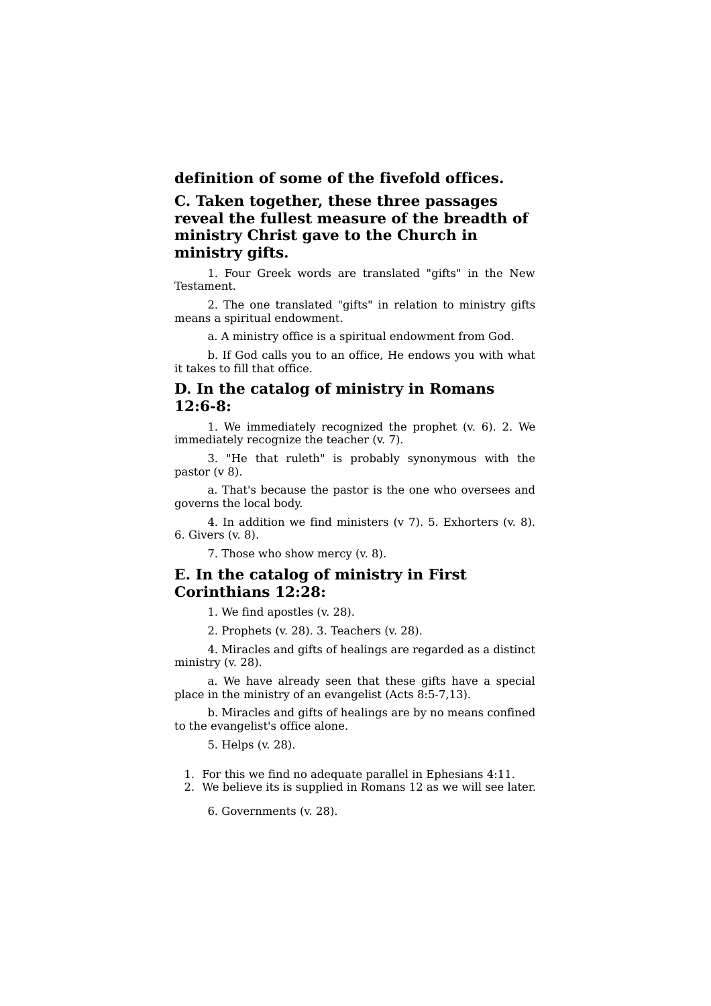### **definition of some of the fivefold offices.**

# **C. Taken together, these three passages reveal the fullest measure of the breadth of ministry Christ gave to the Church in ministry gifts.**

1. Four Greek words are translated "gifts" in the New Testament.

2. The one translated "gifts" in relation to ministry gifts means a spiritual endowment.

a. A ministry office is a spiritual endowment from God.

b. If God calls you to an office, He endows you with what it takes to fill that office.

### **D. In the catalog of ministry in Romans 12:6-8:**

1. We immediately recognized the prophet (v. 6). 2. We immediately recognize the teacher (v. 7).

3. "He that ruleth" is probably synonymous with the pastor (v 8).

a. That's because the pastor is the one who oversees and governs the local body.

4. In addition we find ministers (v 7). 5. Exhorters (v. 8). 6. Givers (v. 8).

7. Those who show mercy (v. 8).

### **E. In the catalog of ministry in First Corinthians 12:28:**

1. We find apostles (v. 28).

2. Prophets (v. 28). 3. Teachers (v. 28).

4. Miracles and gifts of healings are regarded as a distinct ministry (v. 28).

a. We have already seen that these gifts have a special place in the ministry of an evangelist (Acts 8:5-7,13).

b. Miracles and gifts of healings are by no means confined to the evangelist's office alone.

5. Helps (v. 28).

1. For this we find no adequate parallel in Ephesians 4:11.

2. We believe its is supplied in Romans 12 as we will see later.

6. Governments (v. 28).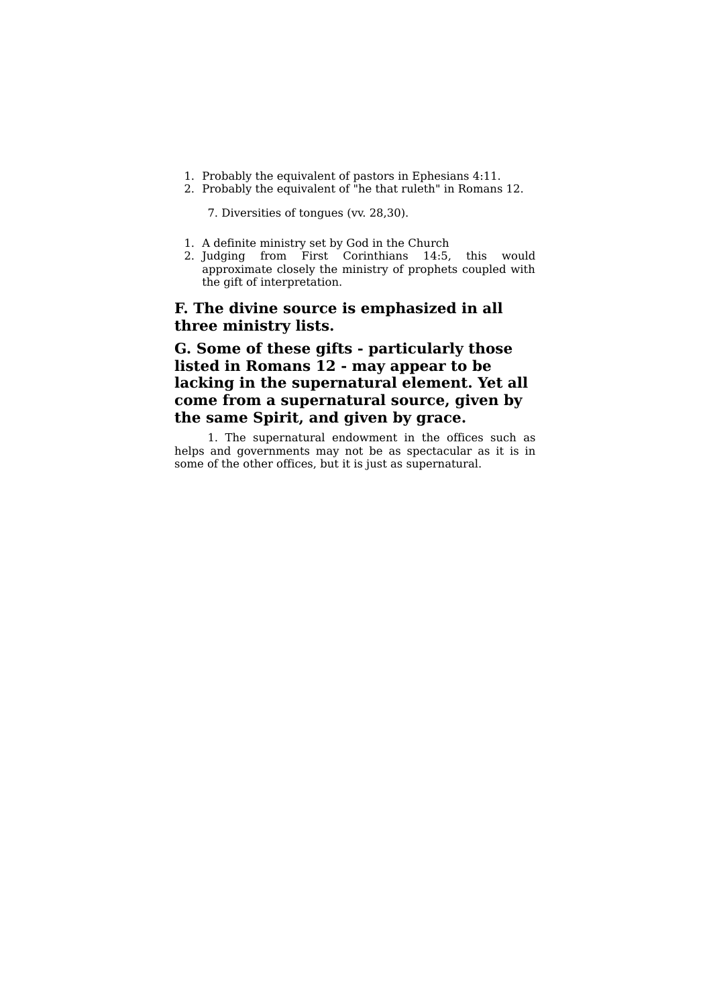- 1. Probably the equivalent of pastors in Ephesians 4:11.
- 2. Probably the equivalent of "he that ruleth" in Romans 12.

7. Diversities of tongues (vv. 28,30).

- 1. A definite ministry set by God in the Church
- 2. Judging from First Corinthians 14:5, this would approximate closely the ministry of prophets coupled with the gift of interpretation.

### **F. The divine source is emphasized in all three ministry lists.**

# **G. Some of these gifts - particularly those listed in Romans 12 - may appear to be lacking in the supernatural element. Yet all come from a supernatural source, given by the same Spirit, and given by grace.**

1. The supernatural endowment in the offices such as helps and governments may not be as spectacular as it is in some of the other offices, but it is just as supernatural.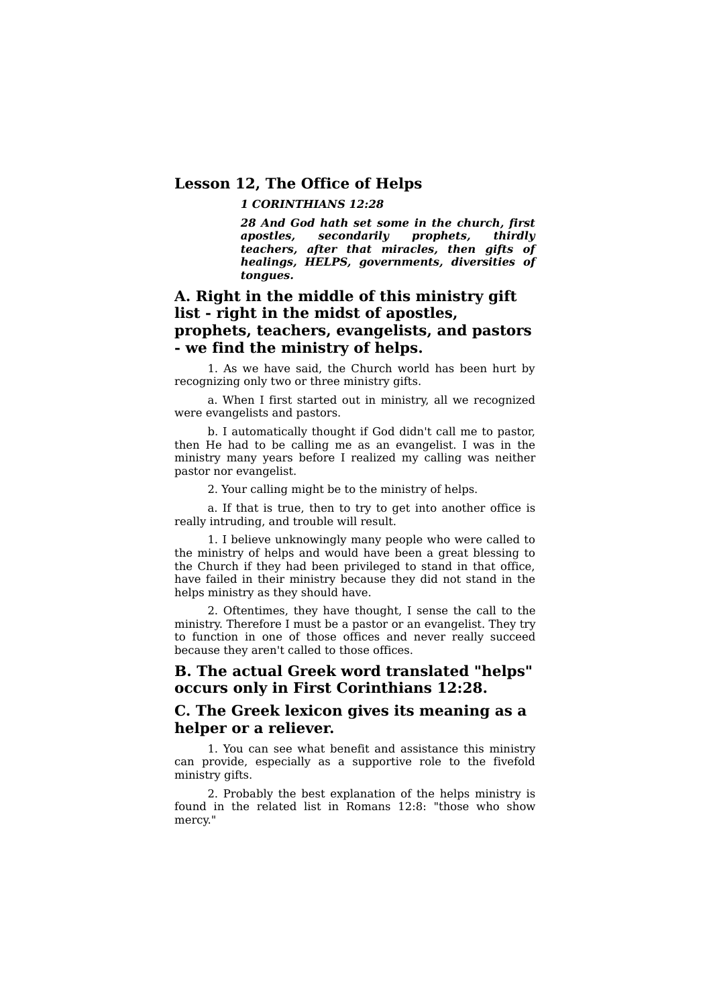## **Lesson 12, The Office of Helps**

#### *1 CORINTHIANS 12:28*

*28 And God hath set some in the church, first apostles, secondarily prophets, thirdly teachers, after that miracles, then gifts of healings, HELPS, governments, diversities of tongues.*

# **A. Right in the middle of this ministry gift list - right in the midst of apostles, prophets, teachers, evangelists, and pastors - we find the ministry of helps.**

1. As we have said, the Church world has been hurt by recognizing only two or three ministry gifts.

a. When I first started out in ministry, all we recognized were evangelists and pastors.

b. I automatically thought if God didn't call me to pastor, then He had to be calling me as an evangelist. I was in the ministry many years before I realized my calling was neither pastor nor evangelist.

2. Your calling might be to the ministry of helps.

a. If that is true, then to try to get into another office is really intruding, and trouble will result.

1. I believe unknowingly many people who were called to the ministry of helps and would have been a great blessing to the Church if they had been privileged to stand in that office, have failed in their ministry because they did not stand in the helps ministry as they should have.

2. Oftentimes, they have thought, I sense the call to the ministry. Therefore I must be a pastor or an evangelist. They try to function in one of those offices and never really succeed because they aren't called to those offices.

### **B. The actual Greek word translated "helps" occurs only in First Corinthians 12:28.**

### **C. The Greek lexicon gives its meaning as a helper or a reliever.**

1. You can see what benefit and assistance this ministry can provide, especially as a supportive role to the fivefold ministry gifts.

2. Probably the best explanation of the helps ministry is found in the related list in Romans 12:8: "those who show mercy."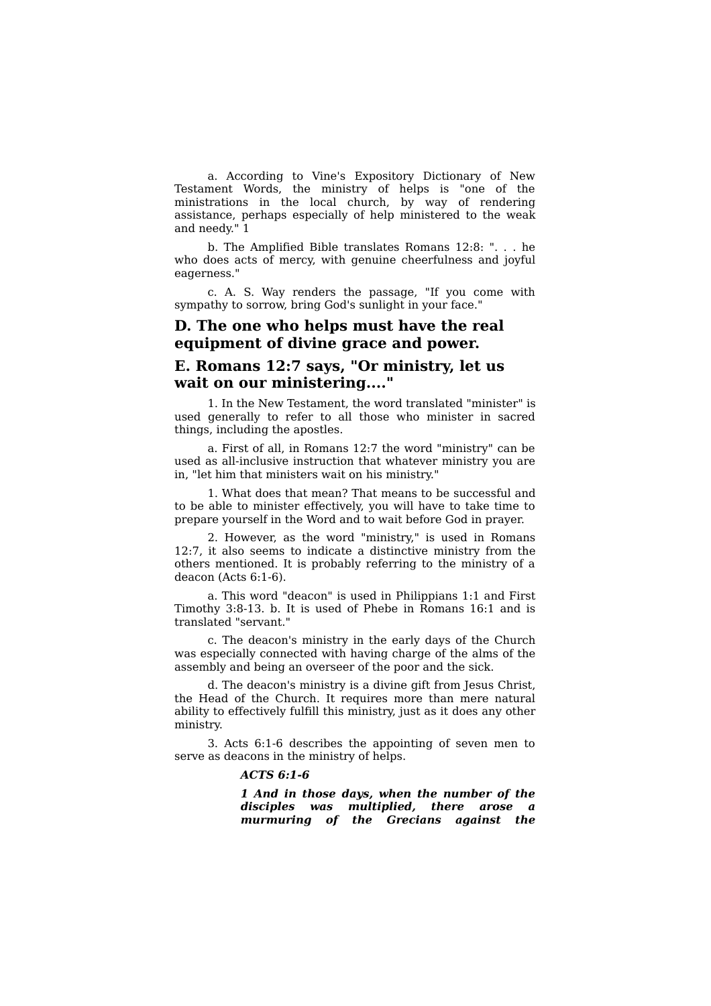a. According to Vine's Expository Dictionary of New Testament Words, the ministry of helps is "one of the ministrations in the local church, by way of rendering assistance, perhaps especially of help ministered to the weak and needy." 1

b. The Amplified Bible translates Romans 12:8: ". . . he who does acts of mercy, with genuine cheerfulness and joyful eagerness."

c. A. S. Way renders the passage, "If you come with sympathy to sorrow, bring God's sunlight in your face."

### **D. The one who helps must have the real equipment of divine grace and power.**

### **E. Romans 12:7 says, "Or ministry, let us wait on our ministering...."**

1. In the New Testament, the word translated "minister" is used generally to refer to all those who minister in sacred things, including the apostles.

a. First of all, in Romans 12:7 the word "ministry" can be used as all-inclusive instruction that whatever ministry you are in, "let him that ministers wait on his ministry."

1. What does that mean? That means to be successful and to be able to minister effectively, you will have to take time to prepare yourself in the Word and to wait before God in prayer.

2. However, as the word "ministry," is used in Romans 12:7, it also seems to indicate a distinctive ministry from the others mentioned. It is probably referring to the ministry of a deacon (Acts 6:1-6).

a. This word "deacon" is used in Philippians 1:1 and First Timothy 3:8-13. b. It is used of Phebe in Romans 16:1 and is translated "servant."

c. The deacon's ministry in the early days of the Church was especially connected with having charge of the alms of the assembly and being an overseer of the poor and the sick.

d. The deacon's ministry is a divine gift from Jesus Christ, the Head of the Church. It requires more than mere natural ability to effectively fulfill this ministry, just as it does any other ministry.

3. Acts 6:1-6 describes the appointing of seven men to serve as deacons in the ministry of helps.

#### *ACTS 6:1-6*

*1 And in those days, when the number of the disciples was multiplied, there arose a murmuring of the Grecians against the*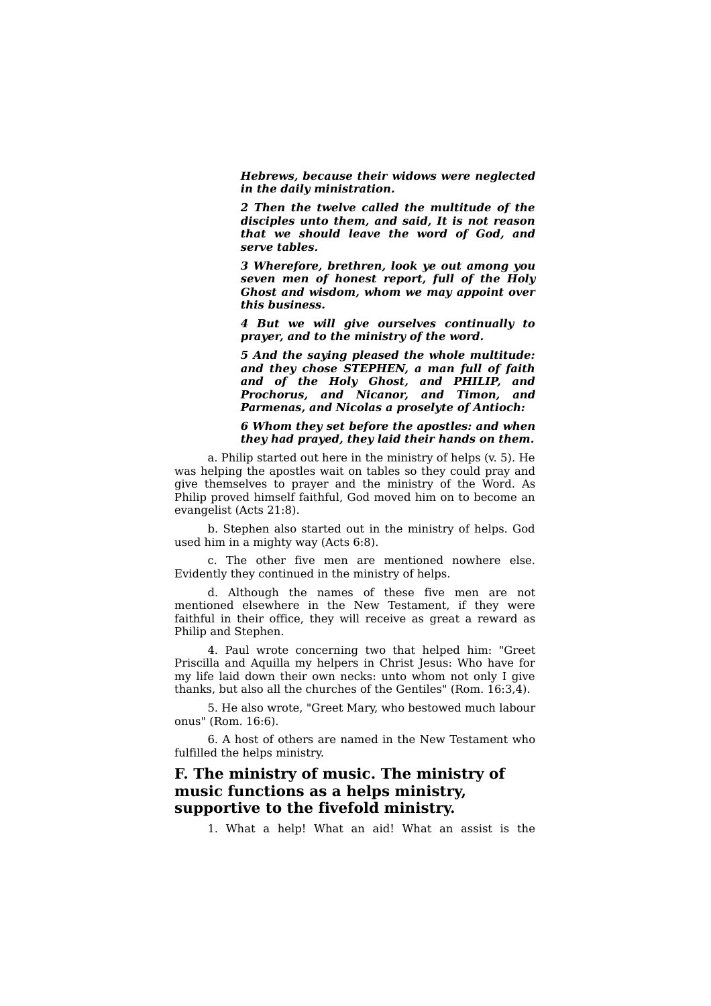*Hebrews, because their widows were neglected in the daily ministration.*

*2 Then the twelve called the multitude of the disciples unto them, and said, It is not reason that we should leave the word of God, and serve tables.*

*3 Wherefore, brethren, look ye out among you seven men of honest report, full of the Holy Ghost and wisdom, whom we may appoint over this business.*

*4 But we will give ourselves continually to prayer, and to the ministry of the word.*

*5 And the saying pleased the whole multitude: and they chose STEPHEN, a man full of faith and of the Holy Ghost, and PHILIP, and Prochorus, and Nicanor, and Timon, and Parmenas, and Nicolas a proselyte of Antioch:*

*6 Whom they set before the apostles: and when they had prayed, they laid their hands on them.*

a. Philip started out here in the ministry of helps (v. 5). He was helping the apostles wait on tables so they could pray and give themselves to prayer and the ministry of the Word. As Philip proved himself faithful, God moved him on to become an evangelist (Acts 21:8).

b. Stephen also started out in the ministry of helps. God used him in a mighty way (Acts 6:8).

c. The other five men are mentioned nowhere else. Evidently they continued in the ministry of helps.

d. Although the names of these five men are not mentioned elsewhere in the New Testament, if they were faithful in their office, they will receive as great a reward as Philip and Stephen.

4. Paul wrote concerning two that helped him: "Greet Priscilla and Aquilla my helpers in Christ Jesus: Who have for my life laid down their own necks: unto whom not only I give thanks, but also all the churches of the Gentiles" (Rom. 16:3,4).

5. He also wrote, "Greet Mary, who bestowed much labour onus" (Rom. 16:6).

6. A host of others are named in the New Testament who fulfilled the helps ministry.

# **F. The ministry of music. The ministry of music functions as a helps ministry, supportive to the fivefold ministry.**

1. What a help! What an aid! What an assist is the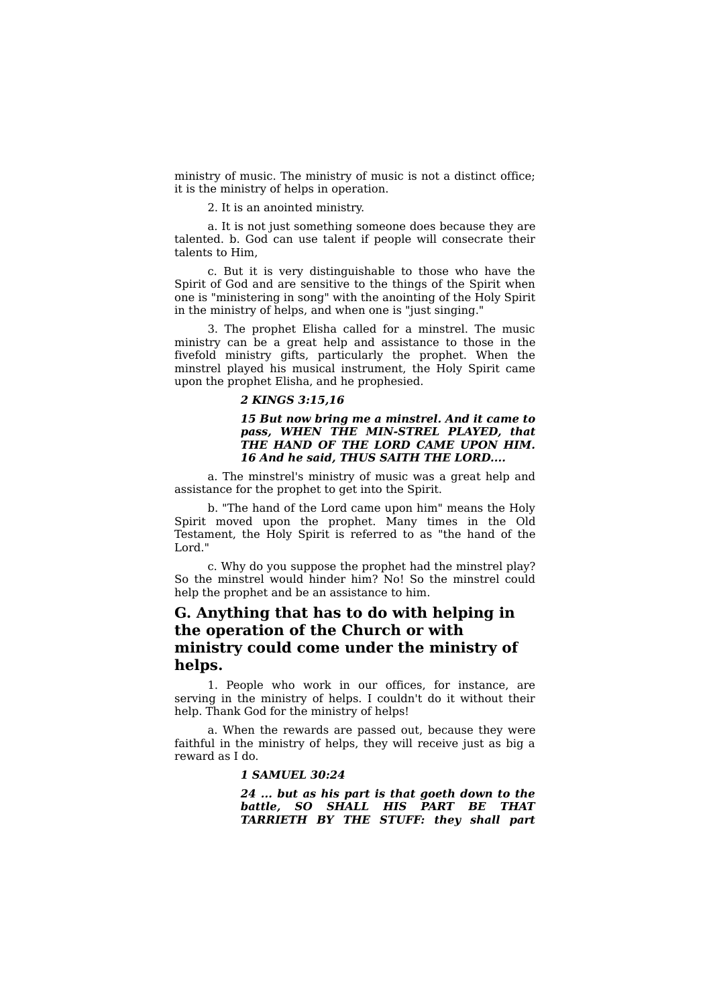ministry of music. The ministry of music is not a distinct office; it is the ministry of helps in operation.

2. It is an anointed ministry.

a. It is not just something someone does because they are talented. b. God can use talent if people will consecrate their talents to Him,

c. But it is very distinguishable to those who have the Spirit of God and are sensitive to the things of the Spirit when one is "ministering in song" with the anointing of the Holy Spirit in the ministry of helps, and when one is "just singing."

3. The prophet Elisha called for a minstrel. The music ministry can be a great help and assistance to those in the fivefold ministry gifts, particularly the prophet. When the minstrel played his musical instrument, the Holy Spirit came upon the prophet Elisha, and he prophesied.

#### *2 KINGS 3:15,16*

#### *15 But now bring me a minstrel. And it came to pass, WHEN THE MIN-STREL PLAYED, that THE HAND OF THE LORD CAME UPON HIM. 16 And he said, THUS SAITH THE LORD....*

a. The minstrel's ministry of music was a great help and assistance for the prophet to get into the Spirit.

b. "The hand of the Lord came upon him" means the Holy Spirit moved upon the prophet. Many times in the Old Testament, the Holy Spirit is referred to as "the hand of the Lord."

c. Why do you suppose the prophet had the minstrel play? So the minstrel would hinder him? No! So the minstrel could help the prophet and be an assistance to him.

# **G. Anything that has to do with helping in the operation of the Church or with ministry could come under the ministry of helps.**

1. People who work in our offices, for instance, are serving in the ministry of helps. I couldn't do it without their help. Thank God for the ministry of helps!

a. When the rewards are passed out, because they were faithful in the ministry of helps, they will receive just as big a reward as I do.

#### *1 SAMUEL 30:24*

*24 ... but as his part is that goeth down to the battle, SO SHALL HIS PART BE THAT TARRIETH BY THE STUFF: they shall part*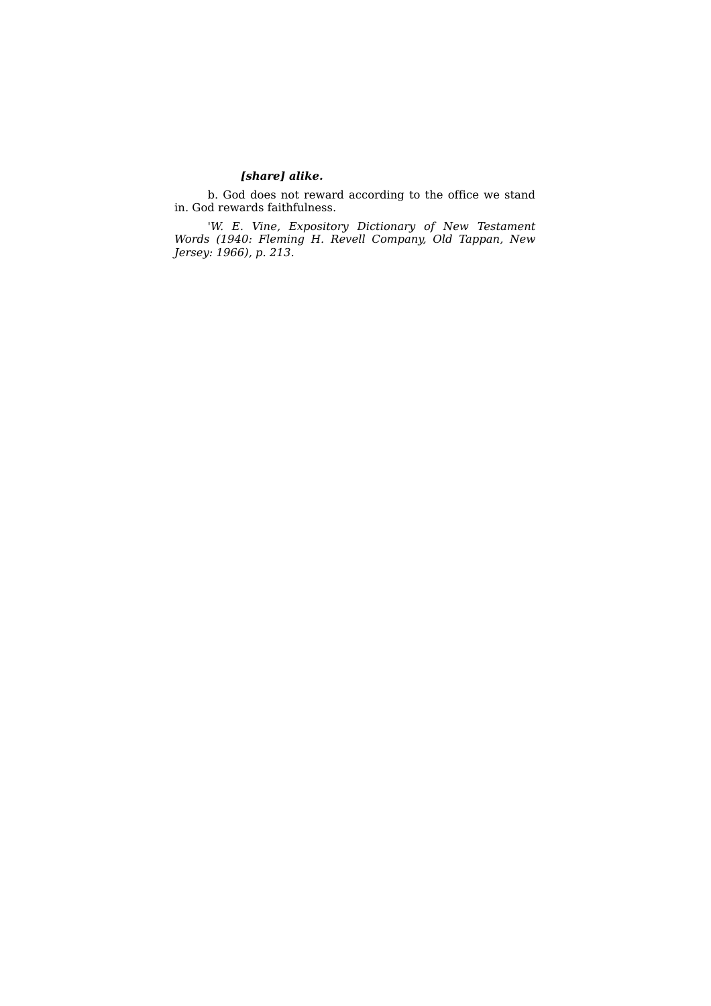### *[share] alike.*

b. God does not reward according to the office we stand in. God rewards faithfulness.

*'W. E. Vine, Expository Dictionary of New Testament Words (1940: Fleming H. Revell Company, Old Tappan, New Jersey: 1966), p. 213.*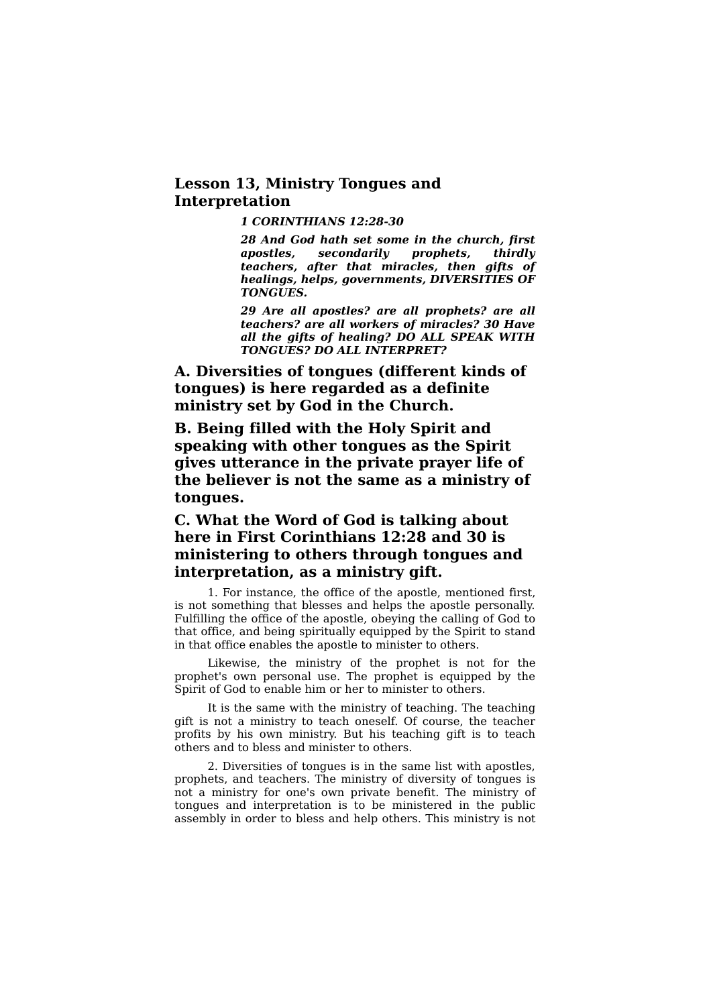### **Lesson 13, Ministry Tongues and Interpretation**

#### *1 CORINTHIANS 12:28-30*

*28 And God hath set some in the church, first apostles, secondarily prophets, thirdly teachers, after that miracles, then gifts of healings, helps, governments, DIVERSITIES OF TONGUES.*

*29 Are all apostles? are all prophets? are all teachers? are all workers of miracles? 30 Have all the gifts of healing? DO ALL SPEAK WITH TONGUES? DO ALL INTERPRET?*

**A. Diversities of tongues (different kinds of tongues) is here regarded as a definite ministry set by God in the Church.**

**B. Being filled with the Holy Spirit and speaking with other tongues as the Spirit gives utterance in the private prayer life of the believer is not the same as a ministry of tongues.**

# **C. What the Word of God is talking about here in First Corinthians 12:28 and 30 is ministering to others through tongues and interpretation, as a ministry gift.**

1. For instance, the office of the apostle, mentioned first, is not something that blesses and helps the apostle personally. Fulfilling the office of the apostle, obeying the calling of God to that office, and being spiritually equipped by the Spirit to stand in that office enables the apostle to minister to others.

Likewise, the ministry of the prophet is not for the prophet's own personal use. The prophet is equipped by the Spirit of God to enable him or her to minister to others.

It is the same with the ministry of teaching. The teaching gift is not a ministry to teach oneself. Of course, the teacher profits by his own ministry. But his teaching gift is to teach others and to bless and minister to others.

2. Diversities of tongues is in the same list with apostles, prophets, and teachers. The ministry of diversity of tongues is not a ministry for one's own private benefit. The ministry of tongues and interpretation is to be ministered in the public assembly in order to bless and help others. This ministry is not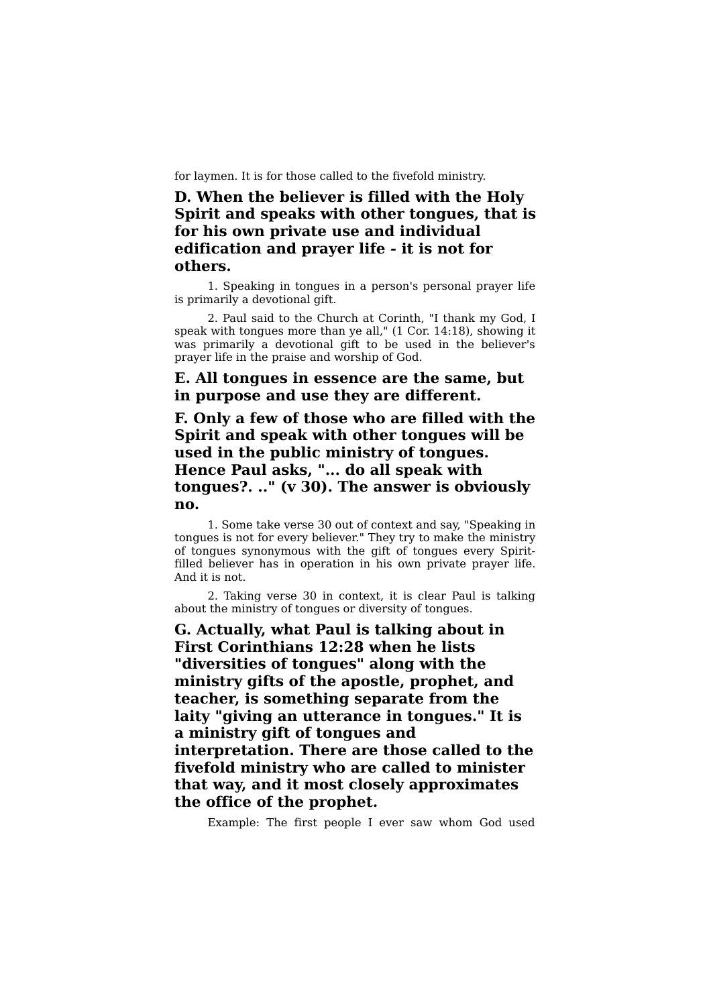for laymen. It is for those called to the fivefold ministry.

# **D. When the believer is filled with the Holy Spirit and speaks with other tongues, that is for his own private use and individual edification and prayer life - it is not for others.**

1. Speaking in tongues in a person's personal prayer life is primarily a devotional gift.

2. Paul said to the Church at Corinth, "I thank my God, I speak with tongues more than ye all," (1 Cor. 14:18), showing it was primarily a devotional gift to be used in the believer's prayer life in the praise and worship of God.

### **E. All tongues in essence are the same, but in purpose and use they are different.**

# **F. Only a few of those who are filled with the Spirit and speak with other tongues will be used in the public ministry of tongues. Hence Paul asks, "... do all speak with tongues?. .." (v 30). The answer is obviously no.**

1. Some take verse 30 out of context and say, "Speaking in tongues is not for every believer." They try to make the ministry of tongues synonymous with the gift of tongues every Spiritfilled believer has in operation in his own private prayer life. And it is not.

2. Taking verse 30 in context, it is clear Paul is talking about the ministry of tongues or diversity of tongues.

**G. Actually, what Paul is talking about in First Corinthians 12:28 when he lists "diversities of tongues" along with the ministry gifts of the apostle, prophet, and teacher, is something separate from the laity "giving an utterance in tongues." It is a ministry gift of tongues and interpretation. There are those called to the fivefold ministry who are called to minister that way, and it most closely approximates the office of the prophet.**

Example: The first people I ever saw whom God used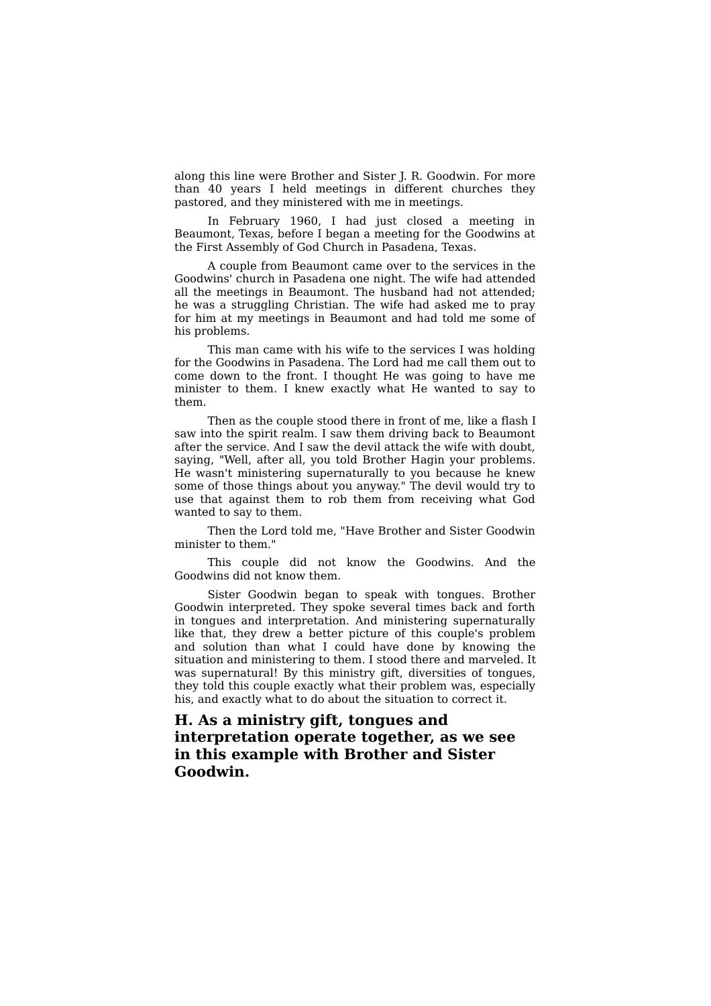along this line were Brother and Sister J. R. Goodwin. For more than 40 years I held meetings in different churches they pastored, and they ministered with me in meetings.

In February 1960, I had just closed a meeting in Beaumont, Texas, before I began a meeting for the Goodwins at the First Assembly of God Church in Pasadena, Texas.

A couple from Beaumont came over to the services in the Goodwins' church in Pasadena one night. The wife had attended all the meetings in Beaumont. The husband had not attended; he was a struggling Christian. The wife had asked me to pray for him at my meetings in Beaumont and had told me some of his problems.

This man came with his wife to the services I was holding for the Goodwins in Pasadena. The Lord had me call them out to come down to the front. I thought He was going to have me minister to them. I knew exactly what He wanted to say to them.

Then as the couple stood there in front of me, like a flash I saw into the spirit realm. I saw them driving back to Beaumont after the service. And I saw the devil attack the wife with doubt, saying, "Well, after all, you told Brother Hagin your problems. He wasn't ministering supernaturally to you because he knew some of those things about you anyway." The devil would try to use that against them to rob them from receiving what God wanted to say to them.

Then the Lord told me, "Have Brother and Sister Goodwin minister to them."

This couple did not know the Goodwins. And the Goodwins did not know them.

Sister Goodwin began to speak with tongues. Brother Goodwin interpreted. They spoke several times back and forth in tongues and interpretation. And ministering supernaturally like that, they drew a better picture of this couple's problem and solution than what I could have done by knowing the situation and ministering to them. I stood there and marveled. It was supernatural! By this ministry gift, diversities of tongues, they told this couple exactly what their problem was, especially his, and exactly what to do about the situation to correct it.

# **H. As a ministry gift, tongues and interpretation operate together, as we see in this example with Brother and Sister Goodwin.**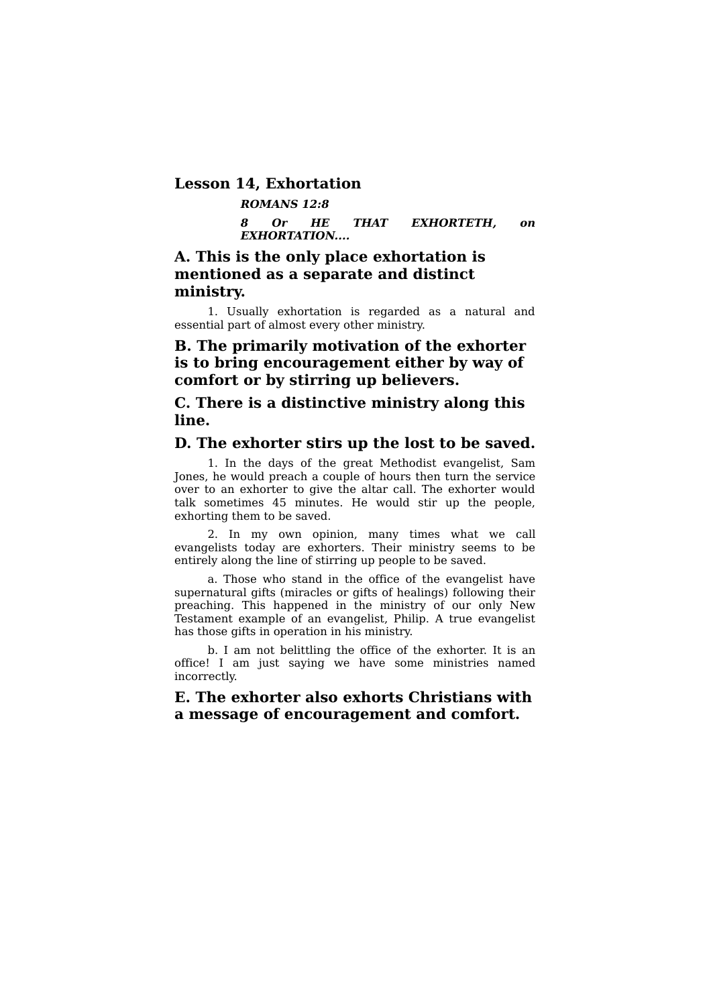### **Lesson 14, Exhortation**

#### *ROMANS 12:8*

*8 Or HE THAT EXHORTETH, on EXHORTATION....*

# **A. This is the only place exhortation is mentioned as a separate and distinct ministry.**

1. Usually exhortation is regarded as a natural and essential part of almost every other ministry.

# **B. The primarily motivation of the exhorter is to bring encouragement either by way of comfort or by stirring up believers.**

### **C. There is a distinctive ministry along this line.**

### **D. The exhorter stirs up the lost to be saved.**

1. In the days of the great Methodist evangelist, Sam Jones, he would preach a couple of hours then turn the service over to an exhorter to give the altar call. The exhorter would talk sometimes 45 minutes. He would stir up the people, exhorting them to be saved.

2. In my own opinion, many times what we call evangelists today are exhorters. Their ministry seems to be entirely along the line of stirring up people to be saved.

a. Those who stand in the office of the evangelist have supernatural gifts (miracles or gifts of healings) following their preaching. This happened in the ministry of our only New Testament example of an evangelist, Philip. A true evangelist has those gifts in operation in his ministry.

b. I am not belittling the office of the exhorter. It is an office! I am just saying we have some ministries named incorrectly.

### **E. The exhorter also exhorts Christians with a message of encouragement and comfort.**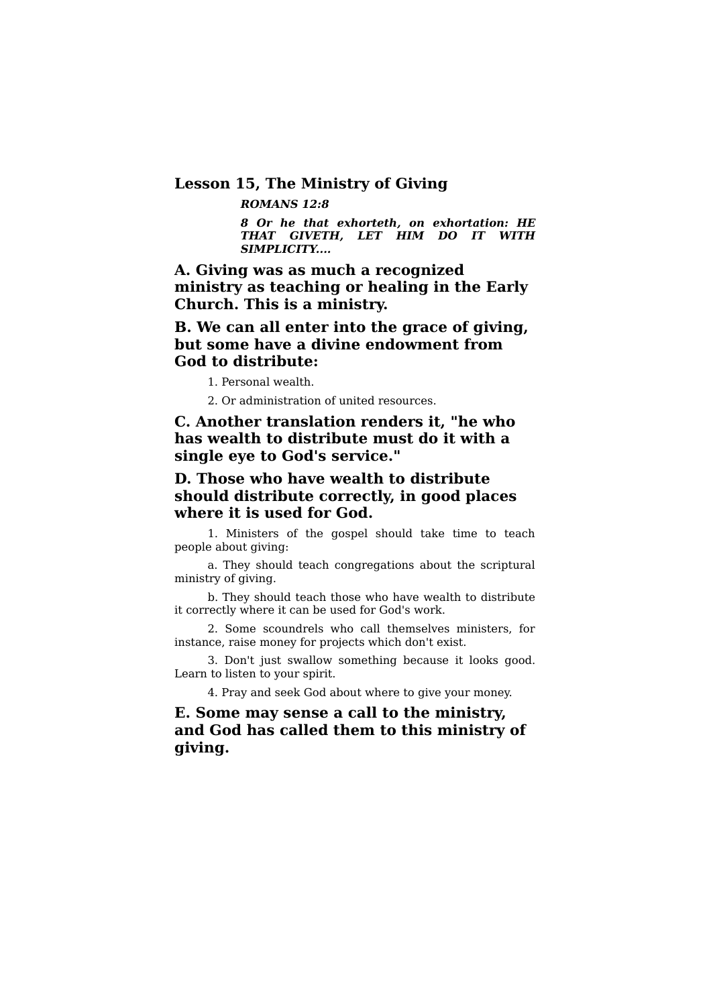### **Lesson 15, The Ministry of Giving**

### *ROMANS 12:8*

*8 Or he that exhorteth, on exhortation: HE THAT GIVETH, LET HIM DO IT WITH SIMPLICITY....*

**A. Giving was as much a recognized ministry as teaching or healing in the Early Church. This is a ministry.**

**B. We can all enter into the grace of giving, but some have a divine endowment from God to distribute:**

1. Personal wealth.

2. Or administration of united resources.

**C. Another translation renders it, "he who has wealth to distribute must do it with a single eye to God's service."**

# **D. Those who have wealth to distribute should distribute correctly, in good places where it is used for God.**

1. Ministers of the gospel should take time to teach people about giving:

a. They should teach congregations about the scriptural ministry of giving.

b. They should teach those who have wealth to distribute it correctly where it can be used for God's work.

2. Some scoundrels who call themselves ministers, for instance, raise money for projects which don't exist.

3. Don't just swallow something because it looks good. Learn to listen to your spirit.

4. Pray and seek God about where to give your money.

# **E. Some may sense a call to the ministry, and God has called them to this ministry of giving.**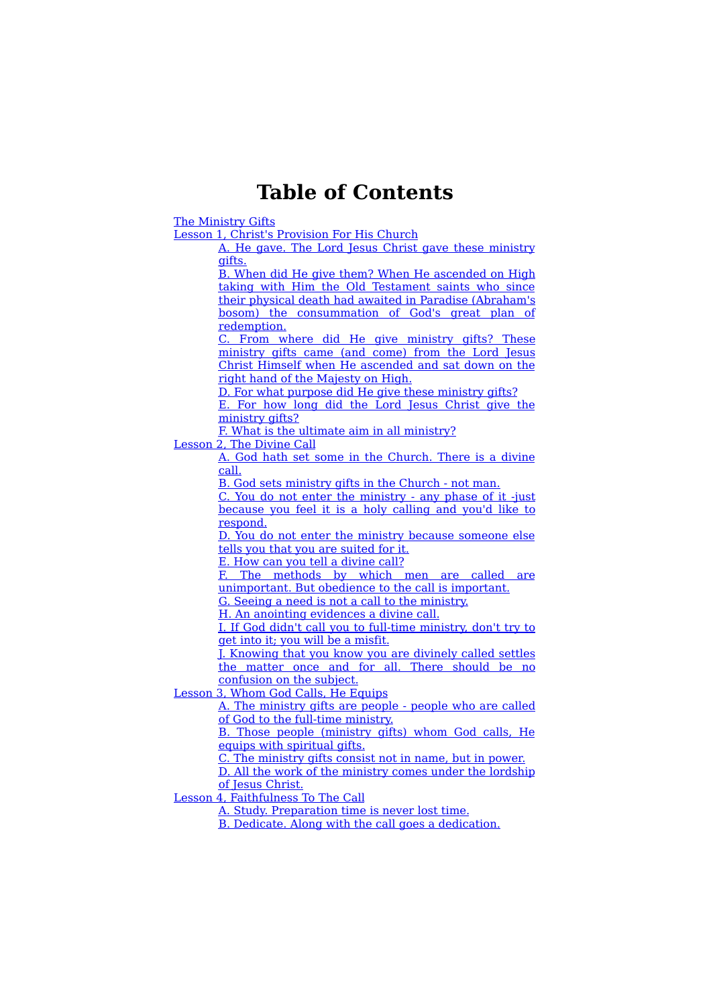# **Table of Contents**

#### The Ministry Gifts

Lesson 1, Christ's Provision For His Church

A. He gave. The Lord Jesus Christ gave these ministry gifts.

B. When did He give them? When He ascended on High taking with Him the Old Testament saints who since their physical death had awaited in Paradise (Abraham's bosom) the consummation of God's great plan of redemption.

C. From where did He give ministry gifts? These ministry gifts came (and come) from the Lord Jesus Christ Himself when He ascended and sat down on the right hand of the Majesty on High.

D. For what purpose did He give these ministry gifts?

E. For how long did the Lord Jesus Christ give the ministry gifts?

F. What is the ultimate aim in all ministry?

Lesson 2, The Divine Call

A. God hath set some in the Church. There is a divine call.

B. God sets ministry gifts in the Church - not man.

C. You do not enter the ministry - any phase of it -just because you feel it is a holy calling and you'd like to respond.

D. You do not enter the ministry because someone else tells you that you are suited for it.

E. How can you tell a divine call?

F. The methods by which men are called are unimportant. But obedience to the call is important. G. Seeing a need is not a call to the ministry.

H. An anointing evidences a divine call.

I. If God didn't call you to full-time ministry, don't try to get into it; you will be a misfit.

J. Knowing that you know you are divinely called settles the matter once and for all. There should be no confusion on the subject.

Lesson 3, Whom God Calls, He Equips

A. The ministry gifts are people - people who are called of God to the full-time ministry.

B. Those people (ministry gifts) whom God calls, He equips with spiritual gifts.

C. The ministry gifts consist not in name, but in power.

D. All the work of the ministry comes under the lordship of Jesus Christ.

Lesson 4, Faithfulness To The Call

A. Study. Preparation time is never lost time.

B. Dedicate. Along with the call goes a dedication.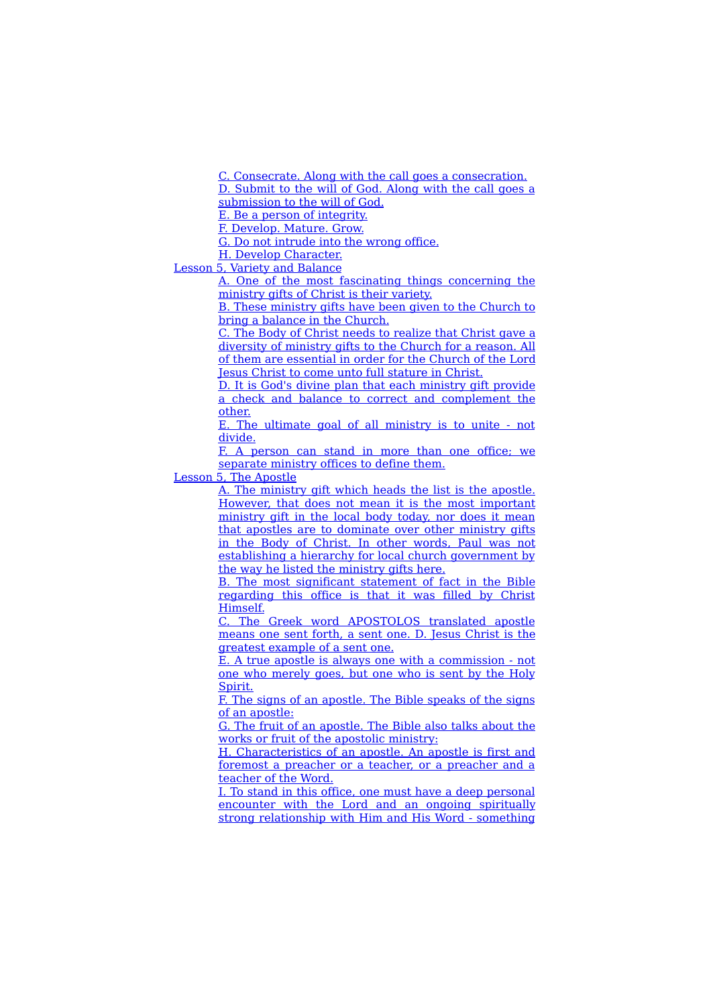C. Consecrate. Along with the call goes a consecration. D. Submit to the will of God. Along with the call goes a

submission to the will of God.

E. Be a person of integrity.

F. Develop. Mature. Grow.

G. Do not intrude into the wrong office.

H. Develop Character.

Lesson 5, Variety and Balance

A. One of the most fascinating things concerning the ministry gifts of Christ is their variety.

B. These ministry gifts have been given to the Church to bring a balance in the Church.

C. The Body of Christ needs to realize that Christ gave a diversity of ministry gifts to the Church for a reason. All of them are essential in order for the Church of the Lord Jesus Christ to come unto full stature in Christ.

D. It is God's divine plan that each ministry gift provide a check and balance to correct and complement the other.

E. The ultimate goal of all ministry is to unite - not divide.

F. A person can stand in more than one office; we separate ministry offices to define them.

Lesson 5, The Apostle

A. The ministry gift which heads the list is the apostle. However, that does not mean it is the most important ministry gift in the local body today, nor does it mean that apostles are to dominate over other ministry gifts in the Body of Christ. In other words, Paul was not establishing a hierarchy for local church government by the way he listed the ministry gifts here.

B. The most significant statement of fact in the Bible regarding this office is that it was filled by Christ Himself.

C. The Greek word APOSTOLOS translated apostle means one sent forth, a sent one. D. Jesus Christ is the greatest example of a sent one.

E. A true apostle is always one with a commission - not one who merely goes, but one who is sent by the Holy Spirit.

F. The signs of an apostle. The Bible speaks of the signs of an apostle:

G. The fruit of an apostle. The Bible also talks about the works or fruit of the apostolic ministry:

H. Characteristics of an apostle. An apostle is first and foremost a preacher or a teacher, or a preacher and a teacher of the Word.

I. To stand in this office, one must have a deep personal encounter with the Lord and an ongoing spiritually strong relationship with Him and His Word - something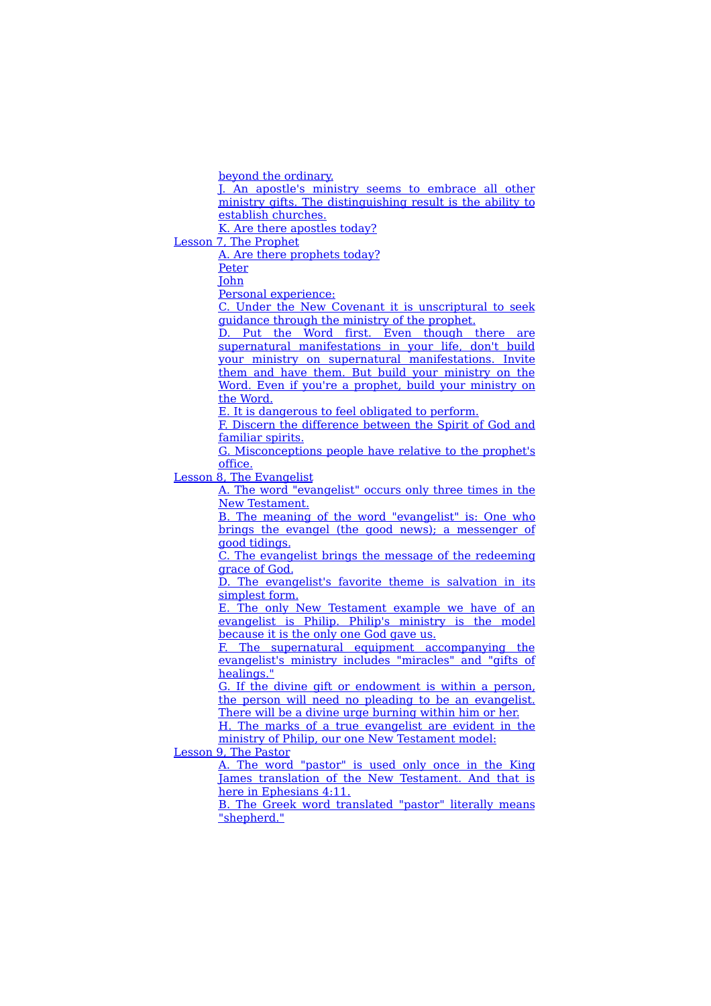beyond the ordinary.

J. An apostle's ministry seems to embrace all other ministry gifts. The distinguishing result is the ability to establish churches.

K. Are there apostles today?

Lesson 7, The Prophet

A. Are there prophets today?

Peter

John

Personal experience:

C. Under the New Covenant it is unscriptural to seek guidance through the ministry of the prophet.

D. Put the Word first. Even though there are supernatural manifestations in your life, don't build your ministry on supernatural manifestations. Invite them and have them. But build your ministry on the Word. Even if you're a prophet, build your ministry on the Word.

E. It is dangerous to feel obligated to perform.

F. Discern the difference between the Spirit of God and familiar spirits.

G. Misconceptions people have relative to the prophet's office.

Lesson 8, The Evangelist

A. The word "evangelist" occurs only three times in the New Testament.

B. The meaning of the word "evangelist" is: One who brings the evangel (the good news); a messenger of good tidings.

C. The evangelist brings the message of the redeeming grace of God.

D. The evangelist's favorite theme is salvation in its simplest form.

E. The only New Testament example we have of an evangelist is Philip. Philip's ministry is the model because it is the only one God gave us.

F. The supernatural equipment accompanying the evangelist's ministry includes "miracles" and "gifts of healings."

G. If the divine gift or endowment is within a person, the person will need no pleading to be an evangelist. There will be a divine urge burning within him or her.

H. The marks of a true evangelist are evident in the ministry of Philip, our one New Testament model:

Lesson 9, The Pastor

A. The word "pastor" is used only once in the King James translation of the New Testament. And that is here in Ephesians 4:11.

B. The Greek word translated "pastor" literally means "shepherd."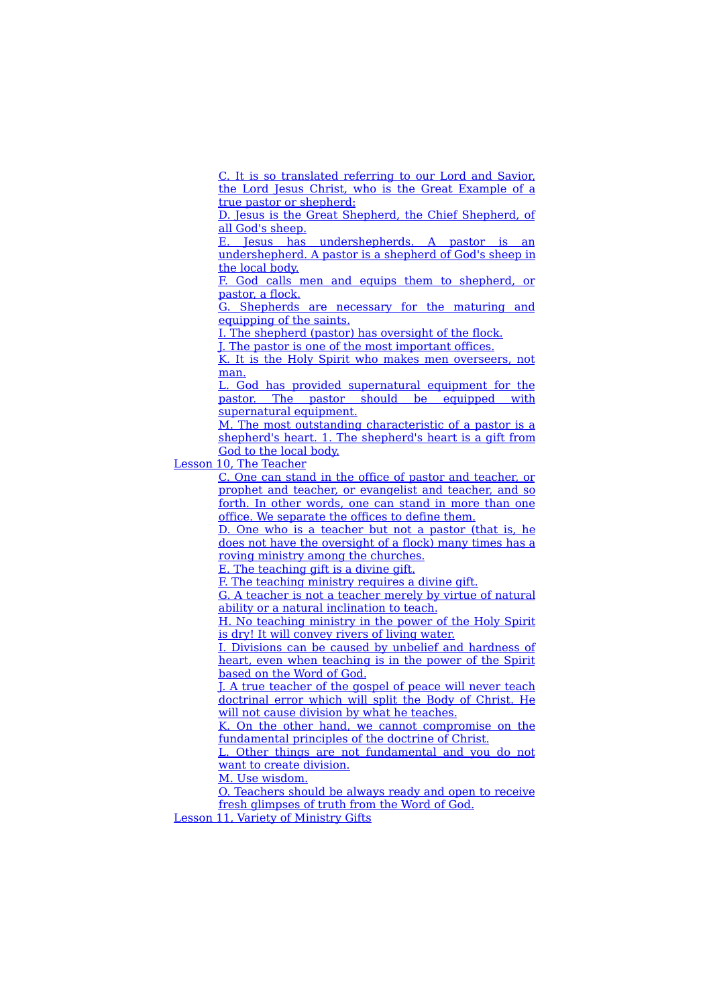C. It is so translated referring to our Lord and Savior, the Lord Jesus Christ, who is the Great Example of a true pastor or shepherd:

D. Jesus is the Great Shepherd, the Chief Shepherd, of all God's sheep.

E. Jesus has undershepherds. A pastor is an undershepherd. A pastor is a shepherd of God's sheep in the local body.

F. God calls men and equips them to shepherd, or pastor, a flock.

G. Shepherds are necessary for the maturing and equipping of the saints.

I. The shepherd (pastor) has oversight of the flock.

J. The pastor is one of the most important offices.

K. It is the Holy Spirit who makes men overseers, not man.

L. God has provided supernatural equipment for the pastor. The pastor should be equipped with supernatural equipment.

M. The most outstanding characteristic of a pastor is a shepherd's heart. 1. The shepherd's heart is a gift from God to the local body.

Lesson 10, The Teacher

C. One can stand in the office of pastor and teacher, or prophet and teacher, or evangelist and teacher, and so forth. In other words, one can stand in more than one office. We separate the offices to define them.

D. One who is a teacher but not a pastor (that is, he does not have the oversight of a flock) many times has a roving ministry among the churches.

E. The teaching gift is a divine gift.

F. The teaching ministry requires a divine gift.

G. A teacher is not a teacher merely by virtue of natural ability or a natural inclination to teach.

H. No teaching ministry in the power of the Holy Spirit is dry! It will convey rivers of living water.

I. Divisions can be caused by unbelief and hardness of heart, even when teaching is in the power of the Spirit based on the Word of God.

J. A true teacher of the gospel of peace will never teach doctrinal error which will split the Body of Christ. He will not cause division by what he teaches.

K. On the other hand, we cannot compromise on the fundamental principles of the doctrine of Christ.

L. Other things are not fundamental and you do not want to create division.

M. Use wisdom.

O. Teachers should be always ready and open to receive fresh glimpses of truth from the Word of God.

Lesson 11, Variety of Ministry Gifts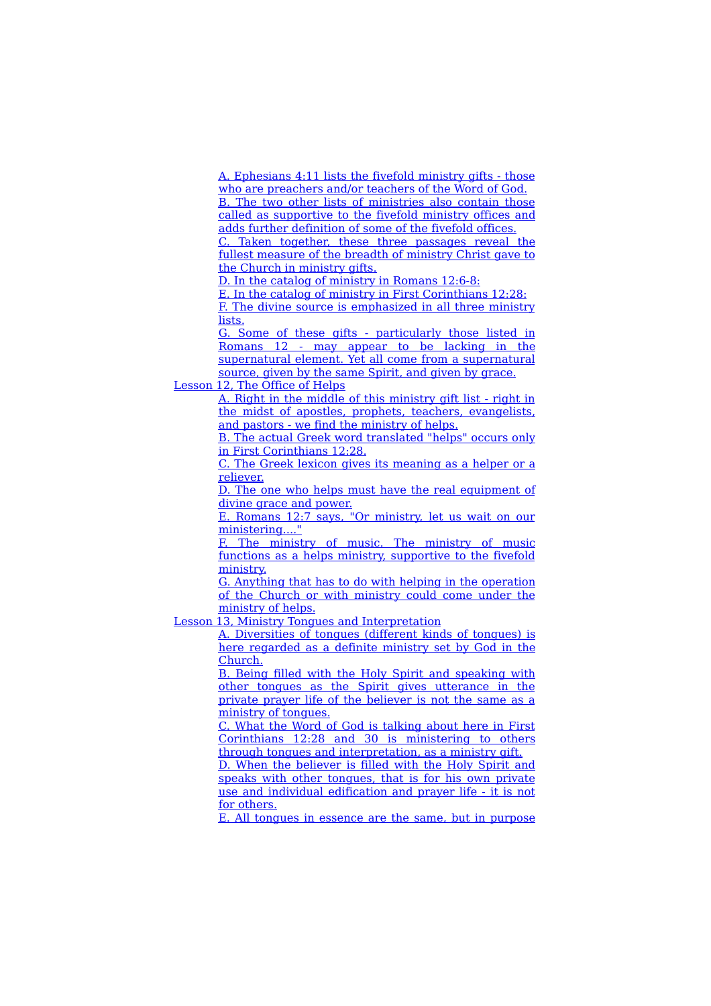A. Ephesians 4:11 lists the fivefold ministry gifts - those who are preachers and/or teachers of the Word of God. B. The two other lists of ministries also contain those called as supportive to the fivefold ministry offices and adds further definition of some of the fivefold offices.

C. Taken together, these three passages reveal the fullest measure of the breadth of ministry Christ gave to the Church in ministry gifts.

D. In the catalog of ministry in Romans 12:6-8:

E. In the catalog of ministry in First Corinthians 12:28: F. The divine source is emphasized in all three ministry lists.

G. Some of these gifts - particularly those listed in Romans 12 - may appear to be lacking in the supernatural element. Yet all come from a supernatural source, given by the same Spirit, and given by grace.

Lesson 12, The Office of Helps

A. Right in the middle of this ministry gift list - right in the midst of apostles, prophets, teachers, evangelists, and pastors - we find the ministry of helps.

B. The actual Greek word translated "helps" occurs only in First Corinthians 12:28.

C. The Greek lexicon gives its meaning as a helper or a reliever.

D. The one who helps must have the real equipment of divine grace and power.

E. Romans 12:7 says, "Or ministry, let us wait on our ministering...."

F. The ministry of music. The ministry of music functions as a helps ministry, supportive to the fivefold ministry.

G. Anything that has to do with helping in the operation of the Church or with ministry could come under the ministry of helps.

Lesson 13, Ministry Tongues and Interpretation

A. Diversities of tongues (different kinds of tongues) is here regarded as a definite ministry set by God in the Church.

B. Being filled with the Holy Spirit and speaking with other tongues as the Spirit gives utterance in the private prayer life of the believer is not the same as a ministry of tongues.

C. What the Word of God is talking about here in First Corinthians 12:28 and 30 is ministering to others through tongues and interpretation, as a ministry gift.

D. When the believer is filled with the Holy Spirit and speaks with other tongues, that is for his own private use and individual edification and prayer life - it is not for others.

E. All tongues in essence are the same, but in purpose